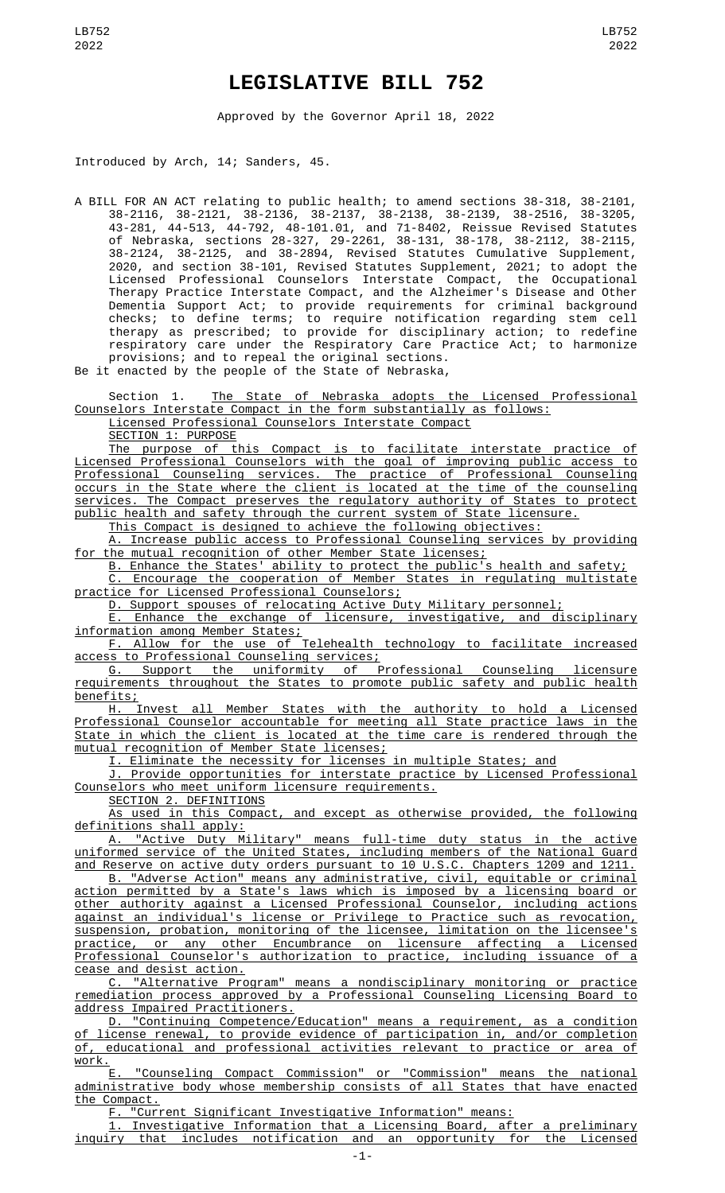## **LEGISLATIVE BILL 752**

Approved by the Governor April 18, 2022

Introduced by Arch, 14; Sanders, 45.

A BILL FOR AN ACT relating to public health; to amend sections 38-318, 38-2101, 38-2116, 38-2121, 38-2136, 38-2137, 38-2138, 38-2139, 38-2516, 38-3205, 43-281, 44-513, 44-792, 48-101.01, and 71-8402, Reissue Revised Statutes of Nebraska, sections 28-327, 29-2261, 38-131, 38-178, 38-2112, 38-2115, 38-2124, 38-2125, and 38-2894, Revised Statutes Cumulative Supplement, 2020, and section 38-101, Revised Statutes Supplement, 2021; to adopt the Licensed Professional Counselors Interstate Compact, the Occupational Therapy Practice Interstate Compact, and the Alzheimer's Disease and Other Dementia Support Act; to provide requirements for criminal background checks; to define terms; to require notification regarding stem cell therapy as prescribed; to provide for disciplinary action; to redefine respiratory care under the Respiratory Care Practice Act; to harmonize provisions; and to repeal the original sections.

Be it enacted by the people of the State of Nebraska,

Section 1. The State of Nebraska adopts the Licensed Professional Counselors Interstate Compact in the form substantially as follows:

Licensed Professional Counselors Interstate Compact

SECTION 1: PURPOSE

The purpose of this Compact is to facilitate interstate practice of Licensed Professional Counselors with the goal of improving public access to Professional Counseling services. The practice of Professional Counseling occurs in the State where the client is located at the time of the counseling services. The Compact preserves the regulatory authority of States to protect public health and safety through the current system of State licensure.

This Compact is designed to achieve the following objectives:

A. Increase public access to Professional Counseling services by providing for the mutual recognition of other Member State licenses;

B. Enhance the States' ability to protect the public's health and safety;

C. Encourage the cooperation of Member States in regulating multistate practice for Licensed Professional Counselors;

D. Support spouses of relocating Active Duty Military personnel;

E. Enhance the exchange of licensure, investigative, and disciplinary information among Member States;

F. Allow for the use of Telehealth technology to facilitate increased access to Professional Counseling services;

G. Support the uniformity of Professional Counseling licensure requirements throughout the States to promote public safety and public health benefits;

H. Invest all Member States with the authority to hold a Licensed Professional Counselor accountable for meeting all State practice laws in the State in which the client is located at the time care is rendered through the mutual recognition of Member State licenses;

I. Eliminate the necessity for licenses in multiple States; and

J. Provide opportunities for interstate practice by Licensed Professional Counselors who meet uniform licensure requirements.

SECTION 2. DEFINITIONS

As used in this Compact, and except as otherwise provided, the following definitions shall apply:

A. "Active Duty Military" means full-time duty status in the active uniformed service of the United States, including members of the National Guard and Reserve on active duty orders pursuant to 10 U.S.C. Chapters 1209 and 1211.

B. "Adverse Action" means any administrative, civil, equitable or criminal action permitted by a State's laws which is imposed by a licensing board or other authority against a Licensed Professional Counselor, including actions against an individual's license or Privilege to Practice such as revocation, suspension, probation, monitoring of the licensee, limitation on the licensee's practice, or any other Encumbrance on licensure affecting a Licensed Professional Counselor's authorization to practice, including issuance of a cease and desist action.

C. "Alternative Program" means a nondisciplinary monitoring or practice remediation process approved by a Professional Counseling Licensing Board to address Impaired Practitioners.

D. "Continuing Competence/Education" means a requirement, as a condition of license renewal, to provide evidence of participation in, and/or completion of, educational and professional activities relevant to practice or area of work.

E. "Counseling Compact Commission" or "Commission" means the national administrative body whose membership consists of all States that have enacted the Compact.

F. "Current Significant Investigative Information" means:

1. Investigative Information that a Licensing Board, after a preliminary<br>inquiry that includes notification and an opportunity for the Licensed and an opportunity for the Licensed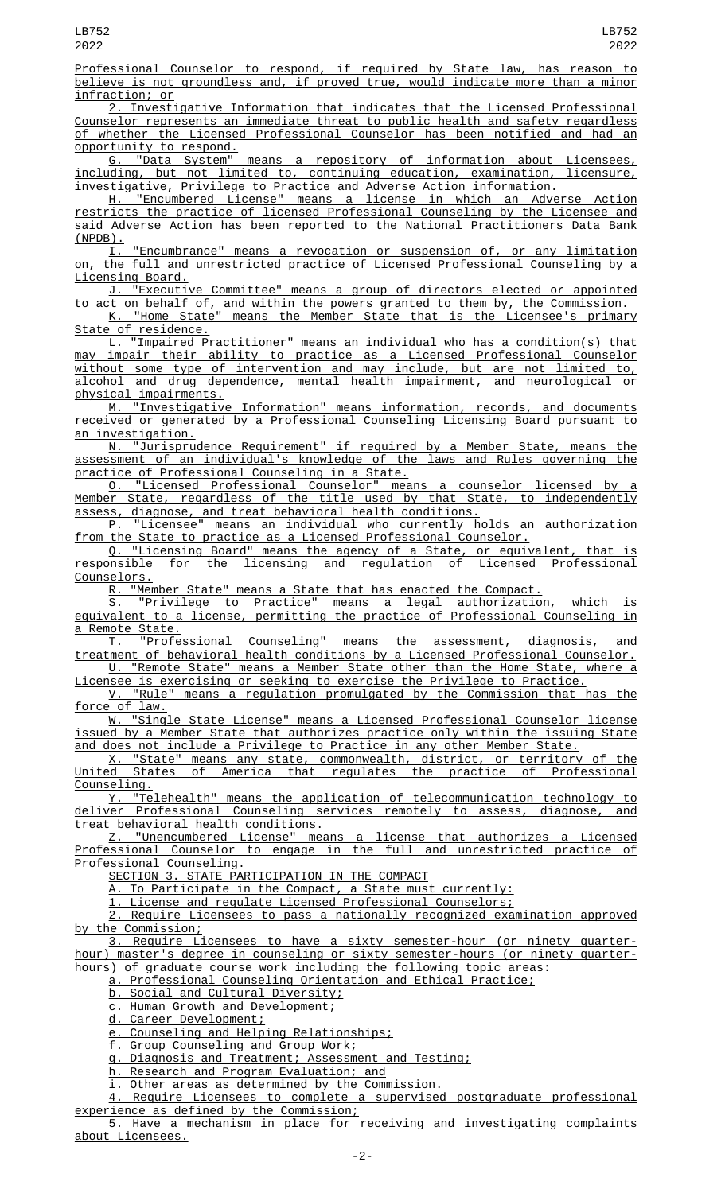Professional Counselor to respond, if required by State law, has reason to believe is not groundless and, if proved true, would indicate more than a minor infraction; or

2. Investigative Information that indicates that the Licensed Professional Counselor represents an immediate threat to public health and safety regardless of whether the Licensed Professional Counselor has been notified and had an opportunity to respond.

G. "Data System" means a repository of information about Licensees, including, but not limited to, continuing education, examination, licensure, investigative, Privilege to Practice and Adverse Action information.

H. "Encumbered License" means a license in which an Adverse Action restricts the practice of licensed Professional Counseling by the Licensee and said Adverse Action has been reported to the National Practitioners Data Bank (NPDB).

I. "Encumbrance" means a revocation or suspension of, or any limitation on, the full and unrestricted practice of Licensed Professional Counseling by a Licensing Board.

J. "Executive Committee" means a group of directors elected or appointed to act on behalf of, and within the powers granted to them by, the Commission. K. "Home State" means the Member State that is the Licensee's primary

State of residence.

L. "Impaired Practitioner" means an individual who has a condition(s) that may impair their ability to practice as a Licensed Professional Counselor without some type of intervention and may include, but are not limited to, alcohol and drug dependence, mental health impairment, and neurological or physical impairments.<br>M. "Investigativ

"Investigative Information" means information, records, and documents received or generated by a Professional Counseling Licensing Board pursuant to an investigation.

N. "Jurisprudence Requirement" if required by a Member State, means the assessment of an individual's knowledge of the laws and Rules governing the practice of Professional Counseling in a State.

O. "Licensed Professional Counselor" means a counselor licensed by a Member State, regardless of the title used by that State, to independently assess, diagnose, and treat behavioral health conditions.

P. "Licensee" means an individual who currently holds an authorization from the State to practice as a Licensed Professional Counselor.

Q. "Licensing Board" means the agency of a State, or equivalent, that is responsible for the licensing and regulation of Licensed Professional <u>Counselors.</u><br><u>R. "Mer</u>

R. "Member State" means a State that has enacted the Compact.

S. "Privilege to Practice" means a legal authorization, which is equivalent to a license, permitting the practice of Professional Counseling in a Remote State.<br>T. "Professional Counseling"

means the assessment, diagnosis, and treatment of behavioral health conditions by a Licensed Professional Counselor. U. "Remote State" means a Member State other than the Home State, where a

Licensee is exercising or seeking to exercise the Privilege to Practice.<br>V. "Rule" means a regulation promulgated by the Commission that

"Rule" means a regulation promulgated by the Commission that has the <u>force of law.</u>

W. "Single State License" means a Licensed Professional Counselor license issued by a Member State that authorizes practice only within the issuing State

and does not include a Privilege to Practice in any other Member State.<br><u>X. "State" means any state, commonwealth, district, or territory</u><br>المنافس States of America that regulates the practice of Prof X. "State" means any state, commonwealth, district, or territory of the<br>United States of America that regulates the practice of Professional the practice of Professional Counseling.

Y. "Telehealth" means the application of telecommunication technology to deliver Professional Counseling services remotely to assess, diagnose, and treat behavioral health conditions.

Z. "Unencumbered License" means a license that authorizes a Licensed Professional Counselor to engage in the full and unrestricted practice of Professional Counseling.

SECTION 3. STATE PARTICIPATION IN THE COMPACT

A. To Participate in the Compact, a State must currently:

1. License and regulate Licensed Professional Counselors;

2. Require Licensees to pass a nationally recognized examination approved by the Commission;

3. Require Licensees to have a sixty semester-hour (or ninety quarterhour) master's degree in counseling or sixty semester-hours (or ninety quarterhours) of graduate course work including the following topic areas:

a. Professional Counseling Orientation and Ethical Practice;

b. Social and Cultural Diversity;

c. Human Growth and Development;

<u>d. Career Development;</u>

e. Counseling and Helping Relationships;

f. Group Counseling and Group Work;

g. Diagnosis and Treatment; Assessment and Testing;

h. Research and Program Evaluation; and

i. Other areas as determined by the Commission.

Require Licensees to complete a supervised postgraduate professional experience as defined by the Commission;

5. Have a mechanism in place for receiving and investigating complaints about Licensees.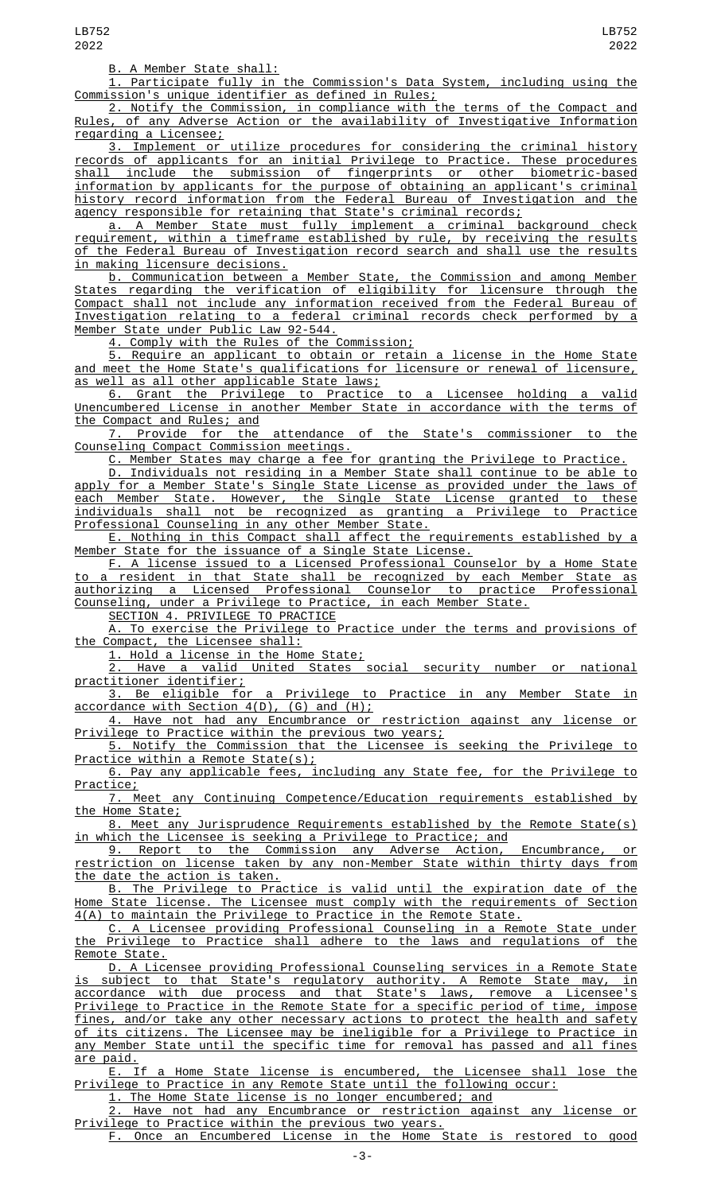B. A Member State shall:

1. Participate fully in the Commission's Data System, including using the Commission's unique identifier as defined in Rules;

2. Notify the Commission, in compliance with the terms of the Compact and Rules, of any Adverse Action or the availability of Investigative Information regarding a Licensee;

3. Implement or utilize procedures for considering the criminal history records of applicants for an initial Privilege to Practice. These procedures shall include the submission of fingerprints or other biometric-based information by applicants for the purpose of obtaining an applicant's criminal history record information from the Federal Bureau of Investigation and the agency responsible for retaining that State's criminal records;

a. A Member State must fully implement a criminal background check requirement, within a timeframe established by rule, by receiving the results of the Federal Bureau of Investigation record search and shall use the results in making licensure decisions.

b. Communication between a Member State, the Commission and among Member States regarding the verification of eligibility for licensure through the Compact shall not include any information received from the Federal Bureau of Investigation relating to a federal criminal records check performed by a Member State under Public Law 92-544.

4. Comply with the Rules of the Commission;

5. Require an applicant to obtain or retain a license in the Home State and meet the Home State's qualifications for licensure or renewal of licensure, as well as all other applicable State laws;

6. Grant the Privilege to Practice to a Licensee holding a valid Unencumbered License in another Member State in accordance with the terms of the Compact and Rules; and<br>7. Provide for the

attendance of the State's commissioner to the Counseling Compact Commission meetings.

C. Member States may charge a fee for granting the Privilege to Practice.

D. Individuals not residing in a Member State shall continue to be able to apply for a Member State's Single State License as provided under the laws of each Member State. However, the Single State License granted to these individuals shall not be recognized as granting a Privilege to Practice Professional Counseling in any other Member State.

E. Nothing in this Compact shall affect the requirements established by a Member State for the issuance of a Single State License.

F. A license issued to a Licensed Professional Counselor by a Home State to a resident in that State shall be recognized by each Member State as authorizing a Licensed Professional Counselor to practice Professional Counseling, under a Privilege to Practice, in each Member State.

SECTION 4. PRIVILEGE TO PRACTICE

To exercise the Privilege to Practice under the terms and provisions of the Compact, the Licensee shall:

1. Hold a license in the Home State;

2. Have a valid United States social security number or national practitioner identifier;

3. Be eligible for a Privilege to Practice in any Member State in accordance with Section 4(D), (G) and (H);

4. Have not had any Encumbrance or restriction against any license or Privilege to Practice within the previous two years;

5. Notify the Commission that the Licensee is seeking the Privilege to Practice within a Remote State(s);

6. Pay any applicable fees, including any State fee, for the Privilege to <u>Practice;</u>

7. Meet any Continuing Competence/Education requirements established by the Home State;

8. Meet any Jurisprudence Requirements established by the Remote State(s) in which the Licensee is seeking a Privilege to Practice; and

9. Report to the Commission any Adverse Action, Encumbrance, or restriction on license taken by any non-Member State within thirty days from the date the action is taken.

B. The Privilege to Practice is valid until the expiration date of the Home State license. The Licensee must comply with the requirements of Section 4(A) to maintain the Privilege to Practice in the Remote State.

C. A Licensee providing Professional Counseling in a Remote State under the Privilege to Practice shall adhere to the laws and regulations of the Remote State.

D. A Licensee providing Professional Counseling services in a Remote State is subject to that State's regulatory authority. A Remote State may, in accordance with due process and that State's laws, remove a Licensee's Privilege to Practice in the Remote State for a specific period of time, impose fines, and/or take any other necessary actions to protect the health and safety of its citizens. The Licensee may be ineligible for a Privilege to Practice in any Member State until the specific time for removal has passed and all fines

<u>are paid.</u><br><u>E.</u> If a Home State license is encumbered, the Licensee shall lose the Privilege to Practice in any Remote State until the following occur:

1. The Home State license is no longer encumbered; and

2. Have not had any Encumbrance or restriction against any license or Privilege to Practice within the previous two years.

F. Once an Encumbered License in the Home State is restored to good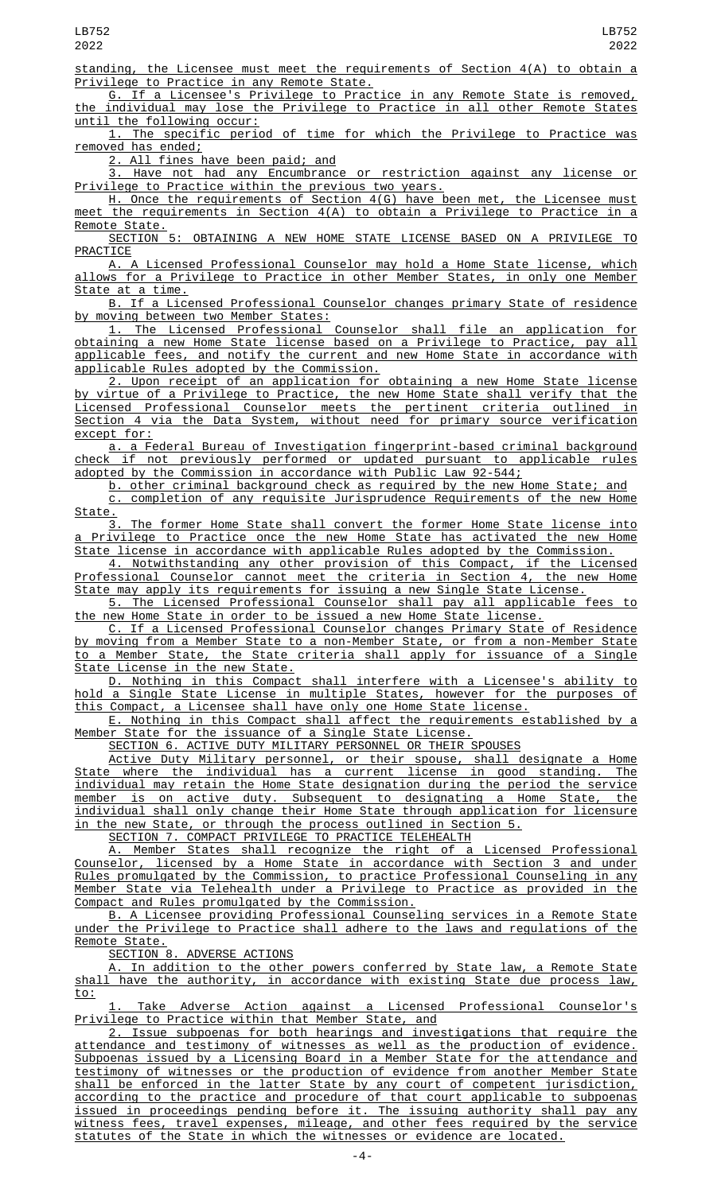LB752 2022

standing, the Licensee must meet the requirements of Section 4(A) to obtain a Privilege to Practice in any Remote State.

G. If a Licensee's Privilege to Practice in any Remote State is removed, the individual may lose the Privilege to Practice in all other Remote States until the following occur:

1. The specific period of time for which the Privilege to Practice was removed has ended;

2. All fines have been paid; and

3. Have not had any Encumbrance or restriction against any license or Privilege to Practice within the previous two years.

H. Once the requirements of Section 4(G) have been met, the Licensee must meet the requirements in Section 4(A) to obtain a Privilege to Practice in a Remote State.

SECTION 5: OBTAINING A NEW HOME STATE LICENSE BASED ON A PRIVILEGE TO **PRACTICE** 

A. A Licensed Professional Counselor may hold a Home State license, which allows for a Privilege to Practice in other Member States, in only one Member State at a time.

B. If a Licensed Professional Counselor changes primary State of residence moving between two Member States:

1. The Licensed Professional Counselor shall file an application for obtaining a new Home State license based on a Privilege to Practice, pay all applicable fees, and notify the current and new Home State in accordance with applicable Rules adopted by the Commission.

2. Upon receipt of an application for obtaining a new Home State license virtue of a Privilege to Practice, the new Home State shall verify that the Licensed Professional Counselor meets the pertinent criteria outlined in Section 4 via the Data System, without need for primary source verification except for:

a. a Federal Bureau of Investigation fingerprint-based criminal background check if not previously performed or updated pursuant to applicable rules adopted by the Commission in accordance with Public Law 92-544;

b. other criminal background check as required by the new Home State; and c. completion of any requisite Jurisprudence Requirements of the new Home  $\frac{\text{State.}}{3}$ 

The former Home State shall convert the former Home State license into Privilege to Practice once the new Home State has activated the new Home State license in accordance with applicable Rules adopted by the Commission.

4. Notwithstanding any other provision of this Compact, if the Licensed Professional Counselor cannot meet the criteria in Section 4, the new Home State may apply its requirements for issuing a new Single State License.

5. The Licensed Professional Counselor shall pay all applicable fees to the new Home State in order to be issued a new Home State license.

C. If a Licensed Professional Counselor changes Primary State of Residence by moving from a Member State to a non-Member State, or from a non-Member State to a Member State, the State criteria shall apply for issuance of a Single State License in the new State.

D. Nothing in this Compact shall interfere with a Licensee's ability to hold a Single State License in multiple States, however for the purposes of this Compact, a Licensee shall have only one Home State license.

E. Nothing in this Compact shall affect the requirements established by a<br>Member State for the issuance of a Single State License. State for the issuance of a Single State License.

SECTION 6. ACTIVE DUTY MILITARY PERSONNEL OR THEIR SPOUSES

Active Duty Military personnel, or their spouse, shall designate a Home State where the individual has a current license in good standing. The individual may retain the Home State designation during the period the service member is on active duty. Subsequent to designating a Home State, the individual shall only change their Home State through application for licensure in the new State, or through the process outlined in Section 5.

SECTION 7. COMPACT PRIVILEGE TO PRACTICE TELEHEALTH

A. Member States shall recognize the right of a Licensed Professional Counselor, licensed by a Home State in accordance with Section 3 and under Rules promulgated by the Commission, to practice Professional Counseling in any Member State via Telehealth under a Privilege to Practice as provided in the Compact and Rules promulgated by the Commission.

B. A Licensee providing Professional Counseling services in a Remote State under the Privilege to Practice shall adhere to the laws and regulations of the Remote State.<br>SECTION 8.

ADVERSE ACTIONS

In addition to the other powers conferred by State law, a Remote State shall have the authority, in accordance with existing State due process law, to:

1. Take Adverse Action against a Licensed Professional Counselor's Privilege to Practice within that Member State, and

2. Issue subpoenas for both hearings and investigations that require the attendance and testimony of witnesses as well as the production of evidence. Subpoenas issued by a Licensing Board in a Member State for the attendance and testimony of witnesses or the production of evidence from another Member State shall be enforced in the latter State by any court of competent jurisdiction, according to the practice and procedure of that court applicable to subpoenas issued in proceedings pending before it. The issuing authority shall pay any witness fees, travel expenses, mileage, and other fees required by the service statutes of the State in which the witnesses or evidence are located.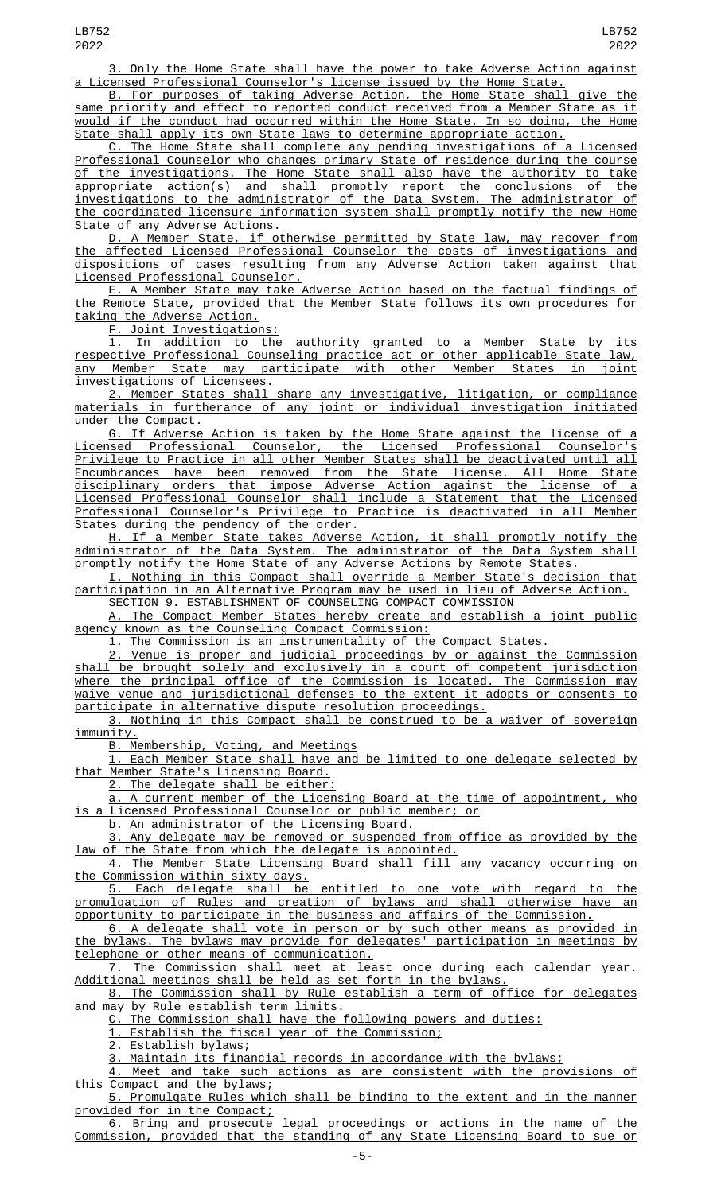3. Only the Home State shall have the power to take Adverse Action against a Licensed Professional Counselor's license issued by the Home State.

B. For purposes of taking Adverse Action, the Home State shall give the same priority and effect to reported conduct received from a Member State as it would if the conduct had occurred within the Home State. In so doing, the Home State shall apply its own State laws to determine appropriate action.

C. The Home State shall complete any pending investigations of a Licensed Professional Counselor who changes primary State of residence during the course of the investigations. The Home State shall also have the authority to take appropriate action(s) and shall promptly report the conclusions of the investigations to the administrator of the Data System. The administrator of the coordinated licensure information system shall promptly notify the new Home State of any Adverse Actions.

D. A Member State, if otherwise permitted by State law, may recover from the affected Licensed Professional Counselor the costs of investigations and dispositions of cases resulting from any Adverse Action taken against that Licensed Professional Counselor.

E. A Member State may take Adverse Action based on the factual findings of the Remote State, provided that the Member State follows its own procedures for taking the Adverse Action.

F. Joint Investigations:

1. In addition to the authority granted to a Member State by its respective Professional Counseling practice act or other applicable State law, any Member State may participate with other Member States in joint investigations of Licensees.

2. Member States shall share any investigative, litigation, or compliance materials in furtherance of any joint or individual investigation initiated under the Compact.

G. If Adverse Action is taken by the Home State against the license of a Licensed Professional Counselor, the Licensed Professional Counselor's Privilege to Practice in all other Member States shall be deactivated until all Encumbrances have been removed from the State license. All Home State disciplinary orders that impose Adverse Action against the license of a Licensed Professional Counselor shall include a Statement that the Licensed Professional Counselor's Privilege to Practice is deactivated in all Member States during the pendency of the order.

H. If a Member State takes Adverse Action, it shall promptly notify the administrator of the Data System. The administrator of the Data System shall promptly notify the Home State of any Adverse Actions by Remote States.

I. Nothing in this Compact shall override a Member State's decision that participation in an Alternative Program may be used in lieu of Adverse Action. SECTION 9. ESTABLISHMENT OF COUNSELING COMPACT COMMISSION

A. The Compact Member States hereby create and establish a joint public agency known as the Counseling Compact Commission:

1. The Commission is an instrumentality of the Compact States.

2. Venue is proper and judicial proceedings by or against the Commission shall be brought solely and exclusively in a court of competent jurisdiction where the principal office of the Commission is located. The Commission may waive venue and jurisdictional defenses to the extent it adopts or consents to participate in alternative dispute resolution proceedings.

3. Nothing in this Compact shall be construed to be a waiver of sovereign immunity.

B. Membership, Voting, and Meetings

1. Each Member State shall have and be limited to one delegate selected by that Member State's Licensing Board.

2. The delegate shall be either:

a. A current member of the Licensing Board at the time of appointment, who is a Licensed Professional Counselor or public member; or

b. An administrator of the Licensing Board.

3. Any delegate may be removed or suspended from office as provided by the law of the State from which the delegate is appointed.

4. The Member State Licensing Board shall fill any vacancy occurring on the Commission within sixty days.<br>5. Each delegate shall be

entitled to one vote with regard to the promulgation of Rules and creation of bylaws and shall otherwise have an opportunity to participate in the business and affairs of the Commission.

6. A delegate shall vote in person or by such other means as provided in the bylaws. The bylaws may provide for delegates' participation in meetings by telephone or other means of communication.

The Commission shall meet at least once during each calendar year. Additional meetings shall be held as set forth in the bylaws.

8. The Commission shall by Rule establish a term of office for delegates and may by Rule establish term limits.

C. The Commission shall have the following powers and duties:

1. Establish the fiscal year of the Commission;

2. Establish bylaws;

3. Maintain its financial records in accordance with the bylaws;

4. Meet and take such actions as are consistent with the provisions of this Compact and the bylaws;

5. Promulgate Rules which shall be binding to the extent and in the manner provided for in the Compact;

6. Bring and prosecute legal proceedings or actions in the name of the Commission, provided that the standing of any State Licensing Board to sue or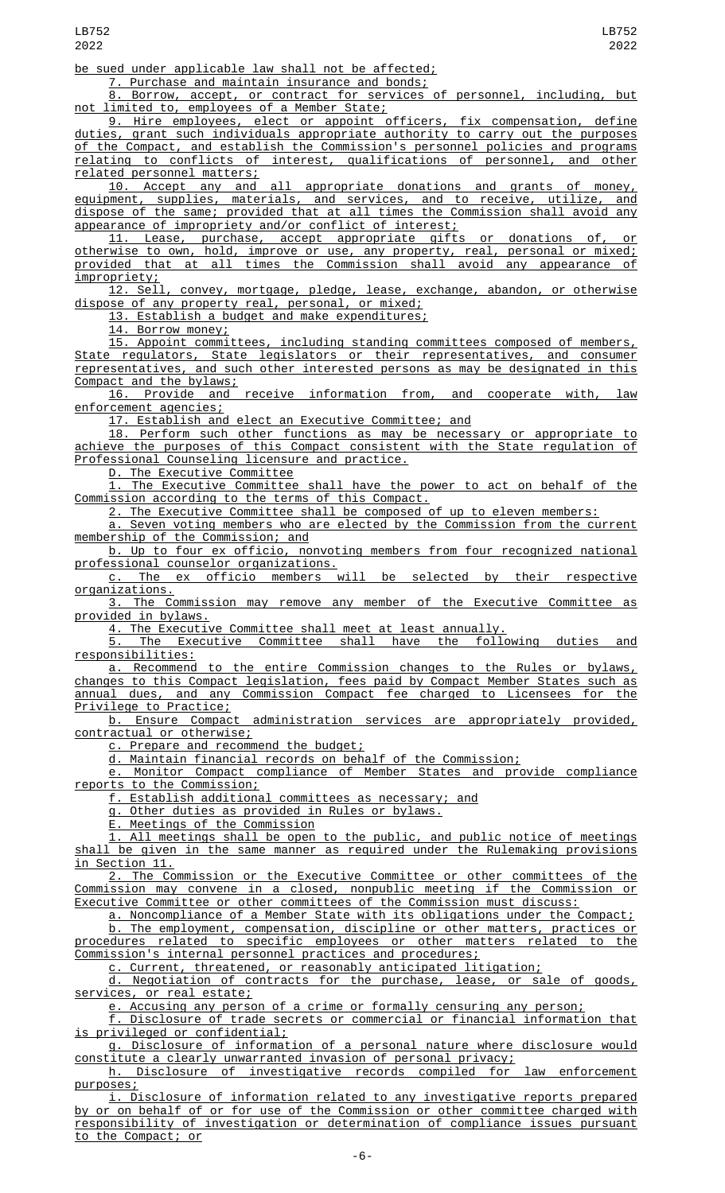be sued under applicable law shall not be affected;

7. Purchase and maintain insurance and bonds;

8. Borrow, accept, or contract for services of personnel, including, but not limited to, employees of a Member State;

9. Hire employees, elect or appoint officers, fix compensation, define duties, grant such individuals appropriate authority to carry out the purposes of the Compact, and establish the Commission's personnel policies and programs<br>relating to conflicts of interest, qualifications of personnel, and other relating to conflicts of interest, qualifications of personnel, and other related personnel matters;

10. Accept any and all appropriate donations and grants of money, equipment, supplies, materials, and services, and to receive, utilize, and dispose of the same; provided that at all times the Commission shall avoid any appearance of impropriety and/or conflict of interest;

11. Lease, purchase, accept appropriate gifts or donations of, or otherwise to own, hold, improve or use, any property, real, personal or mixed; provided that at all times the Commission shall avoid any appearance of impropriety;

12. Sell, convey, mortgage, pledge, lease, exchange, abandon, or otherwise dispose of any property real, personal, or mixed;

13. Establish a budget and make expenditures;

14. Borrow money;

15. Appoint committees, including standing committees composed of members, State regulators, State legislators or their representatives, and consumer representatives, and such other interested persons as may be designated in this Compact and the bylaws;

16. Provide and receive information from, and cooperate with, law enforcement agencies;

17. Establish and elect an Executive Committee; and

18. Perform such other functions as may be necessary or appropriate to achieve the purposes of this Compact consistent with the State regulation of Professional Counseling licensure and practice.

D. The Executive Committee

1. The Executive Committee shall have the power to act on behalf of the Commission according to the terms of this Compact.

2. The Executive Committee shall be composed of up to eleven members:

a. Seven voting members who are elected by the Commission from the current membership of the Commission; and

b. Up to four ex officio, nonvoting members from four recognized national professional counselor organizations.

c. The ex officio members will be selected by their respective organizations.

3. The Commission may remove any member of the Executive Committee as provided in bylaws.

4. The Executive Committee shall meet at least annually.

5. The Executive Committee shall have the following duties and responsibilities:

a. Recommend to the entire Commission changes to the Rules or bylaws, changes to this Compact legislation, fees paid by Compact Member States such as annual dues, and any Commission Compact fee charged to Licensees for the Privilege to Practice;<br>b. Ensure Compact

administration services are appropriately provided, contractual or otherwise;

c. Prepare and recommend the budget;

d. Maintain financial records on behalf of the Commission;

Monitor Compact compliance of Member States and provide compliance e. Monitor Compact c<br>reports to the Commission;

f. Establish additional committees as necessary; and

g. Other duties as provided in Rules or bylaws.

E. Meetings of the Commission

1. All meetings shall be open to the public, and public notice of meetings shall be given in the same manner as required under the Rulemaking provisions Section 11.

2. The Commission or the Executive Committee or other committees of the Commission may convene in a closed, nonpublic meeting if the Commission or Executive Committee or other committees of the Commission must discuss:

a. Noncompliance of a Member State with its obligations under the Compact;

b. The employment, compensation, discipline or other matters, practices or procedures related to specific employees or other matters related to the Commission's internal personnel practices and procedures;

c. Current, threatened, or reasonably anticipated litigation;

d. Negotiation of contracts for the purchase, lease, or sale of goods, services, or real estate;

e. Accusing any person of a crime or formally censuring any person;

f. Disclosure of trade secrets or commercial or financial information that is privileged or confidential;

g. Disclosure of information of a personal nature where disclosure would constitute a clearly unwarranted invasion of personal privacy;

h. Disclosure of investigative records compiled for law enforcement purposes;

i. Disclosure of information related to any investigative reports prepared by or on behalf of or for use of the Commission or other committee charged with responsibility of investigation or determination of compliance issues pursuant to the Compact; or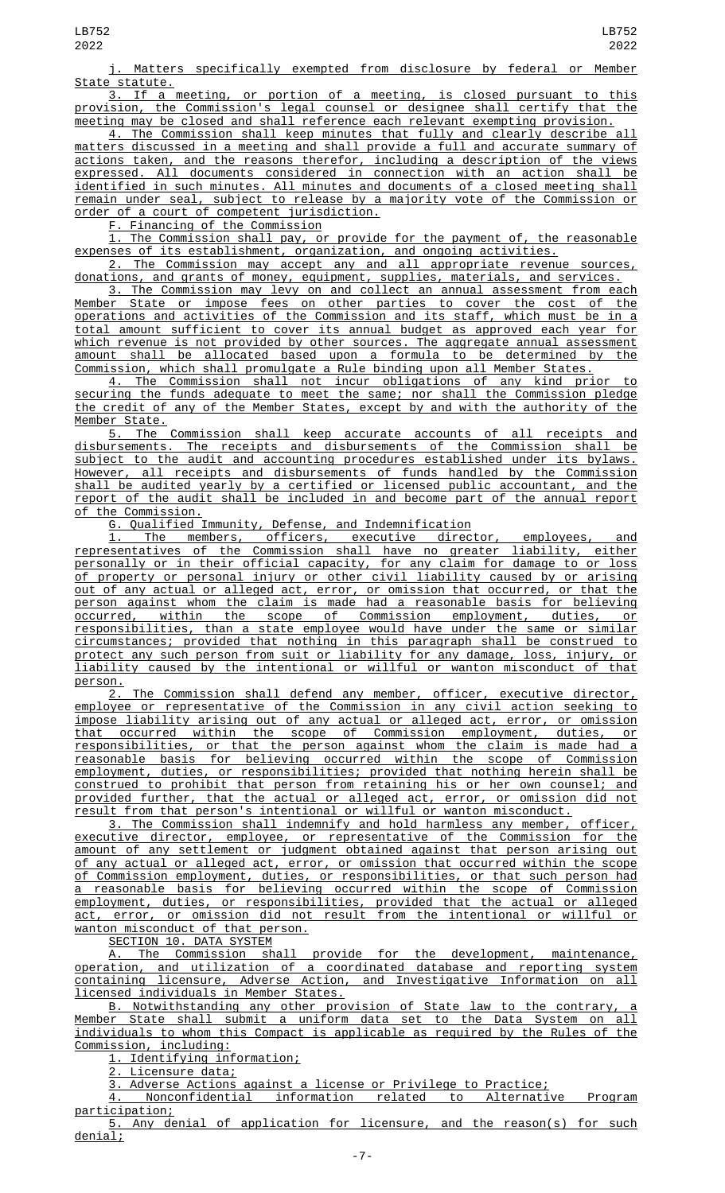j. Matters specifically exempted from disclosure by federal or Member State statute.

3. If a meeting, or portion of a meeting, is closed pursuant to this provision, the Commission's legal counsel or designee shall certify that the meeting may be closed and shall reference each relevant exempting provision.

4. The Commission shall keep minutes that fully and clearly describe all matters discussed in a meeting and shall provide a full and accurate summary of actions taken, and the reasons therefor, including a description of the views expressed. All documents considered in connection with an action shall be identified in such minutes. All minutes and documents of a closed meeting shall remain under seal, subject to release by a majority vote of the Commission or order of a court of competent jurisdiction.

F. Financing of the Commission

1. The Commission shall pay, or provide for the payment of, the reasonable expenses of its establishment, organization, and ongoing activities.

2. The Commission may accept any and all appropriate revenue sources, donations, and grants of money, equipment, supplies, materials, and services.

3. The Commission may levy on and collect an annual assessment from each Member State or impose fees on other parties to cover the cost of the operations and activities of the Commission and its staff, which must be in a total amount sufficient to cover its annual budget as approved each year for which revenue is not provided by other sources. The aggregate annual assessment amount shall be allocated based upon a formula to be determined by the Commission, which shall promulgate a Rule binding upon all Member States.

4. The Commission shall not incur obligations of any kind prior to securing the funds adequate to meet the same; nor shall the Commission pledge the credit of any of the Member States, except by and with the authority of the Member State.

5. The Commission shall keep accurate accounts of all receipts and disbursements. The receipts and disbursements of the Commission shall be subject to the audit and accounting procedures established under its bylaws. However, all receipts and disbursements of funds handled by the Commission shall be audited yearly by a certified or licensed public accountant, and the report of the audit shall be included in and become part of the annual report of the Commission.

G. Qualified Immunity, Defense, and Indemnification

1. The members, officers, executive director, employees, and representatives of the Commission shall have no greater liability, either personally or in their official capacity, for any claim for damage to or loss of property or personal injury or other civil liability caused by or arising <u>out of any actual or alleged act, error, or omission that occurred, or that the</u> person against whom the claim is made had a reasonable basis for believing occurred, within the scope of Commission employment, duties, or responsibilities, than a state employee would have under the same or similar circumstances; provided that nothing in this paragraph shall be construed to protect any such person from suit or liability for any damage, loss, injury, or liability caused by the intentional or willful or wanton misconduct of that

 $\frac{\text{person.}}{2.}$ The Commission shall defend any member, officer, executive director, employee or representative of the Commission in any civil action seeking to impose liability arising out of any actual or alleged act, error, or omission that occurred within the scope of Commission employment, duties, or responsibilities, or that the person against whom the claim is made had a reasonable basis for believing occurred within the scope of Commission employment, duties, or responsibilities; provided that nothing herein shall be construed to prohibit that person from retaining his or her own counsel; and provided further, that the actual or alleged act, error, or omission did not result from that person's intentional or willful or wanton misconduct.

3. The Commission shall indemnify and hold harmless any member, officer, executive director, employee, or representative of the Commission for the amount of any settlement or judgment obtained against that person arising out of any actual or alleged act, error, or omission that occurred within the scope of Commission employment, duties, or responsibilities, or that such person had a reasonable basis for believing occurred within the scope of Commission employment, duties, or responsibilities, provided that the actual or alleged act, error, or omission did not result from the intentional or willful or wanton misconduct of that person.

SECTION 10. DATA SYSTEM

A. The Commission shall provide for the development, maintenance, operation, and utilization of a coordinated database and reporting system containing licensure, Adverse Action, and Investigative Information on all licensed individuals in Member States.

B. Notwithstanding any other provision of State law to the contrary, a Member State shall submit a uniform data set to the Data System on all individuals to whom this Compact is applicable as required by the Rules of the Commission, including:

1. Identifying information;

2. Licensure data;

3. Adverse Actions against a license or Privilege to Practice;

Nonconfidential information related to Alternative Program participation;

5. Any denial of application for licensure, and the reason(s) for such denial;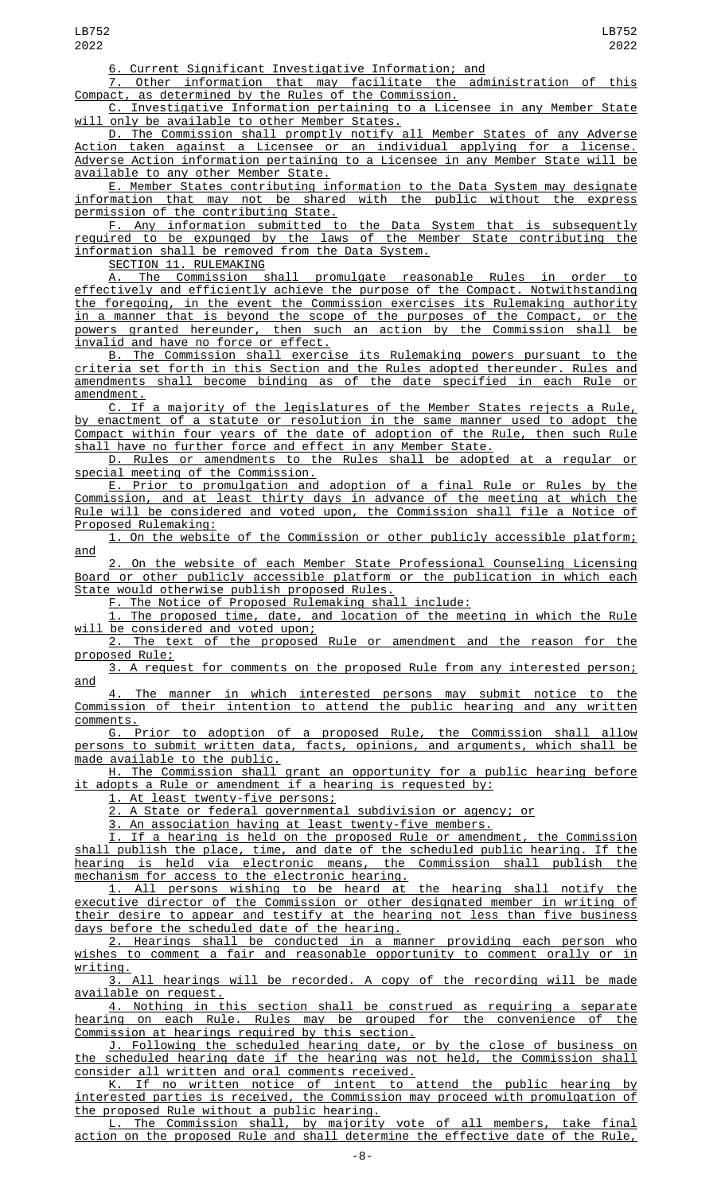6. Current Significant Investigative Information; and

7. Other information that may facilitate the administration of this Compact, as determined by the Rules of the Commission.

Investigative Information pertaining to a Licensee in any Member State will only be available to other Member States.

D. The Commission shall promptly notify all Member States of any Adverse Action taken against a Licensee or an individual applying for a license. Adverse Action information pertaining to a Licensee in any Member State will be available to any other Member State.

E. Member States contributing information to the Data System may designate information that may not be shared with the public without the express permission of the contributing State.

F. Any information submitted to the Data System that is subsequently required to be expunged by the laws of the Member State contributing the information shall be removed from the Data System.

SECTION 11. RULEMAKING

A. The Commission shall promulgate reasonable Rules in order to effectively and efficiently achieve the purpose of the Compact. Notwithstanding the foregoing, in the event the Commission exercises its Rulemaking authority in a manner that is beyond the scope of the purposes of the Compact, or the powers granted hereunder, then such an action by the Commission shall be invalid and have no force or effect.

B. The Commission shall exercise its Rulemaking powers pursuant to the criteria set forth in this Section and the Rules adopted thereunder. Rules and amendments shall become binding as of the date specified in each Rule or amendment.

C. If a majority of the legislatures of the Member States rejects a Rule, by enactment of a statute or resolution in the same manner used to adopt the Compact within four years of the date of adoption of the Rule, then such Rule shall have no further force and effect in any Member State.

D. Rules or amendments to the Rules shall be adopted at a regular or special meeting of the Commission.

E. Prior to promulgation and adoption of a final Rule or Rules by the Commission, and at least thirty days in advance of the meeting at which the Rule will be considered and voted upon, the Commission shall file a Notice of Proposed Rulemaking:

1. On the website of the Commission or other publicly accessible platform; and

2. On the website of each Member State Professional Counseling Licensing Board or other publicly accessible platform or the publication in which each State would otherwise publish proposed Rules.

F. The Notice of Proposed Rulemaking shall include:

1. The proposed time, date, and location of the meeting in which the Rule will be considered and voted upon;

2. The text of the proposed Rule or amendment and the reason for the proposed Rule;

3. A request for comments on the proposed Rule from any interested person; and

4. The manner in which interested persons may submit notice to the Commission of their intention to attend the public hearing and any written

comments.<br><u>G.</u> G. Prior to adoption of a proposed Rule, the Commission shall allow persons to submit written data, facts, opinions, and arguments, which shall be made available to the public.

H. The Commission shall grant an opportunity for a public hearing before it adopts a Rule or amendment if a hearing is requested by:

1. At least twenty-five persons;<br>2. A State or federal government.

A State or federal governmental subdivision or agency; or

3. An association having at least twenty-five members.

I. If a hearing is held on the proposed Rule or amendment, the Commission shall publish the place, time, and date of the scheduled public hearing. If the<br>hearing is held via electronic means, the Commission shall publish the hearing is held via electronic means, the Commission shall publish the mechanism for access to the electronic hearing.

1. All persons wishing to be heard at the hearing shall notify the executive director of the Commission or other designated member in writing of their desire to appear and testify at the hearing not less than five business days before the scheduled date of the hearing.

2. Hearings shall be conducted in a manner providing each person who wishes to comment a fair and reasonable opportunity to comment orally or in writing.

3. All hearings will be recorded. A copy of the recording will be made available on request.

4. Nothing in this section shall be construed as requiring a separate hearing on each Rule. Rules may be grouped for the convenience of the Commission at hearings required by this section.

J. Following the scheduled hearing date, or by the close of business on the scheduled hearing date if the hearing was not held, the Commission shall consider all written and oral comments received.

K. If no written notice of intent to attend the public hearing by interested parties is received, the Commission may proceed with promulgation of the proposed Rule without a public hearing.

L. The Commission shall, by majority vote of all members, take final action on the proposed Rule and shall determine the effective date of the Rule,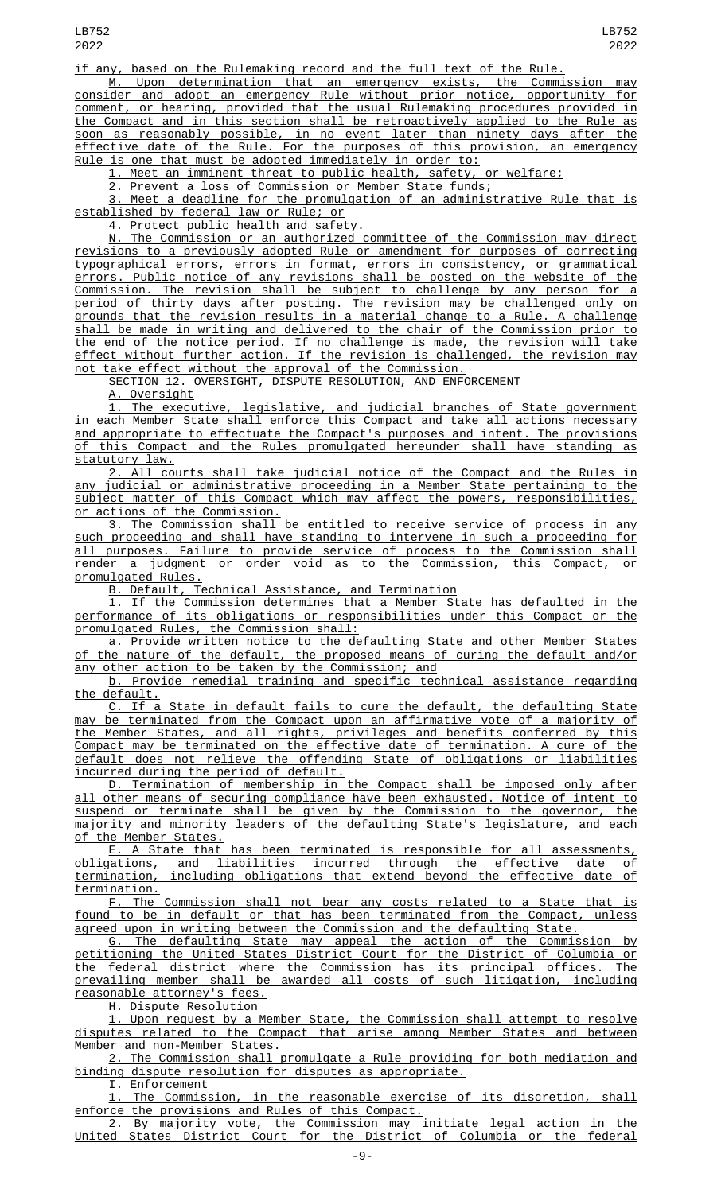if any, based on the Rulemaking record and the full text of the Rule.

M. Upon determination that an emergency exists, the Commission may consider and adopt an emergency Rule without prior notice, opportunity for comment, or hearing, provided that the usual Rulemaking procedures provided in the Compact and in this section shall be retroactively applied to the Rule as soon as reasonably possible, in no event later than ninety days after the effective date of the Rule. For the purposes of this provision, an emergency Rule is one that must be adopted immediately in order to:

1. Meet an imminent threat to public health, safety, or welfare;

2. Prevent a loss of Commission or Member State funds;

3. Meet a deadline for the promulgation of an administrative Rule that is established by federal law or Rule; or

4. Protect public health and safety.

N. The Commission or an authorized committee of the Commission may direct revisions to a previously adopted Rule or amendment for purposes of correcting typographical errors, errors in format, errors in consistency, or grammatical errors. Public notice of any revisions shall be posted on the website of the Commission. The revision shall be subject to challenge by any person for a period of thirty days after posting. The revision may be challenged only on grounds that the revision results in a material change to a Rule. A challenge shall be made in writing and delivered to the chair of the Commission prior to the end of the notice period. If no challenge is made, the revision will take effect without further action. If the revision is challenged, the revision may not take effect without the approval of the Commission.

SECTION 12. OVERSIGHT, DISPUTE RESOLUTION, AND ENFORCEMENT

A. Oversight

1. The executive, legislative, and judicial branches of State government in each Member State shall enforce this Compact and take all actions necessary and appropriate to effectuate the Compact's purposes and intent. The provisions of this Compact and the Rules promulgated hereunder shall have standing as statutory law.

2. All courts shall take judicial notice of the Compact and the Rules in any judicial or administrative proceeding in a Member State pertaining to the subject matter of this Compact which may affect the powers, responsibilities, or actions of the Commission.

3. The Commission shall be entitled to receive service of process in any such proceeding and shall have standing to intervene in such a proceeding for all purposes. Failure to provide service of process to the Commission shall render a judgment or order void as to the Commission, this Compact, or promulgated Rules.

B. Default, Technical Assistance, and Termination

1. If the Commission determines that a Member State has defaulted in the performance of its obligations or responsibilities under this Compact or the promulgated Rules, the Commission shall:

a. Provide written notice to the defaulting State and other Member States of the nature of the default, the proposed means of curing the default and/or any other action to be taken by the Commission; and

b. Provide remedial training and specific technical assistance regarding the default.

C. If a State in default fails to cure the default, the defaulting State may be terminated from the Compact upon an affirmative vote of a majority of the Member States, and all rights, privileges and benefits conferred by this Compact may be terminated on the effective date of termination. A cure of the default does not relieve the offending State of obligations or liabilities incurred during the period of default.

D. Termination of membership in the Compact shall be imposed only after other means of securing compliance have been exhausted. Notice of intent to suspend or terminate shall be given by the Commission to the governor, the majority and minority leaders of the defaulting State's legislature, and each of the Member States.

E. A State that has been terminated is responsible for all assessments, obligations, and liabilities incurred through the effective date of termination, including obligations that extend beyond the effective date of termination.

F. The Commission shall not bear any costs related to a State that is found to be in default or that has been terminated from the Compact, unless agreed upon in writing between the Commission and the defaulting State.

G. The defaulting State may appeal the action of the Commission by petitioning the United States District Court for the District of Columbia or the federal district where the Commission has its principal offices. The prevailing member shall be awarded all costs of such litigation, including reasonable attorney's fees.

H. Dispute Resolution

1. Upon request by a Member State, the Commission shall attempt to resolve disputes related to the Compact that arise among Member States and between Member and non-Member States.

2. The Commission shall promulgate a Rule providing for both mediation and binding dispute resolution for disputes as appropriate.

<u>I. Enforcement</u><br><u>1. The Commission,</u> 1. The Commission, in the reasonable exercise of its discretion, shall enforce the provisions and Rules of this Compact.

2. By majority vote, the Commission may initiate legal action in the United States District Court for the District of Columbia or the federal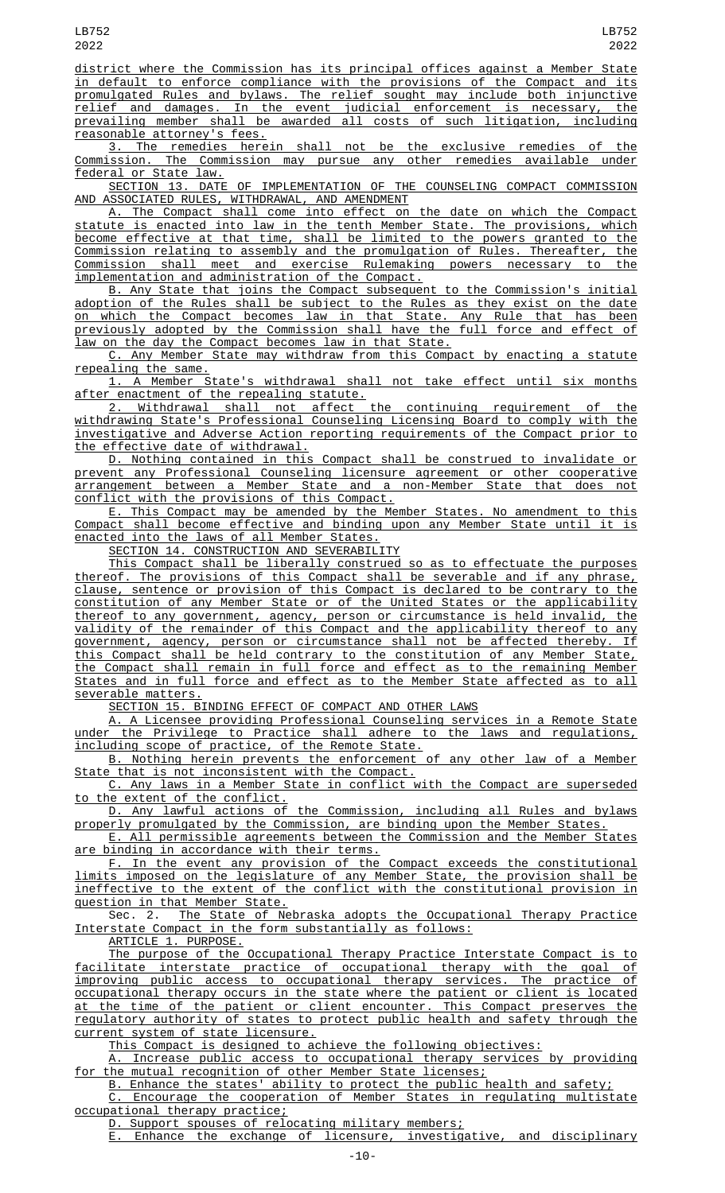district where the Commission has its principal offices against a Member State in default to enforce compliance with the provisions of the Compact and its promulgated Rules and bylaws. The relief sought may include both injunctive relief and damages. In the event judicial enforcement is necessary, the prevailing member shall be awarded all costs of such litigation, including reasonable attorney's fees.

3. The remedies herein shall not be the exclusive remedies of the Commission. The Commission may pursue any other remedies available under federal or State law.

SECTION 13. DATE OF IMPLEMENTATION OF THE COUNSELING COMPACT COMMISSION AND ASSOCIATED RULES, WITHDRAWAL, AND AMENDMENT

A. The Compact shall come into effect on the date on which the Compact statute is enacted into law in the tenth Member State. The provisions, which become effective at that time, shall be limited to the powers granted to the Commission relating to assembly and the promulgation of Rules. Thereafter, the Commission shall meet and exercise Rulemaking powers necessary to the implementation and administration of the Compact.

B. Any State that joins the Compact subsequent to the Commission's initial adoption of the Rules shall be subject to the Rules as they exist on the date on which the Compact becomes law in that State. Any Rule that has been previously adopted by the Commission shall have the full force and effect of law on the day the Compact becomes law in that State.

C. Any Member State may withdraw from this Compact by enacting a statute repealing the same.

1. A Member State's withdrawal shall not take effect until six months after enactment of the repealing statute.

2. Withdrawal shall not affect the continuing requirement of the withdrawing State's Professional Counseling Licensing Board to comply with the investigative and Adverse Action reporting requirements of the Compact prior to the effective date of withdrawal.

D. Nothing contained in this Compact shall be construed to invalidate or prevent any Professional Counseling licensure agreement or other cooperative arrangement between a Member State and a non-Member State that does not conflict with the provisions of this Compact.

E. This Compact may be amended by the Member States. No amendment to this Compact shall become effective and binding upon any Member State until it is enacted into the laws of all Member States.

SECTION 14. CONSTRUCTION AND SEVERABILITY

This Compact shall be liberally construed so as to effectuate the purposes thereof. The provisions of this Compact shall be severable and if any phrase, clause, sentence or provision of this Compact is declared to be contrary to the constitution of any Member State or of the United States or the applicability thereof to any government, agency, person or circumstance is held invalid, the validity of the remainder of this Compact and the applicability thereof to any government, agency, person or circumstance shall not be affected thereby. If this Compact shall be held contrary to the constitution of any Member State, the Compact shall remain in full force and effect as to the remaining Member States and in full force and effect as to the Member State affected as to all severable matters.

SECTION 15. BINDING EFFECT OF COMPACT AND OTHER LAWS

A. A Licensee providing Professional Counseling services in a Remote State<br>under the Privilege to Practice shall adhere to the laws and regulations, the Privilege to Practice shall adhere to the laws and regulations, including scope of practice, of the Remote State.

B. Nothing herein prevents the enforcement of any other law of a Member State that is not inconsistent with the Compact.

C. Any laws in a Member State in conflict with the Compact are superseded to the extent of the conflict.

D. Any lawful actions of the Commission, including all Rules and bylaws properly promulgated by the Commission, are binding upon the Member States.

E. All permissible agreements between the Commission and the Member States are binding in accordance with their terms.

F. In the event any provision of the Compact exceeds the constitutional limits imposed on the legislature of any Member State, the provision shall be ineffective to the extent of the conflict with the constitutional provision in question in that Member State.

Sec. 2. The State of Nebraska adopts the Occupational Therapy Practice Interstate Compact in the form substantially as follows:

ARTICLE 1. PURPOSE.

The purpose of the Occupational Therapy Practice Interstate Compact is to facilitate interstate practice of occupational therapy with the goal of improving public access to occupational therapy services. The practice of occupational therapy occurs in the state where the patient or client is located at the time of the patient or client encounter. This Compact preserves the regulatory authority of states to protect public health and safety through the current system of state licensure.

This Compact is designed to achieve the following objectives:

A. Increase public access to occupational therapy services by providing for the mutual recognition of other Member State licenses;

B. Enhance the states' ability to protect the public health and safety;

C. Encourage the cooperation of Member States in regulating multistate occupational therapy practice;

D. Support spouses of relocating military members;

Enhance the exchange of licensure, investigative, and disciplinary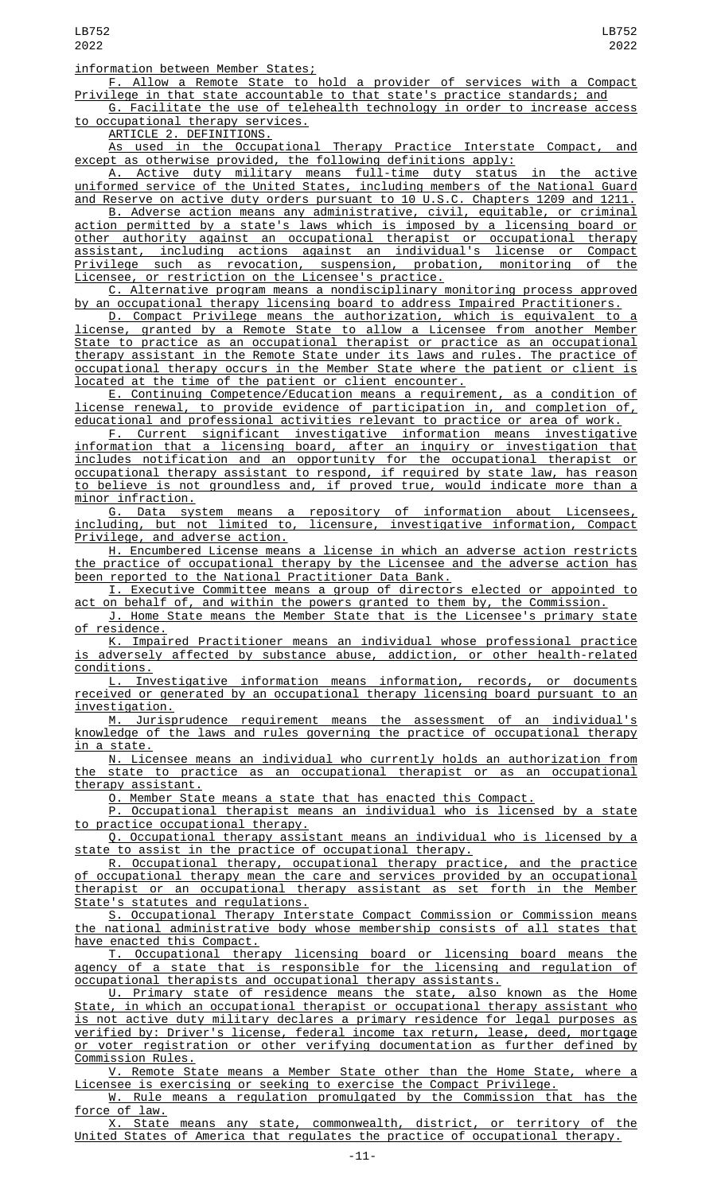## information between Member States;

F. Allow a Remote State to hold a provider of services with a Compact Privilege in that state accountable to that state's practice standards; and

G. Facilitate the use of telehealth technology in order to increase access to occupational therapy services.

ARTICLE 2. DEFINITIONS.

As used in the Occupational Therapy Practice Interstate Compact, and except as otherwise provided, the following definitions apply:

A. Active duty military means full-time duty status in the active uniformed service of the United States, including members of the National Guard and Reserve on active duty orders pursuant to 10 U.S.C. Chapters 1209 and 1211.

B. Adverse action means any administrative, civil, equitable, or criminal action permitted by a state's laws which is imposed by a licensing board or other authority against an occupational therapist or occupational therapy assistant, including actions against an individual's license or Compact Privilege such as revocation, suspension, probation, monitoring of the Licensee, or restriction on the Licensee's practice.

C. Alternative program means a nondisciplinary monitoring process approved by an occupational therapy licensing board to address Impaired Practitioners.

D. Compact Privilege means the authorization, which is equivalent to license, granted by a Remote State to allow a Licensee from another Member State to practice as an occupational therapist or practice as an occupational therapy assistant in the Remote State under its laws and rules. The practice of occupational therapy occurs in the Member State where the patient or client is located at the time of the patient or client encounter.

E. Continuing Competence/Education means a requirement, as a condition of license renewal, to provide evidence of participation in, and completion of, educational and professional activities relevant to practice or area of work.

F. Current significant investigative information means investigative information that a licensing board, after an inquiry or investigation that includes notification and an opportunity for the occupational therapist or occupational therapy assistant to respond, if required by state law, has reason to believe is not groundless and, if proved true, would indicate more than a minor infraction.

G. Data system means a repository of information about Licensees, including, but not limited to, licensure, investigative information, Compact Privilege, and adverse action.

H. Encumbered License means a license in which an adverse action restricts the practice of occupational therapy by the Licensee and the adverse action has been reported to the National Practitioner Data Bank.

I. Executive Committee means a group of directors elected or appointed to <u>act on behalf of, and within the powers granted to them by, the Commission.</u>

J. Home State means the Member State that is the Licensee's primary state of residence.

K. Impaired Practitioner means an individual whose professional practice is adversely affected by substance abuse, addiction, or other health-related conditions.

L. Investigative information means information, records, or documents received or generated by an occupational therapy licensing board pursuant to an investigation.

M. Jurisprudence requirement means the assessment of an individual's knowledge of the laws and rules governing the practice of occupational therapy in a state.

N. Licensee means an individual who currently holds an authorization from the state to practice as an occupational therapist or as an occupational therapy assistant.

O. Member State means a state that has enacted this Compact.

P. Occupational therapist means an individual who is licensed by a state to practice occupational therapy.

Q. Occupational therapy assistant means an individual who is licensed by a state to assist in the practice of occupational therapy.

R. Occupational therapy, occupational therapy practice, and the practice of occupational therapy mean the care and services provided by an occupational therapist or an occupational therapy assistant as set forth in the Member State's statutes and regulations.

S. Occupational Therapy Interstate Compact Commission or Commission means the national administrative body whose membership consists of all states that have enacted this Compact.

T. Occupational therapy licensing board or licensing board means the agency of a state that is responsible for the licensing and regulation of occupational therapists and occupational therapy assistants.

U. Primary state of residence means the state, also known as the Home State, in which an occupational therapist or occupational therapy assistant who is not active duty military declares a primary residence for legal purposes as verified by: Driver's license, federal income tax return, lease, deed, mortgage or voter registration or other verifying documentation as further defined by Commission Rules.

V. Remote State means a Member State other than the Home State, where a <u>Licensee is exercising or seeking to exercise the Compact Privilege.</u><br>W. Rule means a regulation promulgated by the Commission th

Rule means a regulation promulgated by the Commission that has the force of law.

X. State means any state, commonwealth, district, or territory of the United States of America that regulates the practice of occupational therapy.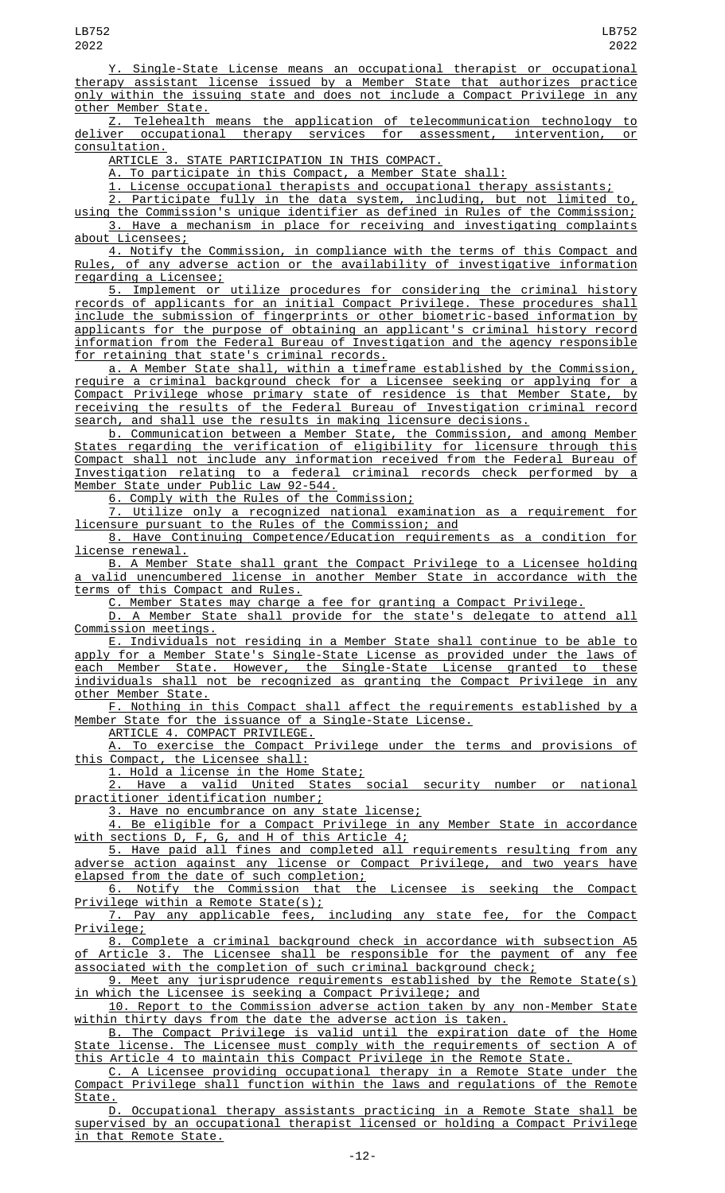Y. Single-State License means an occupational therapist or occupational therapy assistant license issued by a Member State that authorizes practice only within the issuing state and does not include a Compact Privilege in any other Member State.

Z. Telehealth means the application of telecommunication technology to deliver occupational therapy services for assessment, intervention, or <u>consultation.</u><br>ARTICLE 3

STATE PARTICIPATION IN THIS COMPACT.

A. To participate in this Compact, a Member State shall:

1. License occupational therapists and occupational therapy assistants;

2. Participate fully in the data system, including, but not limited to, using the Commission's unique identifier as defined in Rules of the Commission; 3. Have a mechanism in place for receiving and investigating complaints about Licensees;

4. Notify the Commission, in compliance with the terms of this Compact and Rules, of any adverse action or the availability of investigative information regarding a Licensee;

5. Implement or utilize procedures for considering the criminal history records of applicants for an initial Compact Privilege. These procedures shall include the submission of fingerprints or other biometric-based information by applicants for the purpose of obtaining an applicant's criminal history record information from the Federal Bureau of Investigation and the agency responsible for retaining that state's criminal records.

a. A Member State shall, within a timeframe established by the Commission, require a criminal background check for a Licensee seeking or applying for a Compact Privilege whose primary state of residence is that Member State, by receiving the results of the Federal Bureau of Investigation criminal record search, and shall use the results in making licensure decisions.

b. Communication between a Member State, the Commission, and among Member States regarding the verification of eligibility for licensure through this Compact shall not include any information received from the Federal Bureau of Investigation relating to a federal criminal records check performed by a Member State under Public Law 92-544.

6. Comply with the Rules of the Commission;

7. Utilize only a recognized national examination as a requirement for licensure pursuant to the Rules of the Commission; and

8. Have Continuing Competence/Education requirements as a condition for <u>license renewal.</u>

B. A Member State shall grant the Compact Privilege to a Licensee holding valid unencumbered license in another Member State in accordance with the terms of this Compact and Rules.

C. Member States may charge a fee for granting a Compact Privilege.

D. A Member State shall provide for the state's delegate to attend all Commission meetings.

E. Individuals not residing in a Member State shall continue to be able to apply for a Member State's Single-State License as provided under the laws of each Member State. However, the Single-State License granted to these individuals shall not be recognized as granting the Compact Privilege in any other Member State.

F. Nothing in this Compact shall affect the requirements established by a Member State for the issuance of a Single-State License.

ARTICLE 4. COMPACT PRIVILEGE.

To exercise the Compact Privilege under the terms and provisions of this Compact, the Licensee shall:

1. Hold a license in the Home State;

2. Have a valid United States social security number or national practitioner identification number;

3. Have no encumbrance on any state license;

4. Be eligible for a Compact Privilege in any Member State in accordance with sections D, F, G, and H of this Article 4;

5. Have paid all fines and completed all requirements resulting from any adverse action against any license or Compact Privilege, and two years have elapsed from the date of such completion;<br><u>6. Notify the Commission that the Licensee is seeking the Compact</u>

6. Notify the Commission that the Licensee is seeking the Compact Privilege within a Remote State(s);

7. Pay any applicable fees, including any state fee, for the Compact Privilege;

8. Complete a criminal background check in accordance with subsection A5 of Article 3. The Licensee shall be responsible for the payment of any fee associated with the completion of such criminal background check;

9. Meet any jurisprudence requirements established by the Remote State(s) in which the Licensee is seeking a Compact Privilege; and

10. Report to the Commission adverse action taken by any non-Member State within thirty days from the date the adverse action is taken.

B. The Compact Privilege is valid until the expiration date of the Home State license. The Licensee must comply with the requirements of section A of this Article 4 to maintain this Compact Privilege in the Remote State.

C. A Licensee providing occupational therapy in a Remote State under the Compact Privilege shall function within the laws and regulations of the Remote State.

D. Occupational therapy assistants practicing in a Remote State shall be supervised by an occupational therapist licensed or holding a Compact Privilege in that Remote State.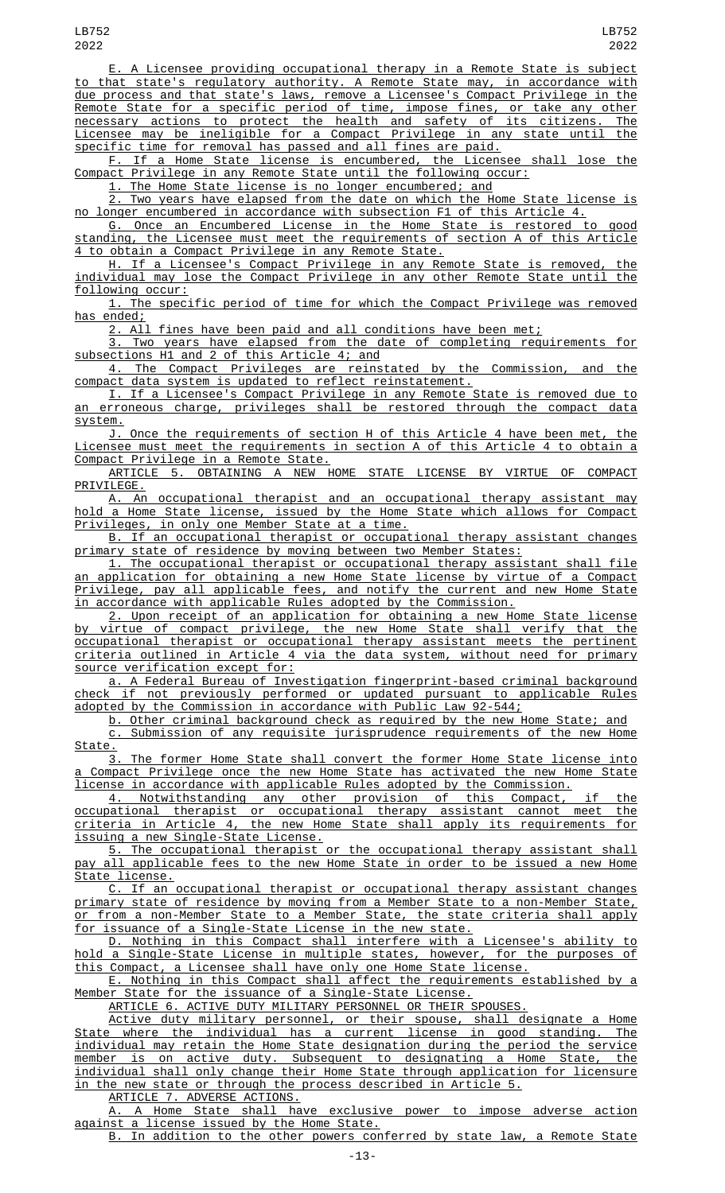E. A Licensee providing occupational therapy in a Remote State is subject to that state's regulatory authority. A Remote State may, in accordance with due process and that state's laws, remove a Licensee's Compact Privilege in the Remote State for a specific period of time, impose fines, or take any other necessary actions to protect the health and safety of its citizens. The Licensee may be ineligible for a Compact Privilege in any state until the specific time for removal has passed and all fines are paid.

F. If a Home State license is encumbered, the Licensee shall lose the Compact Privilege in any Remote State until the following occur:

1. The Home State license is no longer encumbered; and

2. Two years have elapsed from the date on which the Home State license is no longer encumbered in accordance with subsection F1 of this Article 4.

G. Once an Encumbered License in the Home State is restored to good standing, the Licensee must meet the requirements of section A of this Article 4 to obtain a Compact Privilege in any Remote State.

H. If a Licensee's Compact Privilege in any Remote State is removed, the individual may lose the Compact Privilege in any other Remote State until the following occur:

1. The specific period of time for which the Compact Privilege was removed ended;

2. All fines have been paid and all conditions have been met;

3. Two years have elapsed from the date of completing requirements for subsections H1 and 2 of this Article 4; and

4. The Compact Privileges are reinstated by the Commission, and the compact data system is updated to reflect reinstatement.

I. If a Licensee's Compact Privilege in any Remote State is removed due to an erroneous charge, privileges shall be restored through the compact data system.

J. Once the requirements of section H of this Article 4 have been met, the Licensee must meet the requirements in section A of this Article 4 to obtain a Compact Privilege in a Remote State.

ARTICLE 5. OBTAINING A NEW HOME STATE LICENSE BY VIRTUE OF COMPACT PRIVILEGE.

A. An occupational therapist and an occupational therapy assistant may hold a Home State license, issued by the Home State which allows for Compact Privileges, in only one Member State at a time.

B. If an occupational therapist or occupational therapy assistant changes primary state of residence by moving between two Member States:

1. The occupational therapist or occupational therapy assistant shall file an application for obtaining a new Home State license by virtue of a Compact Privilege, pay all applicable fees, and notify the current and new Home State in accordance with applicable Rules adopted by the Commission.

2. Upon receipt of an application for obtaining a new Home State license by virtue of compact privilege, the new Home State shall verify that the occupational therapist or occupational therapy assistant meets the pertinent criteria outlined in Article 4 via the data system, without need for primary source verification except for:

a. A Federal Bureau of Investigation fingerprint-based criminal background check if not previously performed or updated pursuant to applicable Rules adopted by the Commission in accordance with Public Law 92-544;

b. Other criminal background check as required by the new Home State; and c. Submission of any requisite jurisprudence requirements of the new Home State.

3. The former Home State shall convert the former Home State license into a Compact Privilege once the new Home State has activated the new Home State license in accordance with applicable Rules adopted by the Commission.

4. Notwithstanding any other provision of this Compact, if the occupational therapist or occupational therapy assistant cannot meet the criteria in Article 4, the new Home State shall apply its requirements for issuing a new Single-State License.

5. The occupational therapist or the occupational therapy assistant shall pay all applicable fees to the new Home State in order to be issued a new Home State license.

C. If an occupational therapist or occupational therapy assistant changes primary state of residence by moving from a Member State to a non-Member State, or from a non-Member State to a Member State, the state criteria shall apply for issuance of a Single-State License in the new state.

D. Nothing in this Compact shall interfere with a Licensee's ability to hold a Single-State License in multiple states, however, for the purposes of this Compact, a Licensee shall have only one Home State license.

E. Nothing in this Compact shall affect the requirements established by a Member State for the issuance of a Single-State License.

ARTICLE 6. ACTIVE DUTY MILITARY PERSONNEL OR THEIR SPOUSES.

Active duty military personnel, or their spouse, shall designate a Home State where the individual has a current license in good standing. The individual may retain the Home State designation during the period the service member is on active duty. Subsequent to designating a Home State, the individual shall only change their Home State through application for licensure in the new state or through the process described in Article 5.

ARTICLE 7. ADVERSE ACTIONS.

A. A Home State shall have exclusive power to impose adverse action against a license issued by the Home State.

In addition to the other powers conferred by state law, a Remote State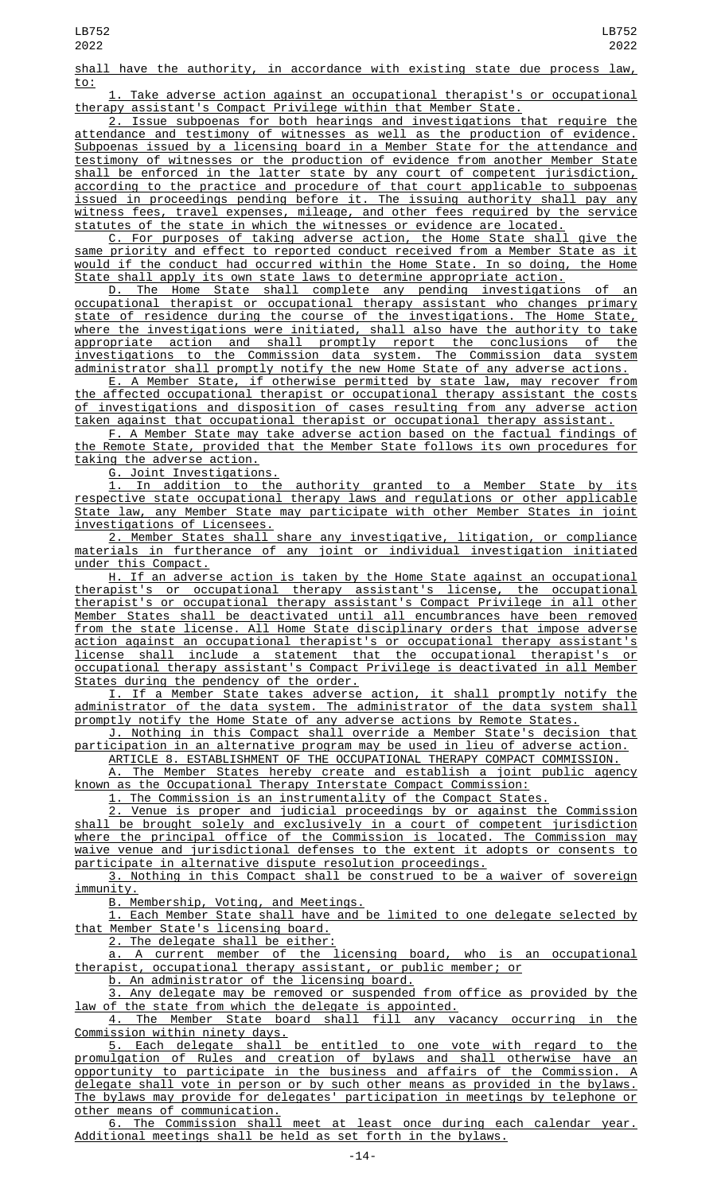shall have the authority, in accordance with existing state due process law, to:

Take adverse action against an occupational therapist's or occupational therapy assistant's Compact Privilege within that Member State.

2. Issue subpoenas for both hearings and investigations that require the attendance and testimony of witnesses as well as the production of evidence. Subpoenas issued by a licensing board in a Member State for the attendance and testimony of witnesses or the production of evidence from another Member State shall be enforced in the latter state by any court of competent jurisdiction, according to the practice and procedure of that court applicable to subpoenas issued in proceedings pending before it. The issuing authority shall pay any witness fees, travel expenses, mileage, and other fees required by the service statutes of the state in which the witnesses or evidence are located.

C. For purposes of taking adverse action, the Home State shall give the same priority and effect to reported conduct received from a Member State as it would if the conduct had occurred within the Home State. In so doing, the Home State shall apply its own state laws to determine appropriate action.

D. The Home State shall complete any pending investigations of an occupational therapist or occupational therapy assistant who changes primary state of residence during the course of the investigations. The Home State, where the investigations were initiated, shall also have the authority to take appropriate action and shall promptly report the conclusions of the investigations to the Commission data system. The Commission data system administrator shall promptly notify the new Home State of any adverse actions.

E. A Member State, if otherwise permitted by state law, may recover from the affected occupational therapist or occupational therapy assistant the costs of investigations and disposition of cases resulting from any adverse action taken against that occupational therapist or occupational therapy assistant.

F. A Member State may take adverse action based on the factual findings of the Remote State, provided that the Member State follows its own procedures for taking the adverse action.

G. Joint Investigations.

1. In addition to the authority granted to a Member State by its respective state occupational therapy laws and regulations or other applicable State law, any Member State may participate with other Member States in joint investigations of Licensees.

2. Member States shall share any investigative, litigation, or compliance materials in furtherance of any joint or individual investigation initiated under this Compact.

H. If an adverse action is taken by the Home State against an occupational therapist's or occupational therapy assistant's license, the occupational therapist's or occupational therapy assistant's Compact Privilege in all other Member States shall be deactivated until all encumbrances have been removed from the state license. All Home State disciplinary orders that impose adverse action against an occupational therapist's or occupational therapy assistant's license shall include a statement that the occupational therapist's or occupational therapy assistant's Compact Privilege is deactivated in all Member **States during the pendency of the order.** 

I. If a Member State takes adverse action, it shall promptly notify the administrator of the data system. The administrator of the data system shall promptly notify the Home State of any adverse actions by Remote States.

J. Nothing in this Compact shall override a Member State's decision that participation in an alternative program may be used in lieu of adverse action.

ARTICLE 8. ESTABLISHMENT OF THE OCCUPATIONAL THERAPY COMPACT COMMISSION. A. The Member States hereby create and establish a joint public agency known as the Occupational Therapy Interstate Compact Commission:

1. The Commission is an instrumentality of the Compact States.

2. Venue is proper and judicial proceedings by or against the Commission shall be brought solely and exclusively in a court of competent jurisdiction where the principal office of the Commission is located. The Commission may waive venue and jurisdictional defenses to the extent it adopts or consents to participate in alternative dispute resolution proceedings.

3. Nothing in this Compact shall be construed to be a waiver of sovereign immunity.

B. Membership, Voting, and Meetings.

1. Each Member State shall have and be limited to one delegate selected by that Member State's licensing board.

2. The delegate shall be either:

a. A current member of the licensing board, who is an occupational therapist, occupational therapy assistant, or public member; or

b. An administrator of the licensing board.

3. Any delegate may be removed or suspended from office as provided by the law of the state from which the delegate is appointed.

4. The Member State board shall fill any vacancy occurring in the Commission within ninety days.

5. Each delegate shall be entitled to one vote with regard to the promulgation of Rules and creation of bylaws and shall otherwise have an opportunity to participate in the business and affairs of the Commission. A delegate shall vote in person or by such other means as provided in the bylaws. The bylaws may provide for delegates' participation in meetings by telephone or other means of communication.

6. The Commission shall meet at least once during each calendar year. Additional meetings shall be held as set forth in the bylaws.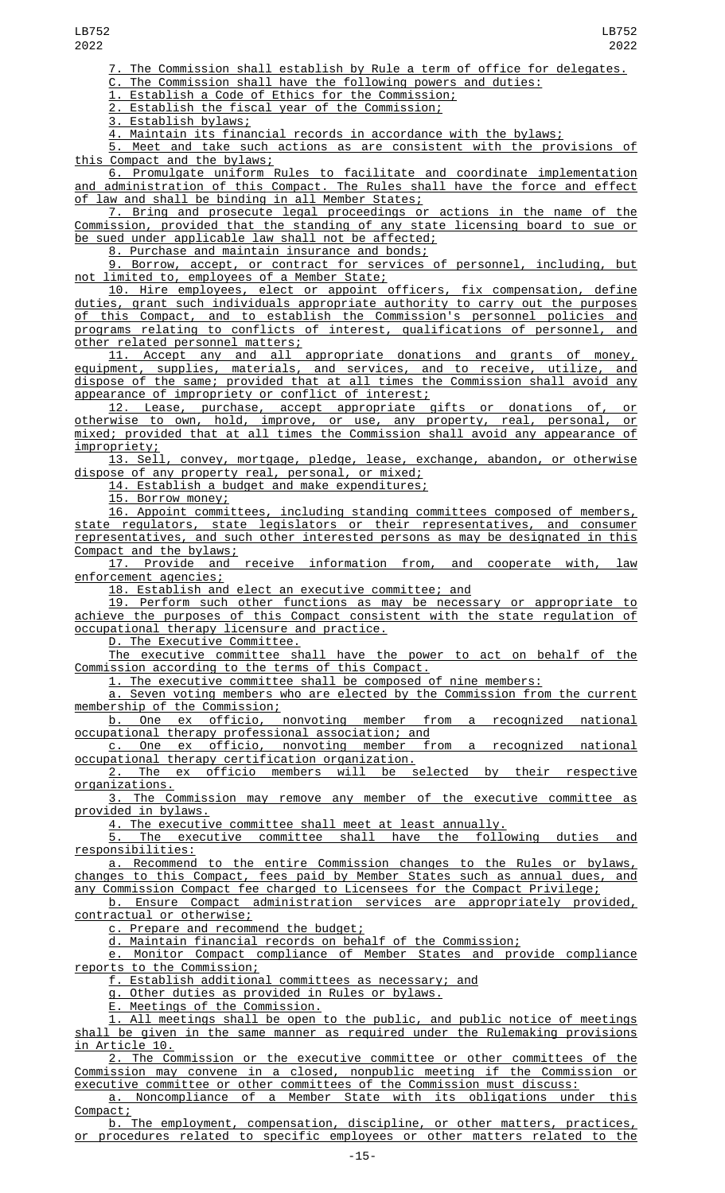The Commission shall establish by Rule a term of office for delegates.

C. The Commission shall have the following powers and duties:

1. Establish a Code of Ethics for the Commission;

2. Establish the fiscal year of the Commission;

3. Establish bylaws;

<u>4. Maintain its financial records in accordance with the bylaws;</u><br>5. Meet and take such actions as are <u>consistent with the pro</u>

Meet and take such actions as are consistent with the provisions of this Compact and the bylaws;

6. Promulgate uniform Rules to facilitate and coordinate implementation and administration of this Compact. The Rules shall have the force and effect of law and shall be binding in all Member States;

7. Bring and prosecute legal proceedings or actions in the name of the Commission, provided that the standing of any state licensing board to sue or be sued under applicable law shall not be affected;

8. Purchase and maintain insurance and bonds;

9. Borrow, accept, or contract for services of personnel, including, but not limited to, employees of a Member State;

10. Hire employees, elect or appoint officers, fix compensation, define duties, grant such individuals appropriate authority to carry out the purposes of this Compact, and to establish the Commission's personnel policies and programs relating to conflicts of interest, qualifications of personnel, and other related personnel matters;

11. Accept any and all appropriate donations and grants of money, equipment, supplies, materials, and services, and to receive, utilize, and dispose of the same; provided that at all times the Commission shall avoid any appearance of impropriety or conflict of interest;

12. Lease, purchase, accept appropriate gifts or donations of, or otherwise to own, hold, improve, or use, any property, real, personal, or mixed; provided that at all times the Commission shall avoid any appearance of impropriety;

13. Sell, convey, mortgage, pledge, lease, exchange, abandon, or otherwise dispose of any property real, personal, or mixed;

14. Establish a budget and make expenditures;

15. Borrow money;

16. Appoint committees, including standing committees composed of members, state regulators, state legislators or their representatives, and consumer representatives, and such other interested persons as may be designated in this Compact and the bylaws;

17. Provide and receive information from, and cooperate with, law enforcement agencies;

18. Establish and elect an executive committee; and

19. Perform such other functions as may be necessary or appropriate to achieve the purposes of this Compact consistent with the state regulation of occupational therapy licensure and practice.

D. The Executive Committee.

The executive committee shall have the power to act on behalf of the Commission according to the terms of this Compact.

1. The executive committee shall be composed of nine members:

a. Seven voting members who are elected by the Commission from the current membership of the Commission;

b. One ex officio, nonvoting member from a recognized national occupational therapy professional association; and

c. One ex officio, nonvoting member from a recognized national occupational therapy certification organization.

2. The ex officio members will be selected by their respective organizations.

3. The Commission may remove any member of the executive committee as provided in bylaws.

4. The executive committee shall meet at least annually.

5. The executive committee shall have the following duties and responsibilities:

a. Recommend to the entire Commission changes to the Rules or bylaws, changes to this Compact, fees paid by Member States such as annual dues, and any Commission Compact fee charged to Licensees for the Compact Privilege;

b. Ensure Compact administration services are appropriately provided, contractual or otherwise;

c. Prepare and recommend the budget;

d. Maintain financial records on behalf of the Commission;

e. Monitor Compact compliance of Member States and provide compliance reports to the Commission;

f. Establish additional committees as necessary; and

g. Other duties as provided in Rules or bylaws.

E. Meetings of the Commission.

1. All meetings shall be open to the public, and public notice of meetings shall be given in the same manner as required under the Rulemaking provisions in Article 10.

2. The Commission or the executive committee or other committees of the Commission may convene in a closed, nonpublic meeting if the Commission or executive committee or other committees of the Commission must discuss:

a. Noncompliance of a Member State with its obligations under this Compact;

b. The employment, compensation, discipline, or other matters, practices, or procedures related to specific employees or other matters related to the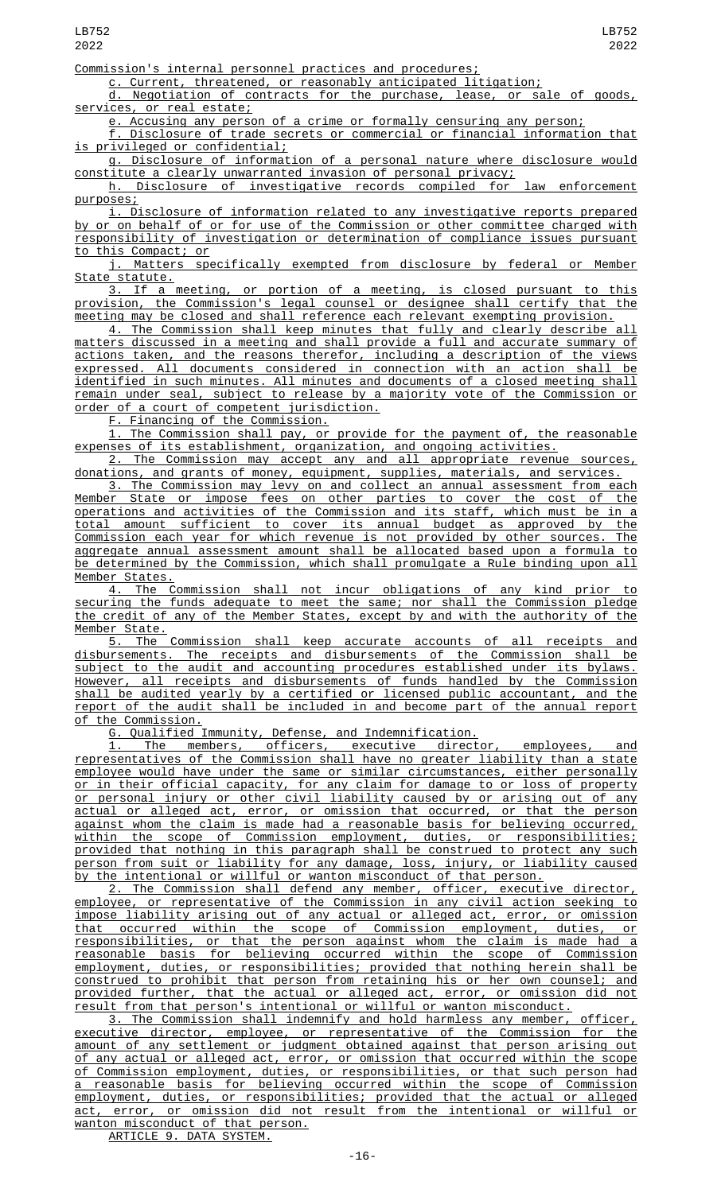Commission's internal personnel practices and procedures;

c. Current, threatened, or reasonably anticipated litigation;

d. Negotiation of contracts for the purchase, lease, or sale of goods, services, or real estate;

e. Accusing any person of a crime or formally censuring any person;

f. Disclosure of trade secrets or commercial or financial information that is privileged or confidential;

g. Disclosure of information of a personal nature where disclosure would constitute a clearly unwarranted invasion of personal privacy;

h. Disclosure of investigative records compiled for law enforcement purposes;

i. Disclosure of information related to any investigative reports prepared by or on behalf of or for use of the Commission or other committee charged with responsibility of investigation or determination of compliance issues pursuant to this Compact; or

j. Matters specifically exempted from disclosure by federal or Member State statute.

3. If a meeting, or portion of a meeting, is closed pursuant to this provision, the Commission's legal counsel or designee shall certify that the meeting may be closed and shall reference each relevant exempting provision.

4. The Commission shall keep minutes that fully and clearly describe all matters discussed in a meeting and shall provide a full and accurate summary of actions taken, and the reasons therefor, including a description of the views expressed. All documents considered in connection with an action shall be identified in such minutes. All minutes and documents of a closed meeting shall remain under seal, subject to release by a majority vote of the Commission or order of a court of competent jurisdiction.

F. Financing of the Commission.

1. The Commission shall pay, or provide for the payment of, the reasonable expenses of its establishment, organization, and ongoing activities.

2. The Commission may accept any and all appropriate revenue sources, donations, and grants of money, equipment, supplies, materials, and services.

3. The Commission may levy on and collect an annual assessment from each Member State or impose fees on other parties to cover the cost of the operations and activities of the Commission and its staff, which must be in a total amount sufficient to cover its annual budget as approved by the Commission each year for which revenue is not provided by other sources. The aggregate annual assessment amount shall be allocated based upon a formula to be determined by the Commission, which shall promulgate a Rule binding upon all Member States.

4. The Commission shall not incur obligations of any kind prior to securing the funds adequate to meet the same; nor shall the Commission pledge the credit of any of the Member States, except by and with the authority of the <u>Member State.</u>

5. The Commission shall keep accurate accounts of all receipts and disbursements. The receipts and disbursements of the Commission shall be subject to the audit and accounting procedures established under its bylaws. However, all receipts and disbursements of funds handled by the Commission shall be audited yearly by a certified or licensed public accountant, and the report of the audit shall be included in and become part of the annual report of the Commission.

G. Qualified Immunity, Defense, and Indemnification.

1. The members, officers, executive director, employees, and representatives of the Commission shall have no greater liability than a state employee would have under the same or similar circumstances, either personally or in their official capacity, for any claim for damage to or loss of property or personal injury or other civil liability caused by or arising out of any actual or alleged act, error, or omission that occurred, or that the person against whom the claim is made had a reasonable basis for believing occurred, within the scope of Commission employment, duties, or responsibilities; provided that nothing in this paragraph shall be construed to protect any such person from suit or liability for any damage, loss, injury, or liability caused by the intentional or willful or wanton misconduct of that person.

2. The Commission shall defend any member, officer, executive director, employee, or representative of the Commission in any civil action seeking to impose liability arising out of any actual or alleged act, error, or omission that occurred within the scope of Commission employment, duties, or responsibilities, or that the person against whom the claim is made had a reasonable basis for believing occurred within the scope of Commission employment, duties, or responsibilities; provided that nothing herein shall be construed to prohibit that person from retaining his or her own counsel; and provided further, that the actual or alleged act, error, or omission did not result from that person's intentional or willful or wanton misconduct.

3. The Commission shall indemnify and hold harmless any member, officer, executive director, employee, or representative of the Commission for the amount of any settlement or judgment obtained against that person arising out of any actual or alleged act, error, or omission that occurred within the scope of Commission employment, duties, or responsibilities, or that such person had a reasonable basis for believing occurred within the scope of Commission employment, duties, or responsibilities; provided that the actual or alleged act, error, or omission did not result from the intentional or willful or wanton misconduct of that person.

ARTICLE 9. DATA SYSTEM.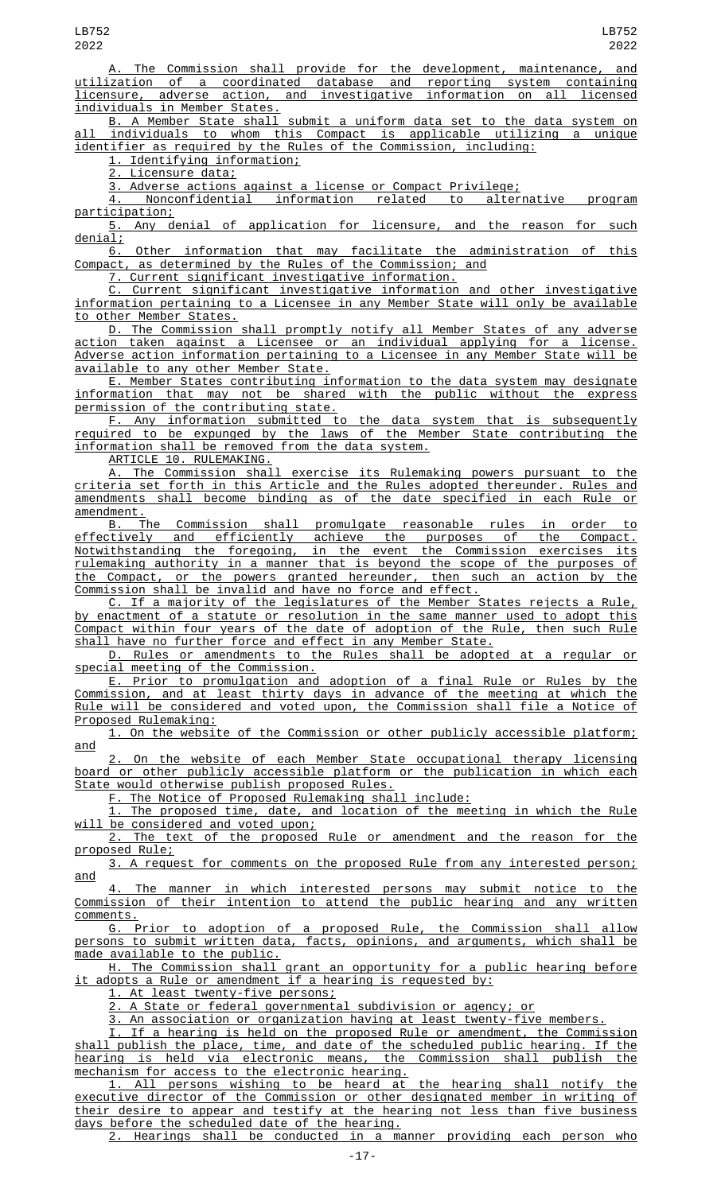LB752 2022

The Commission shall provide for the development, maintenance, and utilization of a coordinated database and reporting system containing licensure, adverse action, and investigative information on all licensed individuals in Member States.

B. A Member State shall submit a uniform data set to the data system on all individuals to whom this Compact is applicable utilizing a unique identifier as required by the Rules of the Commission, including:

1. Identifying information;

<u>2. Licensure data;</u>

<u>3. Adverse actions against a license or Compact Privilege;</u><br>4. Nonconfidential information related to alternative 4. Nonconfidential information related to alternative program participation;

5. Any denial of application for licensure, and the reason for such denial;

6. Other information that may facilitate the administration of this Compact, as determined by the Rules of the Commission; and

7. Current significant investigative information.

C. Current significant investigative information and other investigative information pertaining to a Licensee in any Member State will only be available to other Member States.

D. The Commission shall promptly notify all Member States of any adverse action taken against a Licensee or an individual applying for a license. Adverse action information pertaining to a Licensee in any Member State will be available to any other Member State.

E. Member States contributing information to the data system may designate information that may not be shared with the public without the express permission of the contributing state.

F. Any information submitted to the data system that is subsequently required to be expunged by the laws of the Member State contributing the information shall be removed from the data system.

ARTICLE 10. RULEMAKING.

A. The Commission shall exercise its Rulemaking powers pursuant to the criteria set forth in this Article and the Rules adopted thereunder. Rules and amendments shall become binding as of the date specified in each Rule or amendment.

B. The Commission shall promulgate reasonable rules in order to effectively and efficiently achieve the purposes of the Compact. Notwithstanding the foregoing, in the event the Commission exercises its rulemaking authority in a manner that is beyond the scope of the purposes of the Compact, or the powers granted hereunder, then such an action by the Commission shall be invalid and have no force and effect.

C. If a majority of the legislatures of the Member States rejects a Rule, by enactment of a statute or resolution in the same manner used to adopt this Compact within four years of the date of adoption of the Rule, then such Rule shall have no further force and effect in any Member State.

D. Rules or amendments to the Rules shall be adopted at a regular or special meeting of the Commission.

E. Prior to promulgation and adoption of a final Rule or Rules by the Commission, and at least thirty days in advance of the meeting at which the Rule will be considered and voted upon, the Commission shall file a Notice of Proposed Rulemaking:

1. On the website of the Commission or other publicly accessible platform; and

2. On the website of each Member State occupational therapy licensing board or other publicly accessible platform or the publication in which each State would otherwise publish proposed Rules.

<u>F. The Notice of Proposed Rulemaking shall include:</u><br>1. The proposed time, date, and location of the me

The proposed time, date, and location of the meeting in which the Rule will be considered and voted upon;

2. The text of the proposed Rule or amendment and the reason for the proposed Rule;

3. A request for comments on the proposed Rule from any interested person; and

4. The manner in which interested persons may submit notice to the Commission of their intention to attend the public hearing and any written comments.

G. Prior to adoption of a proposed Rule, the Commission shall allow persons to submit written data, facts, opinions, and arguments, which shall be made available to the public.

H. The Commission shall grant an opportunity for a public hearing before it adopts a Rule or amendment if a hearing is requested by:

1. At least twenty-five persons;

2. A State or federal governmental subdivision or agency; or

3. An association or organization having at least twenty-five members.

I. If a hearing is held on the proposed Rule or amendment, the Commission shall publish the place, time, and date of the scheduled public hearing. If the hearing is held via electronic means, the Commission shall publish the mechanism for access to the electronic hearing.

1. All persons wishing to be heard at the hearing shall notify the executive director of the Commission or other designated member in writing of their desire to appear and testify at the hearing not less than five business days before the scheduled date of the hearing.

2. Hearings shall be conducted in a manner providing each person who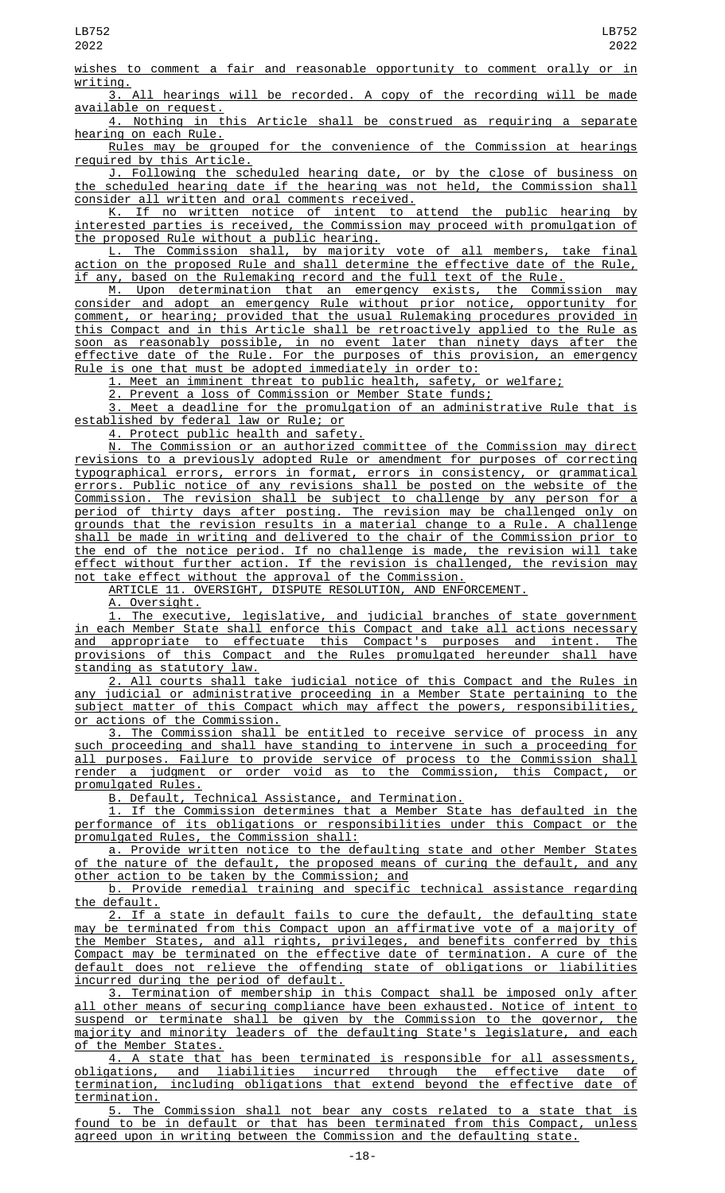LB752 2022

wishes to comment a fair and reasonable opportunity to comment orally or in

 $\frac{\text{writing.}}{3.}$ All hearings will be recorded. A copy of the recording will be made available on request.

4. Nothing in this Article shall be construed as requiring a separate hearing on each Rule.

Rules may be grouped for the convenience of the Commission at hearings required by this Article.

J. Following the scheduled hearing date, or by the close of business on the scheduled hearing date if the hearing was not held, the Commission shall consider all written and oral comments received.

K. If no written notice of intent to attend the public hearing by interested parties is received, the Commission may proceed with promulgation of the proposed Rule without a public hearing.

The Commission shall, by majority vote of all members, take final action on the proposed Rule and shall determine the effective date of the Rule, if any, based on the Rulemaking record and the full text of the Rule.

M. Upon determination that an emergency exists, the Commission may consider and adopt an emergency Rule without prior notice, opportunity for comment, or hearing; provided that the usual Rulemaking procedures provided in this Compact and in this Article shall be retroactively applied to the Rule as soon as reasonably possible, in no event later than ninety days after the effective date of the Rule. For the purposes of this provision, an emergency Rule is one that must be adopted immediately in order to:

1. Meet an imminent threat to public health, safety, or welfare;

2. Prevent a loss of Commission or Member State funds;

3. Meet a deadline for the promulgation of an administrative Rule that is established by federal law or Rule; or

4. Protect public health and safety.

N. The Commission or an authorized committee of the Commission may direct revisions to a previously adopted Rule or amendment for purposes of correcting typographical errors, errors in format, errors in consistency, or grammatical errors. Public notice of any revisions shall be posted on the website of the Commission. The revision shall be subject to challenge by any person for a period of thirty days after posting. The revision may be challenged only on grounds that the revision results in a material change to a Rule. A challenge shall be made in writing and delivered to the chair of the Commission prior to the end of the notice period. If no challenge is made, the revision will take effect without further action. If the revision is challenged, the revision may not take effect without the approval of the Commission.

ARTICLE 11. OVERSIGHT, DISPUTE RESOLUTION, AND ENFORCEMENT.

A. Oversight.

1. The executive, legislative, and judicial branches of state government in each Member State shall enforce this Compact and take all actions necessary and appropriate to effectuate this Compact's purposes and intent. The provisions of this Compact and the Rules promulgated hereunder shall have standing as statutory law.

2. All courts shall take judicial notice of this Compact and the Rules in any judicial or administrative proceeding in a Member State pertaining to the subject matter of this Compact which may affect the powers, responsibilities, or actions of the Commission.

3. The Commission shall be entitled to receive service of process in any such proceeding and shall have standing to intervene in such a proceeding for all purposes. Failure to provide service of process to the Commission shall render a judgment or order void as to the Commission, this Compact, or promulgated Rules.

B. Default, Technical Assistance, and Termination.

1. If the Commission determines that a Member State has defaulted in the performance of its obligations or responsibilities under this Compact or the promulgated Rules, the Commission shall:

a. Provide written notice to the defaulting state and other Member States of the nature of the default, the proposed means of curing the default, and any other action to be taken by the Commission; and

b. Provide remedial training and specific technical assistance regarding the default.

2. If a state in default fails to cure the default, the defaulting state may be terminated from this Compact upon an affirmative vote of a majority of the Member States, and all rights, privileges, and benefits conferred by this Compact may be terminated on the effective date of termination. A cure of the default does not relieve the offending state of obligations or liabilities incurred during the period of default.

3. Termination of membership in this Compact shall be imposed only after all other means of securing compliance have been exhausted. Notice of intent to suspend or terminate shall be given by the Commission to the governor, the majority and minority leaders of the defaulting State's legislature, and each of the Member States.

4. A state that has been terminated is responsible for all assessments, obligations, and liabilities incurred through the effective date of <u>obligations, and liabilities incurred through the effective date of</u><br>termination, including obligations that extend beyond the effective date of termination.

5. The Commission shall not bear any costs related to a state that is found to be in default or that has been terminated from this Compact, unless agreed upon in writing between the Commission and the defaulting state.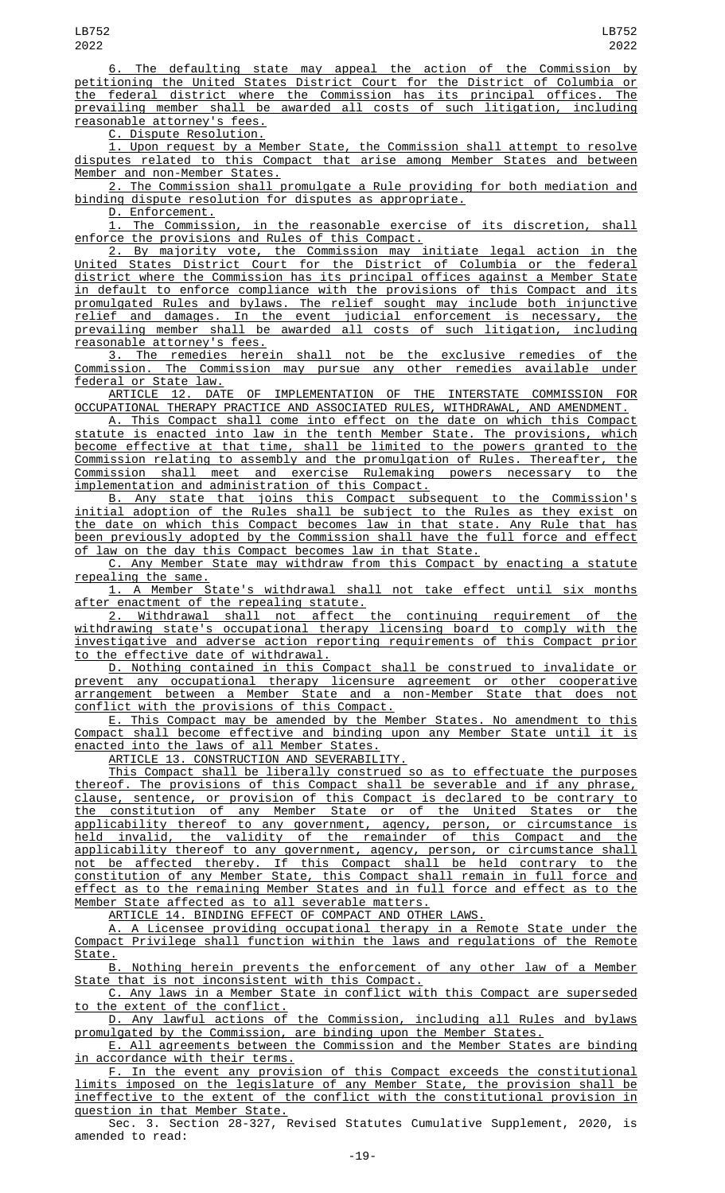6. The defaulting state may appeal the action of the Commission by petitioning the United States District Court for the District of Columbia or the federal district where the Commission has its principal offices. The prevailing member shall be awarded all costs of such litigation, including reasonable attorney's fees.

C. Dispute Resolution.

1. Upon request by a Member State, the Commission shall attempt to resolve disputes related to this Compact that arise among Member States and between Member and non-Member States.

2. The Commission shall promulgate a Rule providing for both mediation and binding dispute resolution for disputes as appropriate.

D. Enforcement.

1. The Commission, in the reasonable exercise of its discretion, shall enforce the provisions and Rules of this Compact.

2. By majority vote, the Commission may initiate legal action in the United States District Court for the District of Columbia or the federal district where the Commission has its principal offices against a Member State in default to enforce compliance with the provisions of this Compact and its promulgated Rules and bylaws. The relief sought may include both injunctive relief and damages. In the event judicial enforcement is necessary, the prevailing member shall be awarded all costs of such litigation, including reasonable attorney's fees.

3. The remedies herein shall not be the exclusive remedies of the Commission. The Commission may pursue any other remedies available under federal or State law.

ARTICLE 12. DATE OF IMPLEMENTATION OF THE INTERSTATE COMMISSION FOR OCCUPATIONAL THERAPY PRACTICE AND ASSOCIATED RULES, WITHDRAWAL, AND AMENDMENT.

A. This Compact shall come into effect on the date on which this Compact statute is enacted into law in the tenth Member State. The provisions, which become effective at that time, shall be limited to the powers granted to the Commission relating to assembly and the promulgation of Rules. Thereafter, the Commission shall meet and exercise Rulemaking powers necessary to the implementation and administration of this Compact.

B. Any state that joins this Compact subsequent to the Commission's initial adoption of the Rules shall be subject to the Rules as they exist on the date on which this Compact becomes law in that state. Any Rule that has been previously adopted by the Commission shall have the full force and effect of law on the day this Compact becomes law in that State.

C. Any Member State may withdraw from this Compact by enacting a statute repealing the same.

1. A Member State's withdrawal shall not take effect until six months after enactment of the repealing statute.

2. Withdrawal shall not affect the continuing requirement of the withdrawing state's occupational therapy licensing board to comply with the investigative and adverse action reporting requirements of this Compact prior to the effective date of withdrawal.

D. Nothing contained in this Compact shall be construed to invalidate or prevent any occupational therapy licensure agreement or other cooperative arrangement between a Member State and a non-Member State that does not conflict with the provisions of this Compact.

E. This Compact may be amended by the Member States. No amendment to this Compact shall become effective and binding upon any Member State until it is enacted into the laws of all Member States.

ARTICLE 13. CONSTRUCTION AND SEVERABILITY.

This Compact shall be liberally construed so as to effectuate the purposes thereof. The provisions of this Compact shall be severable and if any phrase, clause, sentence, or provision of this Compact is declared to be contrary to the constitution of any Member State or of the United States or the applicability thereof to any government, agency, person, or circumstance is held invalid, the validity of the remainder of this Compact and the applicability thereof to any government, agency, person, or circumstance shall not be affected thereby. If this Compact shall be held contrary to the constitution of any Member State, this Compact shall remain in full force and effect as to the remaining Member States and in full force and effect as to the Member State affected as to all severable matters.

ARTICLE 14. BINDING EFFECT OF COMPACT AND OTHER LAWS.

A. A Licensee providing occupational therapy in a Remote State under the Compact Privilege shall function within the laws and regulations of the Remote State.

B. Nothing herein prevents the enforcement of any other law of a Member State that is not inconsistent with this Compact.

C. Any laws in a Member State in conflict with this Compact are superseded to the extent of the conflict.

D. Any lawful actions of the Commission, including all Rules and bylaws promulgated by the Commission, are binding upon the Member States.

E. All agreements between the Commission and the Member States are binding in accordance with their terms.

F. In the event any provision of this Compact exceeds the constitutional limits imposed on the legislature of any Member State, the provision shall be ineffective to the extent of the conflict with the constitutional provision in question in that Member State.

Sec. 3. Section 28-327, Revised Statutes Cumulative Supplement, 2020, is amended to read: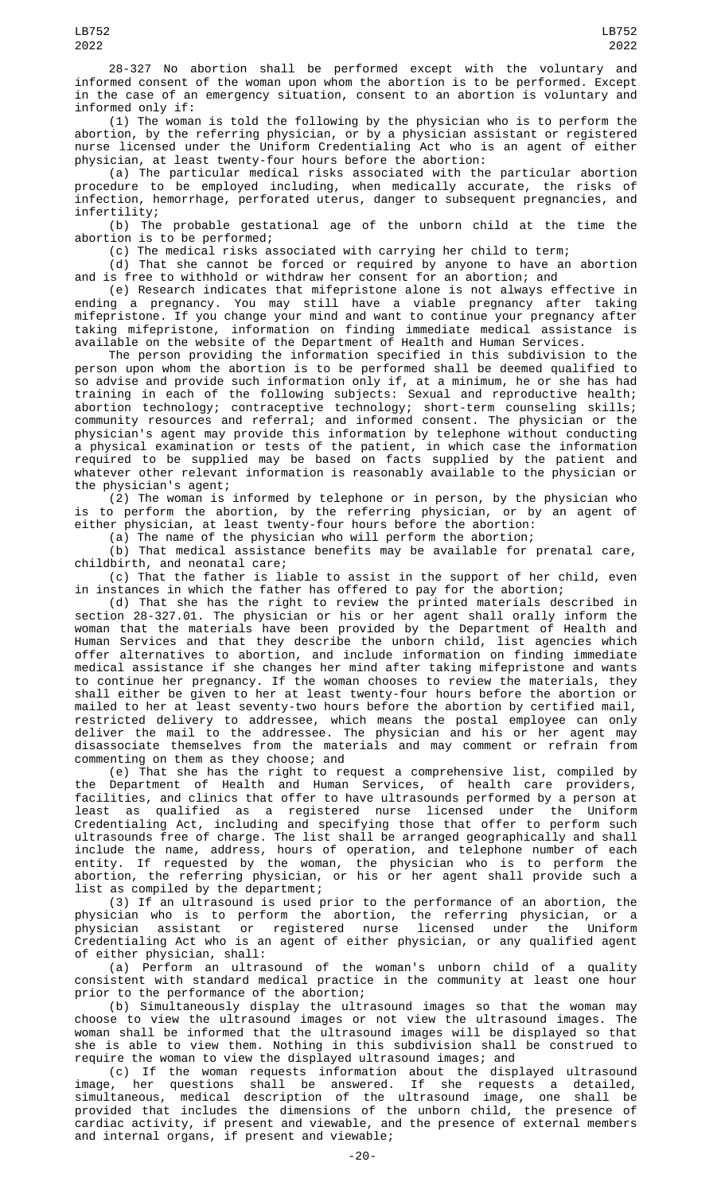28-327 No abortion shall be performed except with the voluntary and informed consent of the woman upon whom the abortion is to be performed. Except in the case of an emergency situation, consent to an abortion is voluntary and informed only if:

(1) The woman is told the following by the physician who is to perform the abortion, by the referring physician, or by a physician assistant or registered nurse licensed under the Uniform Credentialing Act who is an agent of either physician, at least twenty-four hours before the abortion:

(a) The particular medical risks associated with the particular abortion procedure to be employed including, when medically accurate, the risks of infection, hemorrhage, perforated uterus, danger to subsequent pregnancies, and infertility;

(b) The probable gestational age of the unborn child at the time the abortion is to be performed;

(c) The medical risks associated with carrying her child to term;

(d) That she cannot be forced or required by anyone to have an abortion and is free to withhold or withdraw her consent for an abortion; and

(e) Research indicates that mifepristone alone is not always effective in ending a pregnancy. You may still have a viable pregnancy after taking mifepristone. If you change your mind and want to continue your pregnancy after taking mifepristone, information on finding immediate medical assistance is available on the website of the Department of Health and Human Services.

The person providing the information specified in this subdivision to the person upon whom the abortion is to be performed shall be deemed qualified to so advise and provide such information only if, at a minimum, he or she has had training in each of the following subjects: Sexual and reproductive health; abortion technology; contraceptive technology; short-term counseling skills; community resources and referral; and informed consent. The physician or the physician's agent may provide this information by telephone without conducting a physical examination or tests of the patient, in which case the information required to be supplied may be based on facts supplied by the patient and whatever other relevant information is reasonably available to the physician or the physician's agent;

(2) The woman is informed by telephone or in person, by the physician who is to perform the abortion, by the referring physician, or by an agent of either physician, at least twenty-four hours before the abortion:

(a) The name of the physician who will perform the abortion;

(b) That medical assistance benefits may be available for prenatal care, childbirth, and neonatal care;

(c) That the father is liable to assist in the support of her child, even in instances in which the father has offered to pay for the abortion;

(d) That she has the right to review the printed materials described in section 28-327.01. The physician or his or her agent shall orally inform the woman that the materials have been provided by the Department of Health and Human Services and that they describe the unborn child, list agencies which offer alternatives to abortion, and include information on finding immediate medical assistance if she changes her mind after taking mifepristone and wants to continue her pregnancy. If the woman chooses to review the materials, they shall either be given to her at least twenty-four hours before the abortion or mailed to her at least seventy-two hours before the abortion by certified mail, restricted delivery to addressee, which means the postal employee can only deliver the mail to the addressee. The physician and his or her agent may disassociate themselves from the materials and may comment or refrain from commenting on them as they choose; and

(e) That she has the right to request a comprehensive list, compiled by the Department of Health and Human Services, of health care providers, facilities, and clinics that offer to have ultrasounds performed by a person at least as qualified as a registered nurse licensed under the Uniform Credentialing Act, including and specifying those that offer to perform such ultrasounds free of charge. The list shall be arranged geographically and shall include the name, address, hours of operation, and telephone number of each entity. If requested by the woman, the physician who is to perform the abortion, the referring physician, or his or her agent shall provide such a list as compiled by the department;

(3) If an ultrasound is used prior to the performance of an abortion, the physician who is to perform the abortion, the referring physician, or a physician assistant or registered nurse licensed under the Uniform Credentialing Act who is an agent of either physician, or any qualified agent of either physician, shall:

(a) Perform an ultrasound of the woman's unborn child of a quality consistent with standard medical practice in the community at least one hour prior to the performance of the abortion;

(b) Simultaneously display the ultrasound images so that the woman may choose to view the ultrasound images or not view the ultrasound images. The woman shall be informed that the ultrasound images will be displayed so that she is able to view them. Nothing in this subdivision shall be construed to require the woman to view the displayed ultrasound images; and

(c) If the woman requests information about the displayed ultrasound image, her questions shall be answered. If she requests a detailed, simultaneous, medical description of the ultrasound image, one shall be provided that includes the dimensions of the unborn child, the presence of cardiac activity, if present and viewable, and the presence of external members and internal organs, if present and viewable;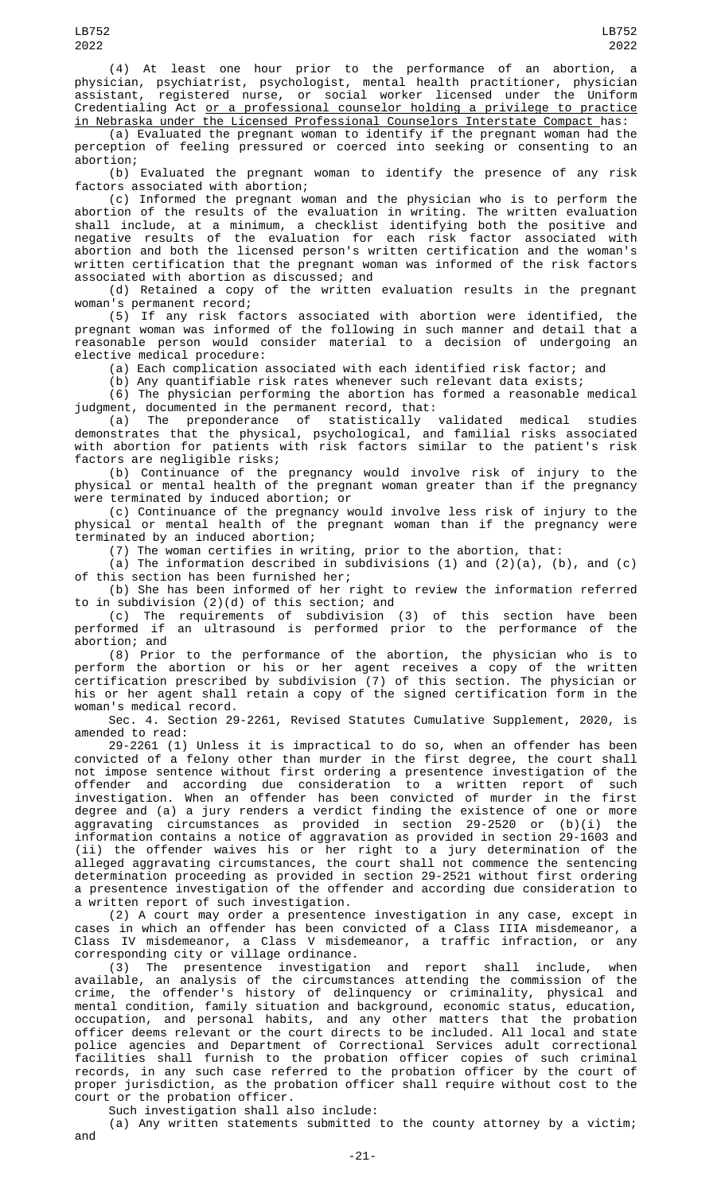(4) At least one hour prior to the performance of an abortion, a physician, psychiatrist, psychologist, mental health practitioner, physician registered nurse, or social worker licensed under the Uniform Credentialing Act or a professional counselor holding a privilege to practice in Nebraska under the Licensed Professional Counselors Interstate Compact has:

(a) Evaluated the pregnant woman to identify if the pregnant woman had the perception of feeling pressured or coerced into seeking or consenting to an abortion;

(b) Evaluated the pregnant woman to identify the presence of any risk factors associated with abortion;

(c) Informed the pregnant woman and the physician who is to perform the abortion of the results of the evaluation in writing. The written evaluation shall include, at a minimum, a checklist identifying both the positive and negative results of the evaluation for each risk factor associated with abortion and both the licensed person's written certification and the woman's written certification that the pregnant woman was informed of the risk factors associated with abortion as discussed; and

(d) Retained a copy of the written evaluation results in the pregnant woman's permanent record;

(5) If any risk factors associated with abortion were identified, the pregnant woman was informed of the following in such manner and detail that a reasonable person would consider material to a decision of undergoing an elective medical procedure:

(a) Each complication associated with each identified risk factor; and

(b) Any quantifiable risk rates whenever such relevant data exists;

(6) The physician performing the abortion has formed a reasonable medical judgment, documented in the permanent record, that:

(a) The preponderance of statistically validated medical studies demonstrates that the physical, psychological, and familial risks associated with abortion for patients with risk factors similar to the patient's risk factors are negligible risks;

(b) Continuance of the pregnancy would involve risk of injury to the physical or mental health of the pregnant woman greater than if the pregnancy were terminated by induced abortion; or

(c) Continuance of the pregnancy would involve less risk of injury to the physical or mental health of the pregnant woman than if the pregnancy were terminated by an induced abortion;

(7) The woman certifies in writing, prior to the abortion, that:

(a) The information described in subdivisions (1) and (2)(a), (b), and (c) of this section has been furnished her;

(b) She has been informed of her right to review the information referred to in subdivision (2)(d) of this section; and

(c) The requirements of subdivision (3) of this section have been performed if an ultrasound is performed prior to the performance of the abortion; and

(8) Prior to the performance of the abortion, the physician who is to perform the abortion or his or her agent receives a copy of the written certification prescribed by subdivision (7) of this section. The physician or his or her agent shall retain a copy of the signed certification form in the woman's medical record.

Sec. 4. Section 29-2261, Revised Statutes Cumulative Supplement, 2020, is amended to read:

29-2261 (1) Unless it is impractical to do so, when an offender has been convicted of a felony other than murder in the first degree, the court shall not impose sentence without first ordering a presentence investigation of the offender and according due consideration to a written report of such investigation. When an offender has been convicted of murder in the first degree and (a) a jury renders a verdict finding the existence of one or more aggravating circumstances as provided in section 29-2520 or (b)(i) the information contains a notice of aggravation as provided in section 29-1603 and (ii) the offender waives his or her right to a jury determination of the alleged aggravating circumstances, the court shall not commence the sentencing determination proceeding as provided in section 29-2521 without first ordering a presentence investigation of the offender and according due consideration to a written report of such investigation.

(2) A court may order a presentence investigation in any case, except in cases in which an offender has been convicted of a Class IIIA misdemeanor, a Class IV misdemeanor, a Class V misdemeanor, a traffic infraction, or any corresponding city or village ordinance.

(3) The presentence investigation and report shall include, when available, an analysis of the circumstances attending the commission of the crime, the offender's history of delinquency or criminality, physical and mental condition, family situation and background, economic status, education, occupation, and personal habits, and any other matters that the probation officer deems relevant or the court directs to be included. All local and state police agencies and Department of Correctional Services adult correctional facilities shall furnish to the probation officer copies of such criminal records, in any such case referred to the probation officer by the court of proper jurisdiction, as the probation officer shall require without cost to the court or the probation officer.

Such investigation shall also include:

(a) Any written statements submitted to the county attorney by a victim; and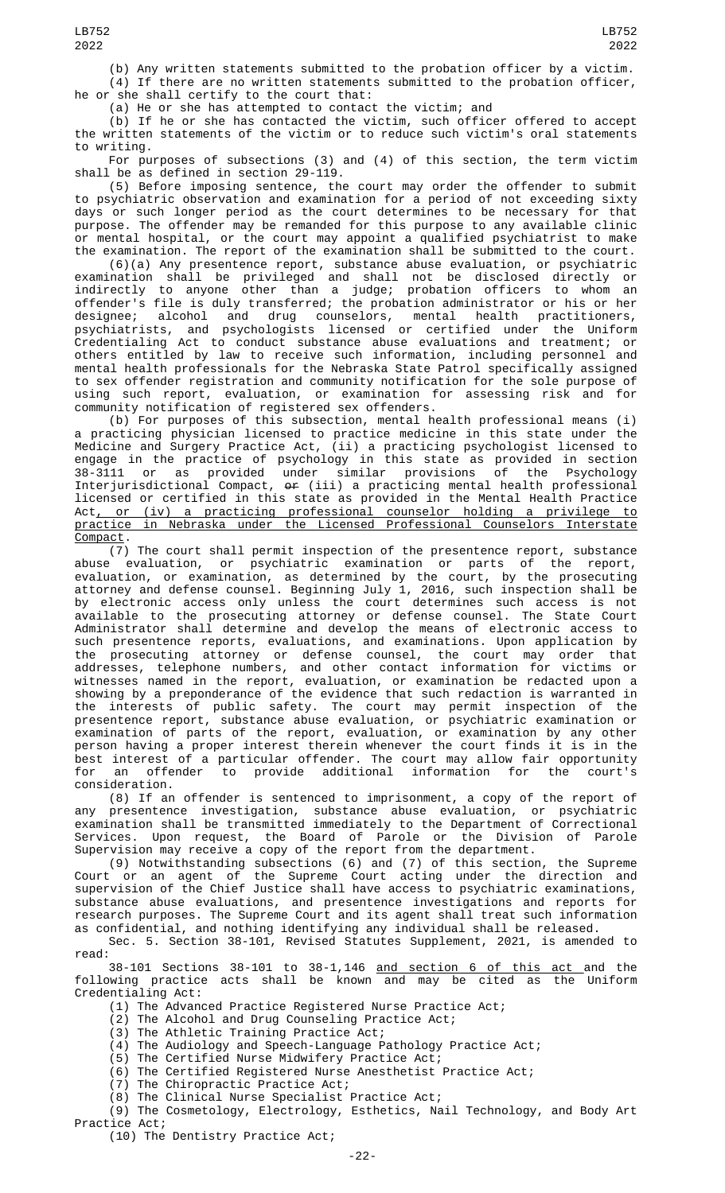(b) Any written statements submitted to the probation officer by a victim. (4) If there are no written statements submitted to the probation officer,<br>he or she shall certify to the court that: she shall certify to the court that:

(a) He or she has attempted to contact the victim; and

(b) If he or she has contacted the victim, such officer offered to accept the written statements of the victim or to reduce such victim's oral statements to writing.

For purposes of subsections (3) and (4) of this section, the term victim shall be as defined in section 29-119.

(5) Before imposing sentence, the court may order the offender to submit to psychiatric observation and examination for a period of not exceeding sixty days or such longer period as the court determines to be necessary for that purpose. The offender may be remanded for this purpose to any available clinic or mental hospital, or the court may appoint a qualified psychiatrist to make the examination. The report of the examination shall be submitted to the court.

(6)(a) Any presentence report, substance abuse evaluation, or psychiatric examination shall be privileged and shall not be disclosed directly or indirectly to anyone other than a judge; probation officers to whom an offender's file is duly transferred; the probation administrator or his or her designee; alcohol and drug counselors, mental health practitioners, psychiatrists, and psychologists licensed or certified under the Uniform Credentialing Act to conduct substance abuse evaluations and treatment; or others entitled by law to receive such information, including personnel and mental health professionals for the Nebraska State Patrol specifically assigned to sex offender registration and community notification for the sole purpose of using such report, evaluation, or examination for assessing risk and for community notification of registered sex offenders.

(b) For purposes of this subsection, mental health professional means (i) a practicing physician licensed to practice medicine in this state under the Medicine and Surgery Practice Act, (ii) a practicing psychologist licensed to engage in the practice of psychology in this state as provided in section 38-3111 or as provided under similar provisions of the Psychology Interjurisdictional Compact, or (iii) a practicing mental health professional licensed or certified in this state as provided in the Mental Health Practice Act, or (iv) a practicing professional counselor holding a privilege to practice in Nebraska under the Licensed Professional Counselors Interstate Compact.

(7) The court shall permit inspection of the presentence report, substance abuse evaluation, or psychiatric examination or parts of the report, evaluation, or examination, as determined by the court, by the prosecuting attorney and defense counsel. Beginning July 1, 2016, such inspection shall be by electronic access only unless the court determines such access is not available to the prosecuting attorney or defense counsel. The State Court Administrator shall determine and develop the means of electronic access to such presentence reports, evaluations, and examinations. Upon application by the prosecuting attorney or defense counsel, the court may order that addresses, telephone numbers, and other contact information for victims or witnesses named in the report, evaluation, or examination be redacted upon a showing by a preponderance of the evidence that such redaction is warranted in the interests of public safety. The court may permit inspection of the presentence report, substance abuse evaluation, or psychiatric examination or examination of parts of the report, evaluation, or examination by any other person having a proper interest therein whenever the court finds it is in the best interest of a particular offender. The court may allow fair opportunity for an offender to provide additional information for the court's consideration.

(8) If an offender is sentenced to imprisonment, a copy of the report of any presentence investigation, substance abuse evaluation, or psychiatric examination shall be transmitted immediately to the Department of Correctional Services. Upon request, the Board of Parole or the Division of Parole Supervision may receive a copy of the report from the department.

(9) Notwithstanding subsections (6) and (7) of this section, the Supreme Court or an agent of the Supreme Court acting under the direction and supervision of the Chief Justice shall have access to psychiatric examinations, substance abuse evaluations, and presentence investigations and reports for research purposes. The Supreme Court and its agent shall treat such information as confidential, and nothing identifying any individual shall be released.

Sec. 5. Section 38-101, Revised Statutes Supplement, 2021, is amended to read:

38-101 Sections 38-101 to 38-1,146 and section 6 of this act and the following practice acts shall be known and may be cited as the Uniform Credentialing Act:

(1) The Advanced Practice Registered Nurse Practice Act;

(2) The Alcohol and Drug Counseling Practice Act;

(3) The Athletic Training Practice Act;

(4) The Audiology and Speech-Language Pathology Practice Act;

(5) The Certified Nurse Midwifery Practice Act;

(6) The Certified Registered Nurse Anesthetist Practice Act;

(7) The Chiropractic Practice Act;

(8) The Clinical Nurse Specialist Practice Act;

(9) The Cosmetology, Electrology, Esthetics, Nail Technology, and Body Art Practice Act;

(10) The Dentistry Practice Act;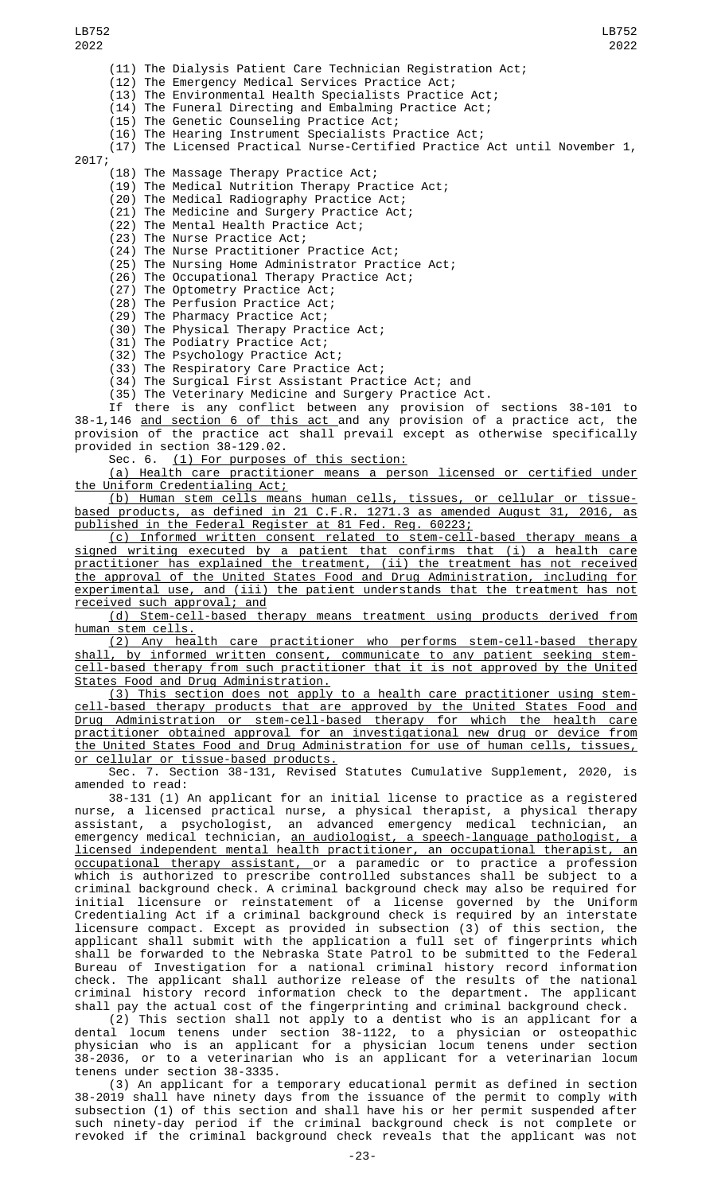(11) The Dialysis Patient Care Technician Registration Act; (12) The Emergency Medical Services Practice Act; The Environmental Health Specialists Practice Act; (14) The Funeral Directing and Embalming Practice Act; (15) The Genetic Counseling Practice Act; LB752 2022 LB752 2022

(16) The Hearing Instrument Specialists Practice Act;

(17) The Licensed Practical Nurse-Certified Practice Act until November 1,

2017;

(18) The Massage Therapy Practice Act;

(19) The Medical Nutrition Therapy Practice Act;

(20) The Medical Radiography Practice Act;

(21) The Medicine and Surgery Practice Act;

(22) The Mental Health Practice Act;

(23) The Nurse Practice Act;

(24) The Nurse Practitioner Practice Act;

(25) The Nursing Home Administrator Practice Act;

(26) The Occupational Therapy Practice Act; (27) The Optometry Practice Act;

(28) The Perfusion Practice Act;

(29) The Pharmacy Practice Act;

(30) The Physical Therapy Practice Act;

(31) The Podiatry Practice Act;

(32) The Psychology Practice Act;

(33) The Respiratory Care Practice Act;

(34) The Surgical First Assistant Practice Act; and

(35) The Veterinary Medicine and Surgery Practice Act.

If there is any conflict between any provision of sections 38-101 to 38-1,146 <u>and section 6 of this act </u>and any provision of a practice act, the provision of the practice act shall prevail except as otherwise specifically provided in section 38-129.02.

(1) For purposes of this section:

(a) Health care practitioner means a person licensed or certified under the Uniform Credentialing Act;

(b) Human stem cells means human cells, tissues, or cellular or tissuebased products, as defined in 21 C.F.R. 1271.3 as amended August 31, 2016, as published in the Federal Register at 81 Fed. Reg. 60223;

(c) Informed written consent related to stem-cell-based therapy means a signed writing executed by a patient that confirms that (i) a health care practitioner has explained the treatment, (ii) the treatment has not received the approval of the United States Food and Drug Administration, including for experimental use, and (iii) the patient understands that the treatment has not received such approval; and

(d) Stem-cell-based therapy means treatment using products derived from <u>human stem cells.</u>

(2) Any health care practitioner who performs stem-cell-based therapy shall, by informed written consent, communicate to any patient seeking stemcell-based therapy from such practitioner that it is not approved by the United States Food and Drug Administration.

(3) This section does not apply to a health care practitioner using stemcell-based therapy products that are approved by the United States Food and Drug Administration or stem-cell-based therapy for which the health care practitioner obtained approval for an investigational new drug or device from the United States Food and Drug Administration for use of human cells, tissues, or cellular or tissue-based products.

Sec. 7. Section 38-131, Revised Statutes Cumulative Supplement, 2020, is amended to read:

38-131 (1) An applicant for an initial license to practice as a registered nurse, a licensed practical nurse, a physical therapist, a physical therapy assistant, a psychologist, an advanced emergency medical technician, an emergency medical technician, <u>an audiologist, a speech-language pathologist, a</u> licensed independent mental health practitioner, an occupational therapist, an <u>occupational therapy assistant, o</u>r a paramedic or to practice a profession which is authorized to prescribe controlled substances shall be subject to a criminal background check. A criminal background check may also be required for initial licensure or reinstatement of a license governed by the Uniform Credentialing Act if a criminal background check is required by an interstate licensure compact. Except as provided in subsection (3) of this section, the applicant shall submit with the application a full set of fingerprints which shall be forwarded to the Nebraska State Patrol to be submitted to the Federal Bureau of Investigation for a national criminal history record information check. The applicant shall authorize release of the results of the national criminal history record information check to the department. The applicant shall pay the actual cost of the fingerprinting and criminal background check.

(2) This section shall not apply to a dentist who is an applicant for a dental locum tenens under section 38-1122, to a physician or osteopathic physician who is an applicant for a physician locum tenens under section 38-2036, or to a veterinarian who is an applicant for a veterinarian locum tenens under section 38-3335.

(3) An applicant for a temporary educational permit as defined in section 38-2019 shall have ninety days from the issuance of the permit to comply with subsection (1) of this section and shall have his or her permit suspended after such ninety-day period if the criminal background check is not complete or revoked if the criminal background check reveals that the applicant was not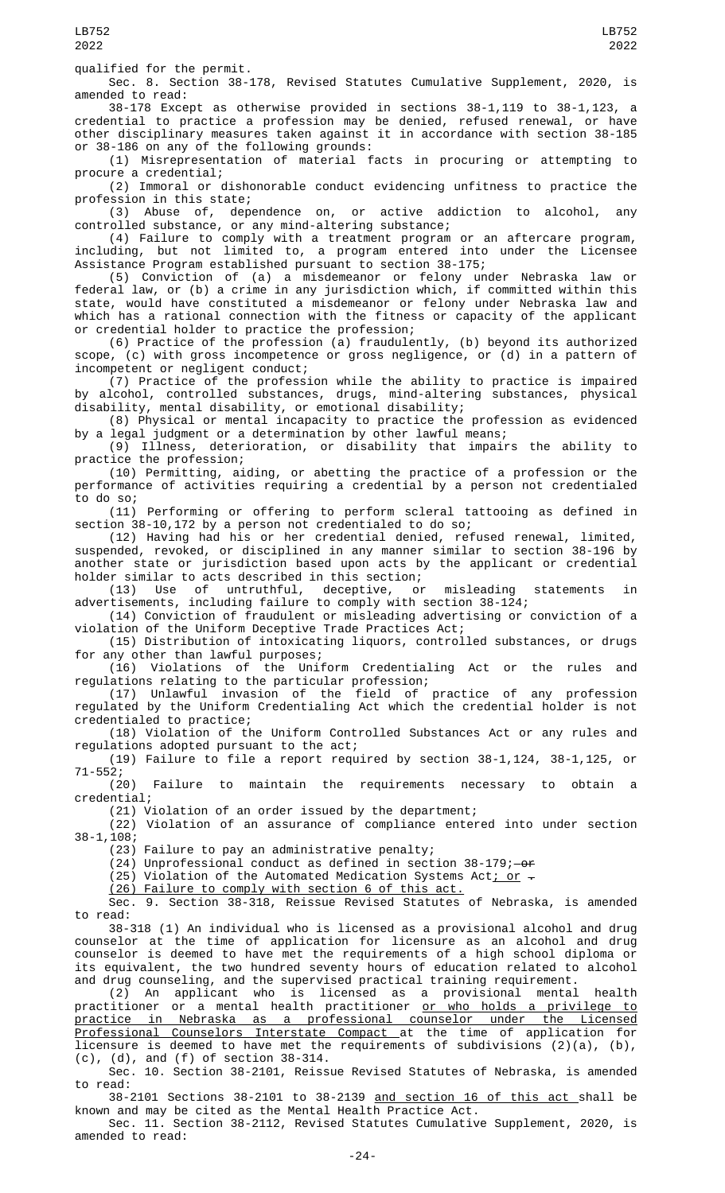qualified for the permit.

Sec. 8. Section 38-178, Revised Statutes Cumulative Supplement, 2020, is amended to read:

38-178 Except as otherwise provided in sections 38-1,119 to 38-1,123, a credential to practice a profession may be denied, refused renewal, or have other disciplinary measures taken against it in accordance with section 38-185 or 38-186 on any of the following grounds:

(1) Misrepresentation of material facts in procuring or attempting to procure a credential;

(2) Immoral or dishonorable conduct evidencing unfitness to practice the profession in this state;

(3) Abuse of, dependence on, or active addiction to alcohol, any controlled substance, or any mind-altering substance;

(4) Failure to comply with a treatment program or an aftercare program, including, but not limited to, a program entered into under the Licensee Assistance Program established pursuant to section 38-175;

(5) Conviction of (a) a misdemeanor or felony under Nebraska law or federal law, or (b) a crime in any jurisdiction which, if committed within this state, would have constituted a misdemeanor or felony under Nebraska law and which has a rational connection with the fitness or capacity of the applicant or credential holder to practice the profession;

(6) Practice of the profession (a) fraudulently, (b) beyond its authorized scope, (c) with gross incompetence or gross negligence, or (d) in a pattern of incompetent or negligent conduct;

(7) Practice of the profession while the ability to practice is impaired by alcohol, controlled substances, drugs, mind-altering substances, physical disability, mental disability, or emotional disability;

(8) Physical or mental incapacity to practice the profession as evidenced by a legal judgment or a determination by other lawful means;

(9) Illness, deterioration, or disability that impairs the ability to practice the profession;

(10) Permitting, aiding, or abetting the practice of a profession or the performance of activities requiring a credential by a person not credentialed to do so;

(11) Performing or offering to perform scleral tattooing as defined in section 38-10,172 by a person not credentialed to do so;

(12) Having had his or her credential denied, refused renewal, limited, suspended, revoked, or disciplined in any manner similar to section 38-196 by another state or jurisdiction based upon acts by the applicant or credential holder similar to acts described in this section;

(13) Use of untruthful, deceptive, or misleading statements in advertisements, including failure to comply with section 38-124;

(14) Conviction of fraudulent or misleading advertising or conviction of a violation of the Uniform Deceptive Trade Practices Act;

(15) Distribution of intoxicating liquors, controlled substances, or drugs for any other than lawful purposes;

(16) Violations of the Uniform Credentialing Act or the rules and regulations relating to the particular profession;

(17) Unlawful invasion of the field of practice of any profession regulated by the Uniform Credentialing Act which the credential holder is not credentialed to practice;

(18) Violation of the Uniform Controlled Substances Act or any rules and regulations adopted pursuant to the act;

(19) Failure to file a report required by section 38-1,124, 38-1,125, or 71-552;

Failure to maintain the requirements necessary to obtain a credential;

(21) Violation of an order issued by the department;

(22) Violation of an assurance of compliance entered into under section 38-1,108;

(23) Failure to pay an administrative penalty;

 $(24)$  Unprofessional conduct as defined in section 38-179;  $-0.07$ 

(25) Violation of the Automated Medication Systems Act<u>; or</u>  $\texttt{-}$ 

(26) Failure to comply with section 6 of this act.

Sec. 9. Section 38-318, Reissue Revised Statutes of Nebraska, is amended to read:

38-318 (1) An individual who is licensed as a provisional alcohol and drug counselor at the time of application for licensure as an alcohol and drug counselor is deemed to have met the requirements of a high school diploma or its equivalent, the two hundred seventy hours of education related to alcohol and drug counseling, and the supervised practical training requirement.

(2) An applicant who is licensed as a provisional mental health practitioner or a mental health practitioner <u>or who holds a privilege to</u> practice in Nebraska as a professional counselor under the Licensed Professional Counselors Interstate Compact at the time of application for licensure is deemed to have met the requirements of subdivisions (2)(a), (b), (c), (d), and (f) of section 38-314.

Sec. 10. Section 38-2101, Reissue Revised Statutes of Nebraska, is amended to read:

38-2101 Sections 38-2101 to 38-2139 and section 16 of this act shall be known and may be cited as the Mental Health Practice Act.

Sec. 11. Section 38-2112, Revised Statutes Cumulative Supplement, 2020, is amended to read: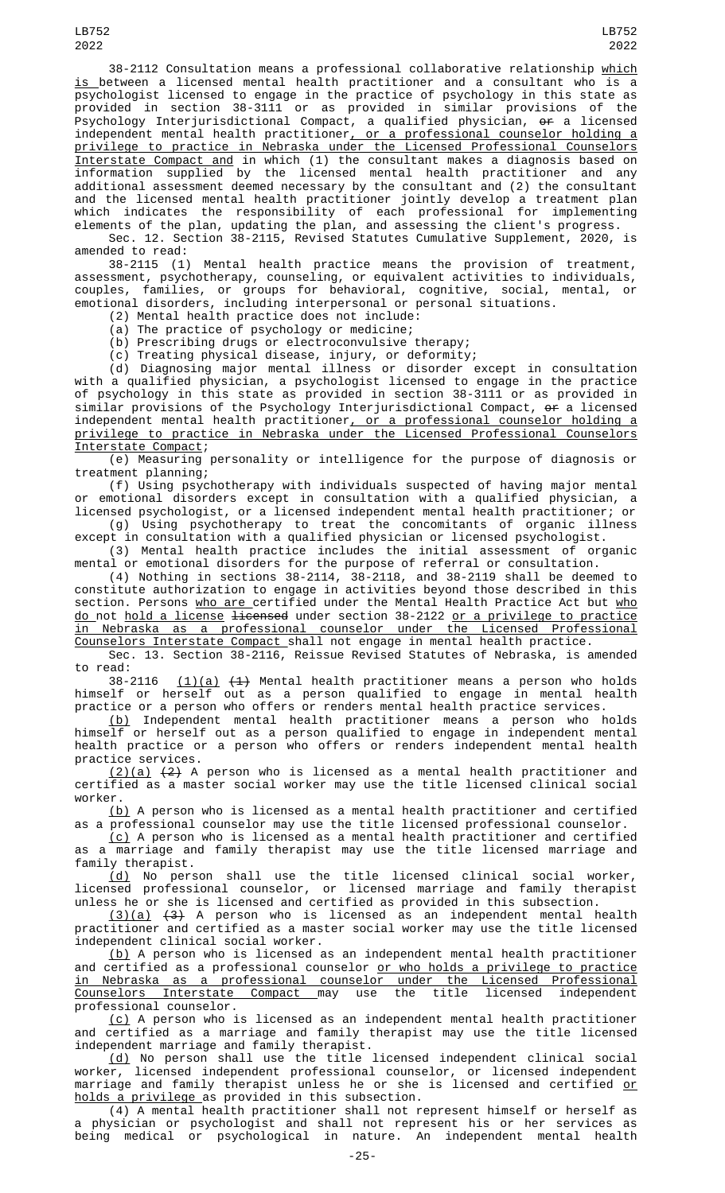38-2112 Consultation means a professional collaborative relationship which <u>is </u>between a licensed mental health practitioner and a consultant who is a psychologist licensed to engage in the practice of psychology in this state as provided in section 38-3111 or as provided in similar provisions of the Psychology Interjurisdictional Compact, a qualified physician, <del>or</del> a licensed independent mental health practitioner, or a professional counselor holding a privilege to practice in Nebraska under the Licensed Professional Counselors Interstate Compact and in which (1) the consultant makes a diagnosis based on information supplied by the licensed mental health practitioner and any additional assessment deemed necessary by the consultant and (2) the consultant and the licensed mental health practitioner jointly develop a treatment plan which indicates the responsibility of each professional for implementing elements of the plan, updating the plan, and assessing the client's progress.

Sec. 12. Section 38-2115, Revised Statutes Cumulative Supplement, 2020, is amended to read:

38-2115 (1) Mental health practice means the provision of treatment, assessment, psychotherapy, counseling, or equivalent activities to individuals, couples, families, or groups for behavioral, cognitive, social, mental, or emotional disorders, including interpersonal or personal situations.

(2) Mental health practice does not include:

(a) The practice of psychology or medicine;

(b) Prescribing drugs or electroconvulsive therapy;

(c) Treating physical disease, injury, or deformity;

(d) Diagnosing major mental illness or disorder except in consultation with a qualified physician, a psychologist licensed to engage in the practice of psychology in this state as provided in section 38-3111 or as provided in similar provisions of the Psychology Interjurisdictional Compact, <del>or</del> a licensed independent mental health practitioner, or a professional counselor holding a privilege to practice in Nebraska under the Licensed Professional Counselors Interstate Compact;

(e) Measuring personality or intelligence for the purpose of diagnosis or treatment planning;

(f) Using psychotherapy with individuals suspected of having major mental or emotional disorders except in consultation with a qualified physician, a licensed psychologist, or a licensed independent mental health practitioner; or (g) Using psychotherapy to treat the concomitants of organic illness

except in consultation with a qualified physician or licensed psychologist. (3) Mental health practice includes the initial assessment of organic

mental or emotional disorders for the purpose of referral or consultation. (4) Nothing in sections 38-2114, 38-2118, and 38-2119 shall be deemed to constitute authorization to engage in activities beyond those described in this section. Persons <u>who are certified</u> under the Mental Health Practice Act but <u>who</u> do not <u>hold a license</u> <del>licensed</del> under section 38-2122 <u>or a privilege to practice</u> in Nebraska as a professional counselor under the Licensed Professional Counselors Interstate Compact shall not engage in mental health practice.

Sec. 13. Section 38-2116, Reissue Revised Statutes of Nebraska, is amended to read:

38-2116 <u>(1)(a)</u> <del>(1)</del> Mental health practitioner means a person who holds himself or herself out as a person qualified to engage in mental health practice or a person who offers or renders mental health practice services.

(b) Independent mental health practitioner means a person who holds himself or herself out as a person qualified to engage in independent mental health practice or a person who offers or renders independent mental health practice services.

 $(2)(a)$   $(2)$  A person who is licensed as a mental health practitioner and certified as a master social worker may use the title licensed clinical social worker.

(b) A person who is licensed as a mental health practitioner and certified as a professional counselor may use the title licensed professional counselor.

(c) A person who is licensed as a mental health practitioner and certified  $\,$ as a marriage and family therapist may use the title licensed marriage and family therapist.

(d) No person shall use the title licensed clinical social worker, licensed professional counselor, or licensed marriage and family therapist unless he or she is licensed and certified as provided in this subsection.

(3)(a) (3) A person who is licensed as an independent mental health practitioner and certified as a master social worker may use the title licensed independent clinical social worker.

(b) A person who is licensed as an independent mental health practitioner and certified as a professional counselor or who holds a privilege to practice in Nebraska as a professional counselor under the Licensed Professional Counselors Interstate Compact may use the title licensed independent professional counselor.

(c) A person who is licensed as an independent mental health practitioner  $\overline{\phantom{a}}$ and certified as a marriage and family therapist may use the title licensed independent marriage and family therapist.

(d) No person shall use the title licensed independent clinical social worker, licensed independent professional counselor, or licensed independent marriage and family therapist unless he or she is licensed and certified <u>or</u> holds a privilege as provided in this subsection.

(4) A mental health practitioner shall not represent himself or herself as a physician or psychologist and shall not represent his or her services as being medical or psychological in nature. An independent mental health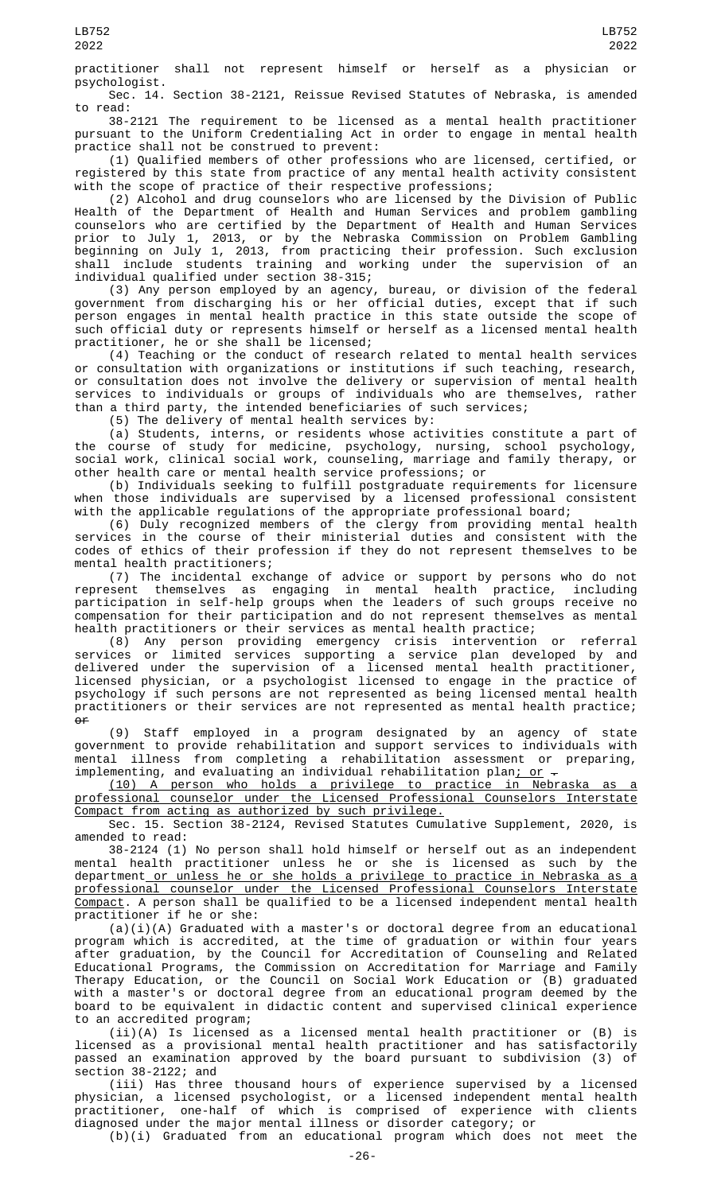practitioner shall not represent himself or herself as a physician or psychologist.

Sec. 14. Section 38-2121, Reissue Revised Statutes of Nebraska, is amended to read:

38-2121 The requirement to be licensed as a mental health practitioner pursuant to the Uniform Credentialing Act in order to engage in mental health practice shall not be construed to prevent:

(1) Qualified members of other professions who are licensed, certified, or registered by this state from practice of any mental health activity consistent with the scope of practice of their respective professions;

(2) Alcohol and drug counselors who are licensed by the Division of Public Health of the Department of Health and Human Services and problem gambling counselors who are certified by the Department of Health and Human Services prior to July 1, 2013, or by the Nebraska Commission on Problem Gambling beginning on July 1, 2013, from practicing their profession. Such exclusion shall include students training and working under the supervision of an individual qualified under section 38-315;

(3) Any person employed by an agency, bureau, or division of the federal government from discharging his or her official duties, except that if such person engages in mental health practice in this state outside the scope of such official duty or represents himself or herself as a licensed mental health practitioner, he or she shall be licensed;

(4) Teaching or the conduct of research related to mental health services or consultation with organizations or institutions if such teaching, research, or consultation does not involve the delivery or supervision of mental health services to individuals or groups of individuals who are themselves, rather than a third party, the intended beneficiaries of such services;

(5) The delivery of mental health services by:

(a) Students, interns, or residents whose activities constitute a part of the course of study for medicine, psychology, nursing, school psychology, social work, clinical social work, counseling, marriage and family therapy, or other health care or mental health service professions; or

(b) Individuals seeking to fulfill postgraduate requirements for licensure when those individuals are supervised by a licensed professional consistent with the applicable regulations of the appropriate professional board;

(6) Duly recognized members of the clergy from providing mental health services in the course of their ministerial duties and consistent with the codes of ethics of their profession if they do not represent themselves to be mental health practitioners;

(7) The incidental exchange of advice or support by persons who do not represent themselves as engaging in mental health practice, including participation in self-help groups when the leaders of such groups receive no compensation for their participation and do not represent themselves as mental health practitioners or their services as mental health practice;

(8) Any person providing emergency crisis intervention or referral services or limited services supporting a service plan developed by and delivered under the supervision of a licensed mental health practitioner, licensed physician, or a psychologist licensed to engage in the practice of psychology if such persons are not represented as being licensed mental health practitioners or their services are not represented as mental health practice;  $\theta$ 

(9) Staff employed in a program designated by an agency of state government to provide rehabilitation and support services to individuals with mental illness from completing a rehabilitation assessment or preparing, implementing, and evaluating an individual rehabilitation plan<u>; or</u>  $\hbox{\large -}$ 

(10) A person who holds a privilege to practice in Nebraska as a professional counselor under the Licensed Professional Counselors Interstate Compact from acting as authorized by such privilege.

Sec. 15. Section 38-2124, Revised Statutes Cumulative Supplement, 2020, is amended to read:

38-2124 (1) No person shall hold himself or herself out as an independent mental health practitioner unless he or she is licensed as such by the department<u> or unless he or she holds a privilege to practice in Nebraska as a</u> professional counselor under the Licensed Professional Counselors Interstate Compact. A person shall be qualified to be a licensed independent mental health practitioner if he or she:

(a)(i)(A) Graduated with a master's or doctoral degree from an educational program which is accredited, at the time of graduation or within four years after graduation, by the Council for Accreditation of Counseling and Related Educational Programs, the Commission on Accreditation for Marriage and Family Therapy Education, or the Council on Social Work Education or (B) graduated with a master's or doctoral degree from an educational program deemed by the board to be equivalent in didactic content and supervised clinical experience to an accredited program;

(ii)(A) Is licensed as a licensed mental health practitioner or (B) is licensed as a provisional mental health practitioner and has satisfactorily passed an examination approved by the board pursuant to subdivision (3) of section 38-2122; and

(iii) Has three thousand hours of experience supervised by a licensed physician, a licensed psychologist, or a licensed independent mental health practitioner, one-half of which is comprised of experience with clients diagnosed under the major mental illness or disorder category; or (b)(i) Graduated from an educational program which does not meet the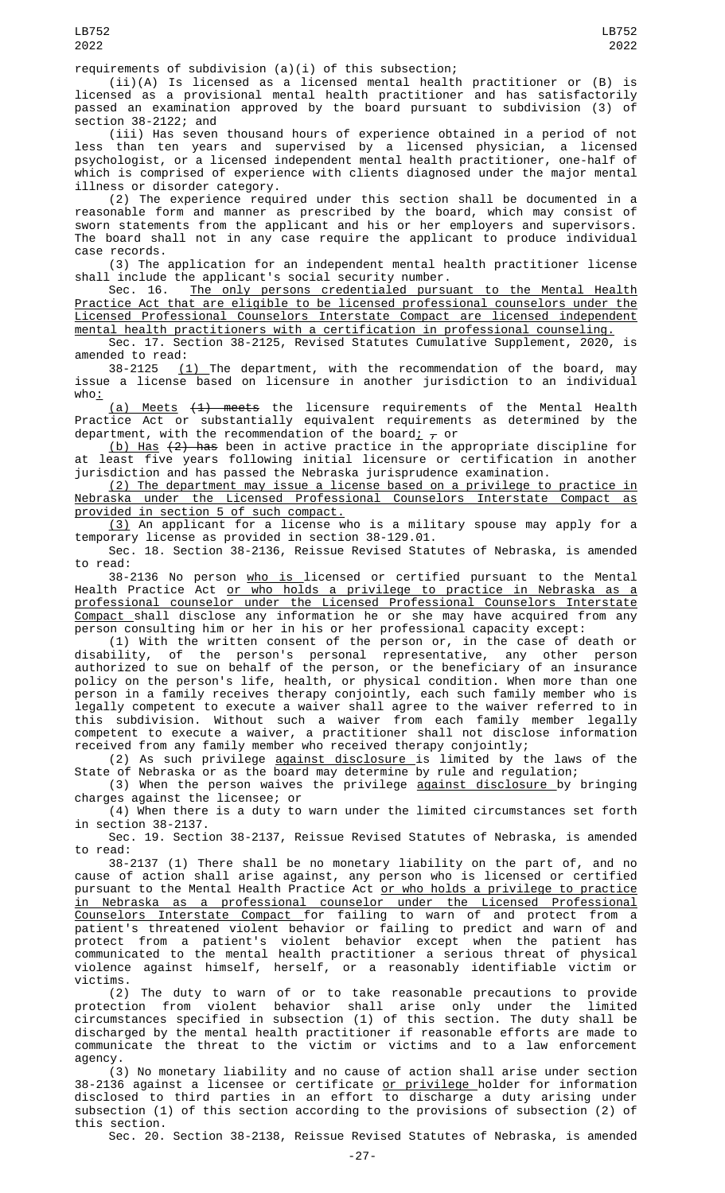requirements of subdivision (a)(i) of this subsection;

(ii)(A) Is licensed as a licensed mental health practitioner or (B) is licensed as a provisional mental health practitioner and has satisfactorily passed an examination approved by the board pursuant to subdivision (3) of section 38-2122; and

(iii) Has seven thousand hours of experience obtained in a period of not less than ten years and supervised by a licensed physician, a licensed psychologist, or a licensed independent mental health practitioner, one-half of which is comprised of experience with clients diagnosed under the major mental illness or disorder category.

(2) The experience required under this section shall be documented in a reasonable form and manner as prescribed by the board, which may consist of sworn statements from the applicant and his or her employers and supervisors. The board shall not in any case require the applicant to produce individual case records.

(3) The application for an independent mental health practitioner license shall include the applicant's social security number.

The only persons credentialed pursuant to the Mental Health Practice Act that are eligible to be licensed professional counselors under the Licensed Professional Counselors Interstate Compact are licensed independent mental health practitioners with a certification in professional counseling.

Sec. 17. Section 38-2125, Revised Statutes Cumulative Supplement, 2020, amended to read:

38-2125 <u>(1) </u>The department, with the recommendation of the board, may issue a license based on licensure in another jurisdiction to an individual  $who_$ 

(a) Meets (1) meets the licensure requirements of the Mental Health Practice Act or substantially equivalent requirements as determined by the department, with the recommendation of the board<u>;</u>  $_{\mathcal{T}}$  or

(b) Has (2) has been in active practice in the appropriate discipline for at least five years following initial licensure or certification in another jurisdiction and has passed the Nebraska jurisprudence examination.

(2) The department may issue a license based on a privilege to practice in Nebraska under the Licensed Professional Counselors Interstate Compact as provided in section 5 of such compact.

(3) An applicant for a license who is a military spouse may apply for a temporary license as provided in section 38-129.01.

Sec. 18. Section 38-2136, Reissue Revised Statutes of Nebraska, is amended to read:

38-2136 No person who is licensed or certified pursuant to the Mental Health Practice Act <u>or who holds a privilege to practice in Nebraska as a</u> professional counselor under the Licensed Professional Counselors Interstate <u>Compact </u>shall disclose any information he or she may have acquired from any person consulting him or her in his or her professional capacity except:

(1) With the written consent of the person or, in the case of death or disability, of the person's personal representative, any other person authorized to sue on behalf of the person, or the beneficiary of an insurance policy on the person's life, health, or physical condition. When more than one person in a family receives therapy conjointly, each such family member who is legally competent to execute a waiver shall agree to the waiver referred to in this subdivision. Without such a waiver from each family member legally competent to execute a waiver, a practitioner shall not disclose information received from any family member who received therapy conjointly;

(2) As such privilege against disclosure is limited by the laws of the State of Nebraska or as the board may determine by rule and regulation;

(3) When the person waives the privilege <u>against disclosure by</u> bringing charges against the licensee; or

(4) When there is a duty to warn under the limited circumstances set forth in section 38-2137.

Sec. 19. Section 38-2137, Reissue Revised Statutes of Nebraska, is amended to read:

38-2137 (1) There shall be no monetary liability on the part of, and no cause of action shall arise against, any person who is licensed or certified pursuant to the Mental Health Practice Act <u>or who holds a privilege to practice</u> in Nebraska as a professional counselor under the Licensed Professional Counselors Interstate Compact for failing to warn of and protect from a patient's threatened violent behavior or failing to predict and warn of and protect from a patient's violent behavior except when the patient has communicated to the mental health practitioner a serious threat of physical violence against himself, herself, or a reasonably identifiable victim or victims.

(2) The duty to warn of or to take reasonable precautions to provide protection from violent behavior shall arise only under the limited circumstances specified in subsection (1) of this section. The duty shall be discharged by the mental health practitioner if reasonable efforts are made to communicate the threat to the victim or victims and to a law enforcement agency.

(3) No monetary liability and no cause of action shall arise under section 38-2136 against a licensee or certificate <u>or privilege </u>holder for information disclosed to third parties in an effort to discharge a duty arising under subsection (1) of this section according to the provisions of subsection (2) of this section.

Sec. 20. Section 38-2138, Reissue Revised Statutes of Nebraska, is amended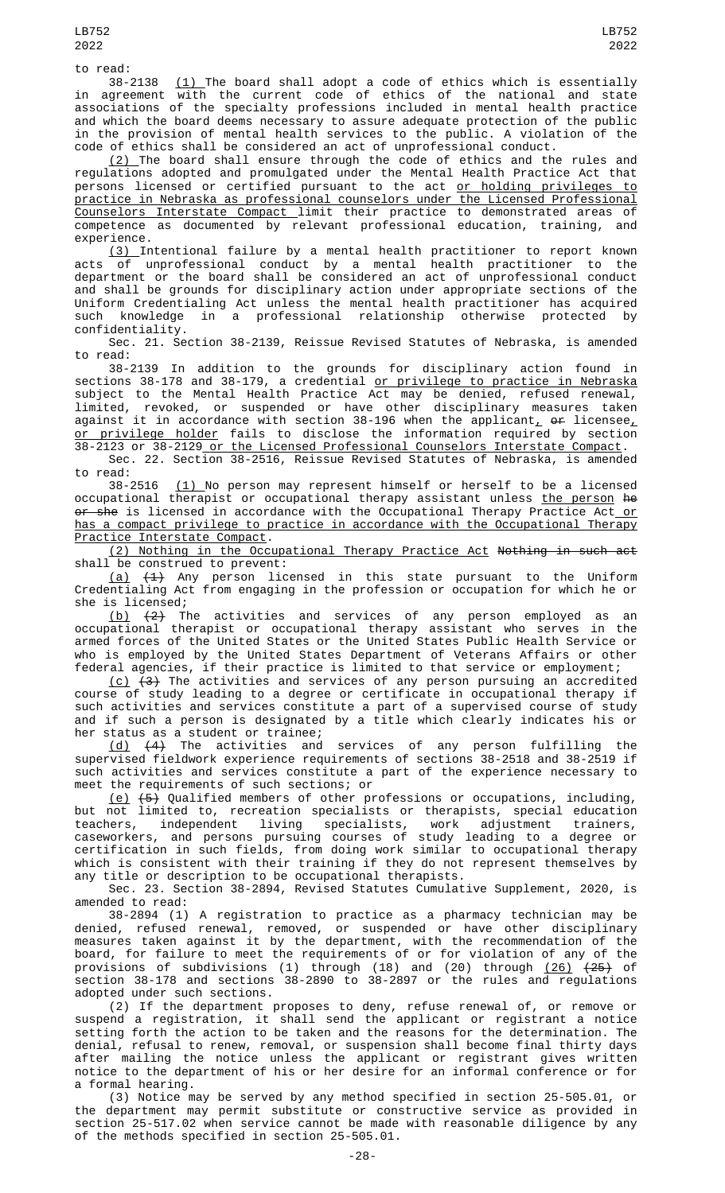to read:

38-2138 <u>(1) </u>The board shall adopt a code of ethics which is essentially in agreement with the current code of ethics of the national and state associations of the specialty professions included in mental health practice and which the board deems necessary to assure adequate protection of the public in the provision of mental health services to the public. A violation of the code of ethics shall be considered an act of unprofessional conduct.

 $\left( 2\right)$  The board shall ensure through the code of ethics and the rules and regulations adopted and promulgated under the Mental Health Practice Act that persons licensed or certified pursuant to the act <u>or holding privileges to</u> practice in Nebraska as professional counselors under the Licensed Professional Counselors Interstate Compact limit their practice to demonstrated areas of competence as documented by relevant professional education, training, and experience.

(3) Intentional failure by a mental health practitioner to report known acts of unprofessional conduct by a mental health practitioner to the department or the board shall be considered an act of unprofessional conduct and shall be grounds for disciplinary action under appropriate sections of the Uniform Credentialing Act unless the mental health practitioner has acquired such knowledge in a professional relationship otherwise protected by confidentiality.

Sec. 21. Section 38-2139, Reissue Revised Statutes of Nebraska, is amended to read:

38-2139 In addition to the grounds for disciplinary action found in sections 38-178 and 38-179, a credential or privilege to practice in Nebraska subject to the Mental Health Practice Act may be denied, refused renewal, limited, revoked, or suspended or have other disciplinary measures taken against it in accordance with section 38-196 when the applicant,  $\theta$  ar licensee, <u>or privilege holder</u> fails to disclose the information required by section 38-2123 or 38-2129 or the Licensed Professional Counselors Interstate Compact.

Sec. 22. Section 38-2516, Reissue Revised Statutes of Nebraska, is amended

to read:<br>38-2516  $(1)$  No person may represent himself or herself to be a licensed occupational therapist or occupational therapy assistant unless the person he or she is licensed in accordance with the Occupational Therapy Practice Act or has a compact privilege to practice in accordance with the Occupational Therapy Practice Interstate Compact.

(2) Nothing in the Occupational Therapy Practice Act Nothing in such act shall be construed to prevent:

<u>(a)</u> <del>(1)</del> Any person licensed in this state pursuant to the Uniform Credentialing Act from engaging in the profession or occupation for which he or she is licensed;

(b) (2) The activities and services of any person employed as an occupational therapist or occupational therapy assistant who serves in the armed forces of the United States or the United States Public Health Service or who is employed by the United States Department of Veterans Affairs or other federal agencies, if their practice is limited to that service or employment;

<u>(c)</u>  $(3)$  The activities and services of any person pursuing an accredited course of study leading to a degree or certificate in occupational therapy if such activities and services constitute a part of a supervised course of study and if such a person is designated by a title which clearly indicates his or her status as a student or trainee;

(d) (4) The activities and services of any person fulfilling the supervised fieldwork experience requirements of sections 38-2518 and 38-2519 if such activities and services constitute a part of the experience necessary to meet the requirements of such sections; or

<u>(e)</u>  $(5)$  Qualified members of other professions or occupations, including, but not limited to, recreation specialists or therapists, special education teachers, independent living specialists, work adjustment trainers, caseworkers, and persons pursuing courses of study leading to a degree or certification in such fields, from doing work similar to occupational therapy which is consistent with their training if they do not represent themselves by any title or description to be occupational therapists.

Sec. 23. Section 38-2894, Revised Statutes Cumulative Supplement, 2020, is amended to read:

38-2894 (1) A registration to practice as a pharmacy technician may be denied, refused renewal, removed, or suspended or have other disciplinary measures taken against it by the department, with the recommendation of the board, for failure to meet the requirements of or for violation of any of the provisions of subdivisions (1) through (18) and (20) through <u>(26)</u> <del>(25)</del> of section 38-178 and sections 38-2890 to 38-2897 or the rules and regulations adopted under such sections.

(2) If the department proposes to deny, refuse renewal of, or remove or suspend a registration, it shall send the applicant or registrant a notice setting forth the action to be taken and the reasons for the determination. The denial, refusal to renew, removal, or suspension shall become final thirty days after mailing the notice unless the applicant or registrant gives written notice to the department of his or her desire for an informal conference or for a formal hearing.

(3) Notice may be served by any method specified in section 25-505.01, or the department may permit substitute or constructive service as provided in section 25-517.02 when service cannot be made with reasonable diligence by any of the methods specified in section 25-505.01.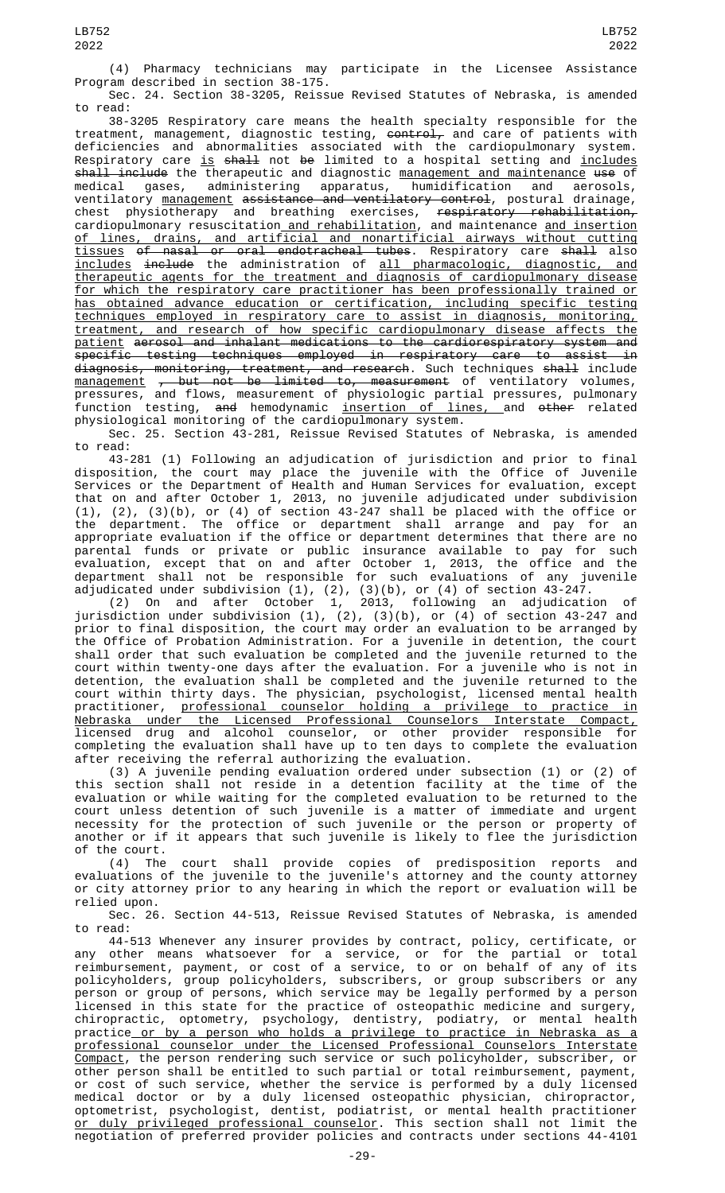(4) Pharmacy technicians may participate in the Licensee Assistance Program described in section 38-175.

Sec. 24. Section 38-3205, Reissue Revised Statutes of Nebraska, is amended to read:

38-3205 Respiratory care means the health specialty responsible for the treatment, management, diagnostic testing, <del>control,</del> and care of patients with deficiencies and abnormalities associated with the cardiopulmonary system. Respiratory care <u>is</u> <del>shall</del> not <del>be</del> limited to a hospital setting and <u>includes</u> shall include the therapeutic and diagnostic management and maintenance use of medical gases, administering apparatus, humidification and aerosols, ventilatory <u>management</u> <del>assistance and ventilatory control</del>, postural drainage, chest physiotherapy and breathing exercises, <del>respiratory rehabilitation,</del> cardiopulmonary resuscitation<u> and rehabilitation</u>, and maintenance <u>and insertion</u> of lines, drains, and artificial and nonartificial airways without cutting <u>tissues</u> o<del>f nasal or oral endotracheal tubes</del>. Respiratory care <del>shall</del> also includes include the administration of all pharmacologic, diagnostic, and therapeutic agents for the treatment and diagnosis of cardiopulmonary disease for which the respiratory care practitioner has been professionally trained or has obtained advance education or certification, including specific testing techniques employed in respiratory care to assist in diagnosis, monitoring, treatment, and research of how specific cardiopulmonary disease affects the patient aerosol and inhalant medications to the cardiorespiratory system and specific testing techniques employed in respiratory care to assist in d<del>iagnosis, monitoring, treatment, and research</del>. Such techniques <del>shall</del> include <u>management</u> <del>, but not be limited to, measurement</del> of ventilatory volumes, pressures, and flows, measurement of physiologic partial pressures, pulmonary function testing, <del>and</del> hemodynamic <u>insertion of lines, a</u>nd <del>other</del> related physiological monitoring of the cardiopulmonary system.

Sec. 25. Section 43-281, Reissue Revised Statutes of Nebraska, is amended to read:

43-281 (1) Following an adjudication of jurisdiction and prior to final disposition, the court may place the juvenile with the Office of Juvenile Services or the Department of Health and Human Services for evaluation, except that on and after October 1, 2013, no juvenile adjudicated under subdivision (1), (2), (3)(b), or (4) of section 43-247 shall be placed with the office or the department. The office or department shall arrange and pay for an appropriate evaluation if the office or department determines that there are no parental funds or private or public insurance available to pay for such evaluation, except that on and after October 1, 2013, the office and the department shall not be responsible for such evaluations of any juvenile adjudicated under subdivision (1), (2), (3)(b), or (4) of section 43-247.

(2) On and after October 1, 2013, following an adjudication of jurisdiction under subdivision (1), (2), (3)(b), or (4) of section 43-247 and prior to final disposition, the court may order an evaluation to be arranged by the Office of Probation Administration. For a juvenile in detention, the court shall order that such evaluation be completed and the juvenile returned to the court within twenty-one days after the evaluation. For a juvenile who is not in detention, the evaluation shall be completed and the juvenile returned to the court within thirty days. The physician, psychologist, licensed mental health practitioner, professional counselor holding a privilege to practice in Nebraska under the Licensed Professional Counselors Interstate Compact, licensed drug and alcohol counselor, or other provider responsible for completing the evaluation shall have up to ten days to complete the evaluation after receiving the referral authorizing the evaluation.

(3) A juvenile pending evaluation ordered under subsection (1) or (2) of this section shall not reside in a detention facility at the time of the evaluation or while waiting for the completed evaluation to be returned to the court unless detention of such juvenile is a matter of immediate and urgent necessity for the protection of such juvenile or the person or property of another or if it appears that such juvenile is likely to flee the jurisdiction of the court.

(4) The court shall provide copies of predisposition reports and evaluations of the juvenile to the juvenile's attorney and the county attorney or city attorney prior to any hearing in which the report or evaluation will be relied upon.

Sec. 26. Section 44-513, Reissue Revised Statutes of Nebraska, is amended to read:

44-513 Whenever any insurer provides by contract, policy, certificate, or any other means whatsoever for a service, or for the partial or total reimbursement, payment, or cost of a service, to or on behalf of any of its policyholders, group policyholders, subscribers, or group subscribers or any person or group of persons, which service may be legally performed by a person licensed in this state for the practice of osteopathic medicine and surgery, chiropractic, optometry, psychology, dentistry, podiatry, or mental health practice or by a person who holds a privilege to practice in Nebraska as a professional counselor under the Licensed Professional Counselors Interstate Compact, the person rendering such service or such policyholder, subscriber, or other person shall be entitled to such partial or total reimbursement, payment, or cost of such service, whether the service is performed by a duly licensed medical doctor or by a duly licensed osteopathic physician, chiropractor, optometrist, psychologist, dentist, podiatrist, or mental health practitioner <u>or duly privileged professional counselor</u>. This section shall not limit the negotiation of preferred provider policies and contracts under sections 44-4101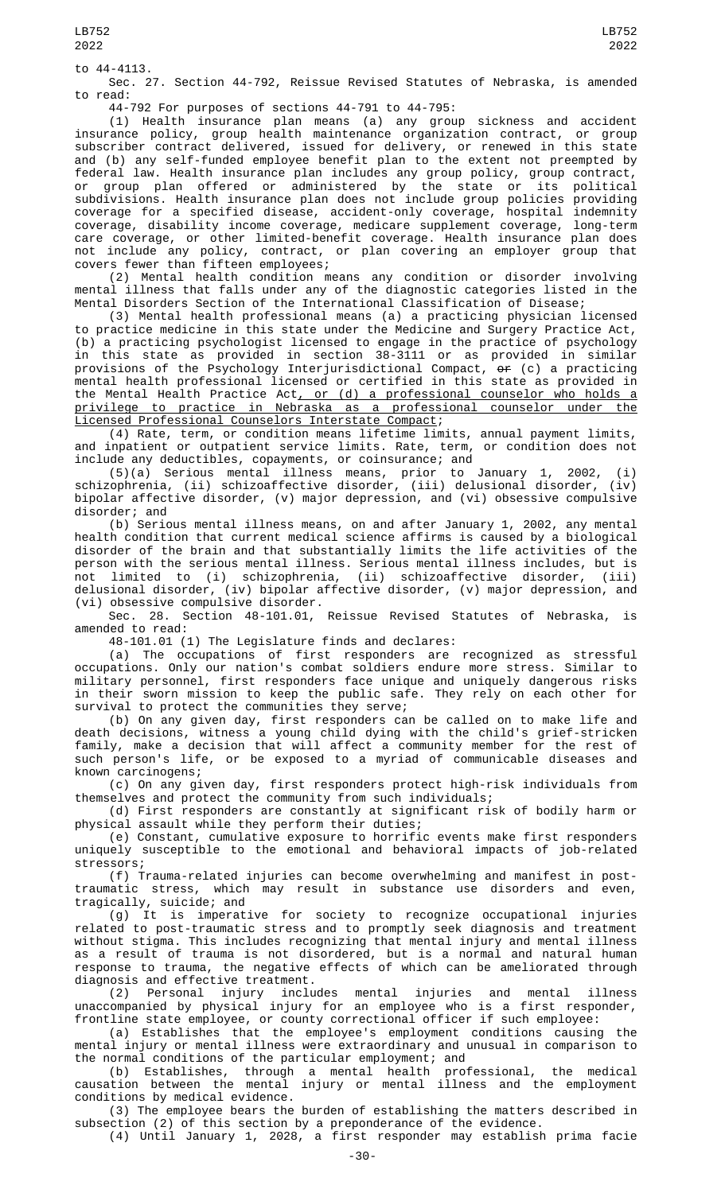to 44-4113.

Sec. 27. Section 44-792, Reissue Revised Statutes of Nebraska, is amended to read:

44-792 For purposes of sections 44-791 to 44-795:

(1) Health insurance plan means (a) any group sickness and accident insurance policy, group health maintenance organization contract, or group subscriber contract delivered, issued for delivery, or renewed in this state and (b) any self-funded employee benefit plan to the extent not preempted by federal law. Health insurance plan includes any group policy, group contract, or group plan offered or administered by the state or its political subdivisions. Health insurance plan does not include group policies providing coverage for a specified disease, accident-only coverage, hospital indemnity coverage, disability income coverage, medicare supplement coverage, long-term care coverage, or other limited-benefit coverage. Health insurance plan does not include any policy, contract, or plan covering an employer group that covers fewer than fifteen employees;

(2) Mental health condition means any condition or disorder involving mental illness that falls under any of the diagnostic categories listed in the Mental Disorders Section of the International Classification of Disease;

(3) Mental health professional means (a) a practicing physician licensed to practice medicine in this state under the Medicine and Surgery Practice Act, (b) a practicing psychologist licensed to engage in the practice of psychology in this state as provided in section 38-3111 or as provided in similar provisions of the Psychology Interjurisdictional Compact, or (c) a practicing mental health professional licensed or certified in this state as provided in the Mental Health Practice Act, or (d) a professional counselor who holds a privilege to practice in Nebraska as a professional counselor under the Licensed Professional Counselors Interstate Compact;

(4) Rate, term, or condition means lifetime limits, annual payment limits, and inpatient or outpatient service limits. Rate, term, or condition does not include any deductibles, copayments, or coinsurance; and

(5)(a) Serious mental illness means, prior to January 1, 2002, (i) schizophrenia, (ii) schizoaffective disorder, (iii) delusional disorder, (iv) include any ueuuccrosic, expression<br>
(5)(a) Serious mental illness means, prior to January 1, 2002, (1)<br>
schizophrenia, (ii) schizoaffective disorder, (iii) delusional disorder, (iv)<br>
bipolar affective disorder, (v) major disorder; and

(b) Serious mental illness means, on and after January 1, 2002, any mental health condition that current medical science affirms is caused by a biological disorder of the brain and that substantially limits the life activities of the person with the serious mental illness. Serious mental illness includes, but is not limited to (i) schizophrenia, (ii) schizoaffective disorder, (iii) delusional disorder, (iv) bipolar affective disorder, (v) major depression, and (vi) obsessive compulsive disorder.

Sec. 28. Section 48-101.01, Reissue Revised Statutes of Nebraska, is amended to read:

48-101.01 (1) The Legislature finds and declares:

(a) The occupations of first responders are recognized as stressful occupations. Only our nation's combat soldiers endure more stress. Similar to military personnel, first responders face unique and uniquely dangerous risks in their sworn mission to keep the public safe. They rely on each other for survival to protect the communities they serve;

(b) On any given day, first responders can be called on to make life and death decisions, witness a young child dying with the child's grief-stricken family, make a decision that will affect a community member for the rest of such person's life, or be exposed to a myriad of communicable diseases and known carcinogens;

(c) On any given day, first responders protect high-risk individuals from themselves and protect the community from such individuals;

(d) First responders are constantly at significant risk of bodily harm or physical assault while they perform their duties;

(e) Constant, cumulative exposure to horrific events make first responders uniquely susceptible to the emotional and behavioral impacts of job-related stressors;

(f) Trauma-related injuries can become overwhelming and manifest in posttraumatic stress, which may result in substance use disorders and even, tragically, suicide; and

(g) It is imperative for society to recognize occupational injuries related to post-traumatic stress and to promptly seek diagnosis and treatment without stigma. This includes recognizing that mental injury and mental illness as a result of trauma is not disordered, but is a normal and natural human response to trauma, the negative effects of which can be ameliorated through diagnosis and effective treatment.

(2) Personal injury includes mental injuries and mental illness unaccompanied by physical injury for an employee who is a first responder, frontline state employee, or county correctional officer if such employee:

(a) Establishes that the employee's employment conditions causing the mental injury or mental illness were extraordinary and unusual in comparison to the normal conditions of the particular employment; and

(b) Establishes, through a mental health professional, the medical causation between the mental injury or mental illness and the employment conditions by medical evidence.

(3) The employee bears the burden of establishing the matters described in subsection (2) of this section by a preponderance of the evidence.

(4) Until January 1, 2028, a first responder may establish prima facie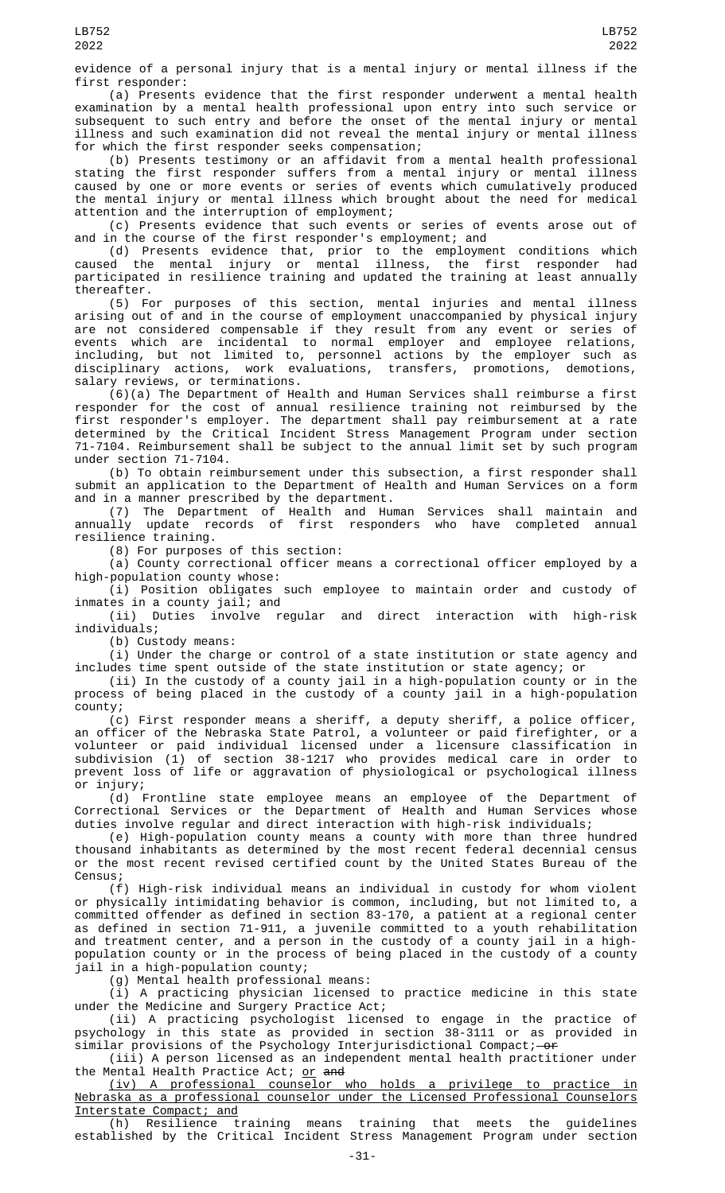evidence of a personal injury that is a mental injury or mental illness if the first responder:

(a) Presents evidence that the first responder underwent a mental health examination by a mental health professional upon entry into such service or subsequent to such entry and before the onset of the mental injury or mental illness and such examination did not reveal the mental injury or mental illness for which the first responder seeks compensation;

(b) Presents testimony or an affidavit from a mental health professional stating the first responder suffers from a mental injury or mental illness caused by one or more events or series of events which cumulatively produced the mental injury or mental illness which brought about the need for medical attention and the interruption of employment;

(c) Presents evidence that such events or series of events arose out of and in the course of the first responder's employment; and

(d) Presents evidence that, prior to the employment conditions which caused the mental injury or mental illness, the first responder had participated in resilience training and updated the training at least annually thereafter.

(5) For purposes of this section, mental injuries and mental illness arising out of and in the course of employment unaccompanied by physical injury are not considered compensable if they result from any event or series of events which are incidental to normal employer and employee relations, including, but not limited to, personnel actions by the employer such as disciplinary actions, work evaluations, transfers, promotions, demotions, salary reviews, or terminations.

(6)(a) The Department of Health and Human Services shall reimburse a first responder for the cost of annual resilience training not reimbursed by the first responder's employer. The department shall pay reimbursement at a rate determined by the Critical Incident Stress Management Program under section 71-7104. Reimbursement shall be subject to the annual limit set by such program under section 71-7104.

(b) To obtain reimbursement under this subsection, a first responder shall submit an application to the Department of Health and Human Services on a form and in a manner prescribed by the department.

(7) The Department of Health and Human Services shall maintain and annually update records of first responders who have completed annual resilience training.

(8) For purposes of this section:

(a) County correctional officer means a correctional officer employed by a high-population county whose:

(i) Position obligates such employee to maintain order and custody of inmates in a county jail; and

(ii) Duties involve regular and direct interaction with high-risk individuals;

(b) Custody means:

(i) Under the charge or control of a state institution or state agency and includes time spent outside of the state institution or state agency; or

(ii) In the custody of a county jail in a high-population county or in the process of being placed in the custody of a county jail in a high-population county;

(c) First responder means a sheriff, a deputy sheriff, a police officer, an officer of the Nebraska State Patrol, a volunteer or paid firefighter, or a volunteer or paid individual licensed under a licensure classification in subdivision (1) of section 38-1217 who provides medical care in order to prevent loss of life or aggravation of physiological or psychological illness or injury;

(d) Frontline state employee means an employee of the Department of Correctional Services or the Department of Health and Human Services whose duties involve regular and direct interaction with high-risk individuals;

(e) High-population county means a county with more than three hundred thousand inhabitants as determined by the most recent federal decennial census or the most recent revised certified count by the United States Bureau of the Census;

(f) High-risk individual means an individual in custody for whom violent or physically intimidating behavior is common, including, but not limited to, a committed offender as defined in section 83-170, a patient at a regional center as defined in section 71-911, a juvenile committed to a youth rehabilitation and treatment center, and a person in the custody of a county jail in a highpopulation county or in the process of being placed in the custody of a county jail in a high-population county;

(g) Mental health professional means:

(i) A practicing physician licensed to practice medicine in this state under the Medicine and Surgery Practice Act;

(ii) A practicing psychologist licensed to engage in the practice of psychology in this state as provided in section 38-3111 or as provided in similar provisions of the Psychology Interjurisdictional Compact; - or

(iii) A person licensed as an independent mental health practitioner under the Mental Health Practice Act; <u>or</u> <del>and</del>

(iv) A professional counselor who holds a privilege to practice in Nebraska as a professional counselor under the Licensed Professional Counselors Interstate Compact; and

(h) Resilience training means training that meets the guidelines established by the Critical Incident Stress Management Program under section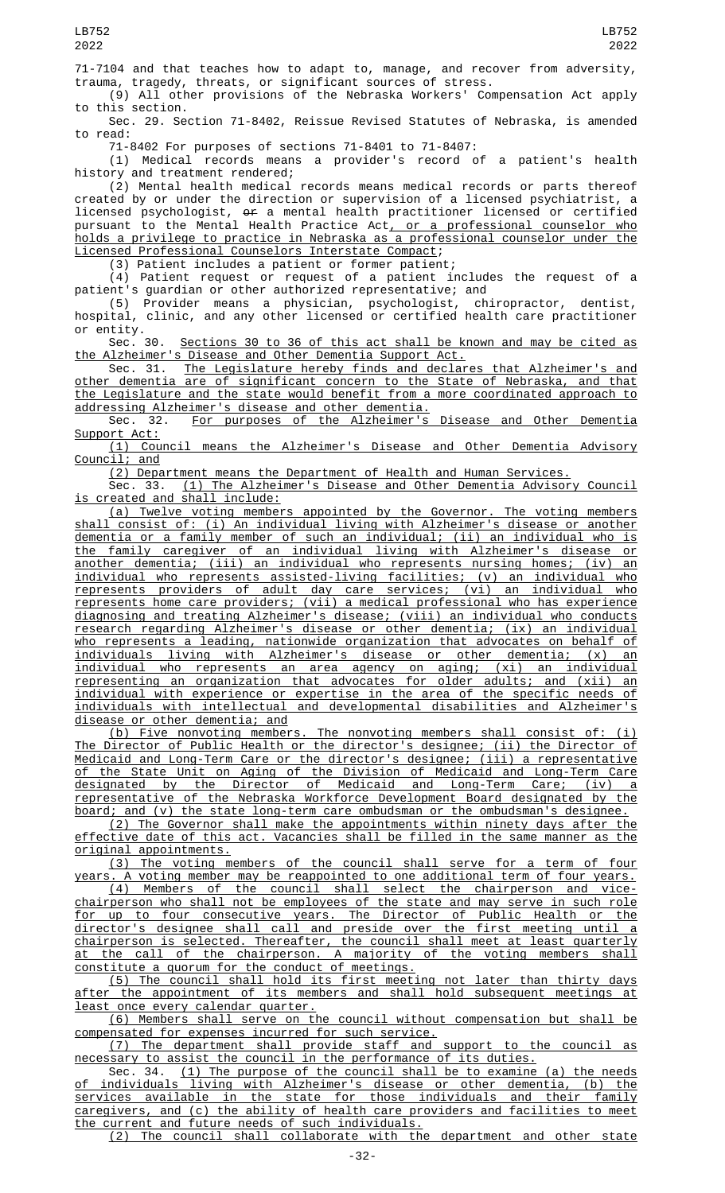71-7104 and that teaches how to adapt to, manage, and recover from adversity, trauma, tragedy, threats, or significant sources of stress.

(9) All other provisions of the Nebraska Workers' Compensation Act apply to this section.

Sec. 29. Section 71-8402, Reissue Revised Statutes of Nebraska, is amended to read:

71-8402 For purposes of sections 71-8401 to 71-8407:

(1) Medical records means a provider's record of a patient's health history and treatment rendered;

(2) Mental health medical records means medical records or parts thereof created by or under the direction or supervision of a licensed psychiatrist, a licensed psychologist, or a mental health practitioner licensed or certified pursuant to the Mental Health Practice Act<u>, or a professional counselor who</u> holds a privilege to practice in Nebraska as a professional counselor under the Licensed Professional Counselors Interstate Compact;

(3) Patient includes a patient or former patient;

(4) Patient request or request of a patient includes the request of a patient's guardian or other authorized representative; and

(5) Provider means a physician, psychologist, chiropractor, dentist, hospital, clinic, and any other licensed or certified health care practitioner or entity.

Sec. 30. Sections 30 to 36 of this act shall be known and may be cited as the Alzheimer's Disease and Other Dementia Support Act.

Sec. 31. <u>The Legislature hereby finds and declares that Alzheimer's and</u> other dementia are of significant concern to the State of Nebraska, and that the Legislature and the state would benefit from a more coordinated approach to addressing Alzheimer's disease and other dementia.<br>Sec. 32. For purposes of the Alzheimer's

For purposes of the Alzheimer's Disease and Other Dementia Support Act:

(1) Council means the Alzheimer's Disease and Other Dementia Advisory Council;

(2) Department means the Department of Health and Human Services.

Sec. 33. (1) The Alzheimer's Disease and Other Dementia Advisory Council is created and shall include:

(a) Twelve voting members appointed by the Governor. The voting members shall consist of: (i) An individual living with Alzheimer's disease or another dementia or a family member of such an individual; (ii) an individual who is the family caregiver of an individual living with Alzheimer's disease or another dementia; (iii) an individual who represents nursing homes; (iv) an individual who represents assisted-living facilities; (v) an individual who represents providers of adult day care services; (vi) an individual who represents home care providers; (vii) a medical professional who has experience diagnosing and treating Alzheimer's disease; (viii) an individual who conducts research regarding Alzheimer's disease or other dementia; (ix) an individual who represents a leading, nationwide organization that advocates on behalf of individuals living with Alzheimer's disease or other dementia; (x) an individual who represents an area agency on aging; (xi) an individual representing an organization that advocates for older adults; and (xii) an individual with experience or expertise in the area of the specific needs of individuals with intellectual and developmental disabilities and Alzheimer's disease or other dementia; and

(b) Five nonvoting members. The nonvoting members shall consist of: (i) The Director of Public Health or the director's designee; (ii) the Director of Medicaid and Long-Term Care or the director's designee; (iii) a representative of the State Unit on Aging of the Division of Medicaid and Long-Term Care designated by the Director of Medicaid and Long-Term Care; (iv) a representative of the Nebraska Workforce Development Board designated by the board; and (v) the state long-term care ombudsman or the ombudsman's designee.

(2) The Governor shall make the appointments within ninety days after the effective date of this act. Vacancies shall be filled in the same manner as the original appointments.

(3) The voting members of the council shall serve for a term of four years. A voting member may be reappointed to one additional term of four years.

(4) Members of the council shall select the chairperson and vicechairperson who shall not be employees of the state and may serve in such role for up to four consecutive years. The Director of Public Health or the director's designee shall call and preside over the first meeting until a chairperson is selected. Thereafter, the council shall meet at least quarterly at the call of the chairperson. A majority of the voting members shall constitute a quorum for the conduct of meetings.

(5) The council shall hold its first meeting not later than thirty days after the appointment of its members and shall hold subsequent meetings at least once every calendar quarter.

(6) Members shall serve on the council without compensation but shall be compensated for expenses incurred for such service.

(7) The department shall provide staff and support to the council as necessary to assist the council in the performance of its duties.

Sec. 34. (1) The purpose of the council shall be to examine (a) the needs of individuals living with Alzheimer's disease or other dementia, (b) the services available in the state for those individuals and their family caregivers, and (c) the ability of health care providers and facilities to meet the current and future needs of such individuals.

(2) The council shall collaborate with the department and other state